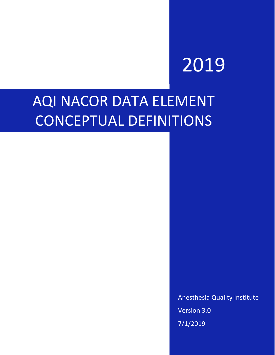# 2019

# AQI NACOR DATA ELEMENT CONCEPTUAL DEFINITIONS

Anesthesia Quality Institute Version 3.0 7/1/2019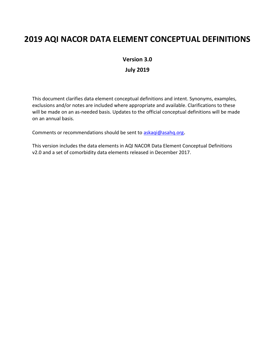### **2019 AQI NACOR DATA ELEMENT CONCEPTUAL DEFINITIONS**

**Version 3.0**

**July 2019**

This document clarifies data element conceptual definitions and intent. Synonyms, examples, exclusions and/or notes are included where appropriate and available. Clarifications to these will be made on an as-needed basis. Updates to the official conceptual definitions will be made on an annual basis.

Comments or recommendations should be sent to [askaqi@asahq.org](mailto:askaqi@asahq.org).

This version includes the data elements in AQI NACOR Data Element Conceptual Definitions v2.0 and a set of comorbidity data elements released in December 2017.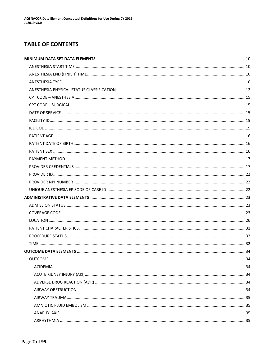### **TABLE OF CONTENTS**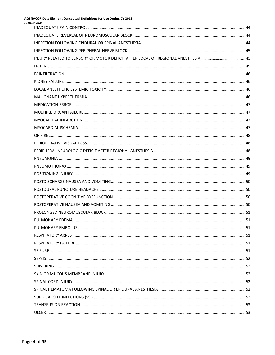| AQI NACOR Data Element Conceptual Definitions for Use During CY 2019<br>Ju2019 v3.0 |  |
|-------------------------------------------------------------------------------------|--|
|                                                                                     |  |
|                                                                                     |  |
|                                                                                     |  |
|                                                                                     |  |
|                                                                                     |  |
|                                                                                     |  |
|                                                                                     |  |
|                                                                                     |  |
|                                                                                     |  |
|                                                                                     |  |
|                                                                                     |  |
|                                                                                     |  |
|                                                                                     |  |
|                                                                                     |  |
|                                                                                     |  |
|                                                                                     |  |
|                                                                                     |  |
|                                                                                     |  |
|                                                                                     |  |
|                                                                                     |  |
|                                                                                     |  |
|                                                                                     |  |
|                                                                                     |  |
|                                                                                     |  |
|                                                                                     |  |
|                                                                                     |  |
|                                                                                     |  |
|                                                                                     |  |
|                                                                                     |  |
|                                                                                     |  |
|                                                                                     |  |
|                                                                                     |  |
|                                                                                     |  |
|                                                                                     |  |
|                                                                                     |  |
|                                                                                     |  |
|                                                                                     |  |
|                                                                                     |  |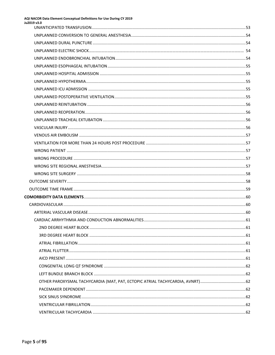| AQI NACOR Data Element Conceptual Definitions for Use During CY 2019<br>Ju2019 v3.0 |  |
|-------------------------------------------------------------------------------------|--|
|                                                                                     |  |
|                                                                                     |  |
|                                                                                     |  |
|                                                                                     |  |
|                                                                                     |  |
|                                                                                     |  |
|                                                                                     |  |
|                                                                                     |  |
|                                                                                     |  |
|                                                                                     |  |
|                                                                                     |  |
|                                                                                     |  |
|                                                                                     |  |
|                                                                                     |  |
|                                                                                     |  |
|                                                                                     |  |
|                                                                                     |  |
|                                                                                     |  |
|                                                                                     |  |
|                                                                                     |  |
|                                                                                     |  |
|                                                                                     |  |
|                                                                                     |  |
|                                                                                     |  |
|                                                                                     |  |
|                                                                                     |  |
|                                                                                     |  |
|                                                                                     |  |
|                                                                                     |  |
|                                                                                     |  |
|                                                                                     |  |
|                                                                                     |  |
|                                                                                     |  |
|                                                                                     |  |
|                                                                                     |  |
|                                                                                     |  |
|                                                                                     |  |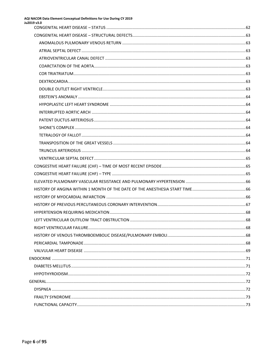## AQI NACOR Data Element Conceptual Definitions for Use During CY 2019<br>Ju2019 v3.0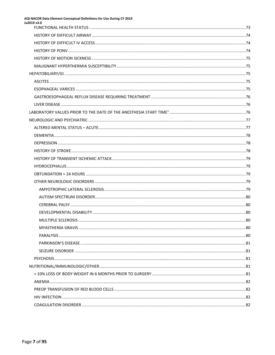| AQI NACOR Data Element Conceptual Definitions for Use During CY 2019<br>Ju2019 v3.0 |  |
|-------------------------------------------------------------------------------------|--|
|                                                                                     |  |
|                                                                                     |  |
|                                                                                     |  |
|                                                                                     |  |
|                                                                                     |  |
|                                                                                     |  |
|                                                                                     |  |
|                                                                                     |  |
|                                                                                     |  |
|                                                                                     |  |
|                                                                                     |  |
|                                                                                     |  |
|                                                                                     |  |
|                                                                                     |  |
|                                                                                     |  |
|                                                                                     |  |
|                                                                                     |  |
|                                                                                     |  |
|                                                                                     |  |
|                                                                                     |  |
|                                                                                     |  |
|                                                                                     |  |
|                                                                                     |  |
|                                                                                     |  |
|                                                                                     |  |
|                                                                                     |  |
|                                                                                     |  |
|                                                                                     |  |
|                                                                                     |  |
|                                                                                     |  |
|                                                                                     |  |
|                                                                                     |  |
|                                                                                     |  |
|                                                                                     |  |
|                                                                                     |  |
|                                                                                     |  |
|                                                                                     |  |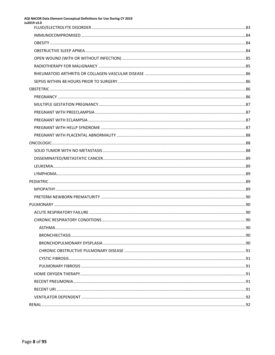| AQI NACOR Data Element Conceptual Definitions for Use During CY 2019<br>Ju2019 v3.0 |  |
|-------------------------------------------------------------------------------------|--|
|                                                                                     |  |
|                                                                                     |  |
|                                                                                     |  |
|                                                                                     |  |
|                                                                                     |  |
|                                                                                     |  |
|                                                                                     |  |
|                                                                                     |  |
|                                                                                     |  |
|                                                                                     |  |
|                                                                                     |  |
|                                                                                     |  |
|                                                                                     |  |
|                                                                                     |  |
|                                                                                     |  |
|                                                                                     |  |
|                                                                                     |  |
|                                                                                     |  |
|                                                                                     |  |
|                                                                                     |  |
|                                                                                     |  |
|                                                                                     |  |
|                                                                                     |  |
|                                                                                     |  |
|                                                                                     |  |
|                                                                                     |  |
|                                                                                     |  |
|                                                                                     |  |
|                                                                                     |  |
|                                                                                     |  |
|                                                                                     |  |
|                                                                                     |  |
|                                                                                     |  |
|                                                                                     |  |
|                                                                                     |  |
|                                                                                     |  |
|                                                                                     |  |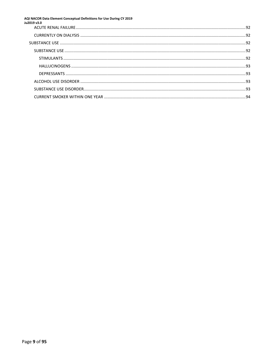## AQI NACOR Data Element Conceptual Definitions for Use During CY 2019<br>Ju2019 v3.0

| <b>2019</b> x3.0 |  |
|------------------|--|
|                  |  |
|                  |  |
|                  |  |
|                  |  |
|                  |  |
|                  |  |
|                  |  |
|                  |  |
|                  |  |
|                  |  |
|                  |  |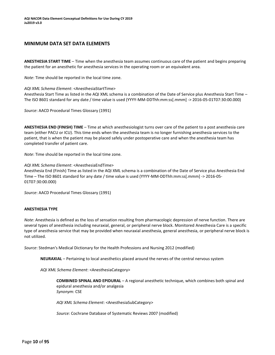#### <span id="page-10-0"></span>**MINIMUM DATA SET DATA ELEMENTS**

<span id="page-10-1"></span>**ANESTHESIA START TIME** – Time when the anesthesia team assumes continuous care of the patient and begins preparing the patient for an anesthetic for anesthesia services in the operating room or an equivalent area.

*Note*: Time should be reported in the local time zone.

#### *AQI XML Schema Element*: <AnesthesiaStartTime>

Anesthesia Start Time as listed in the AQI XML schema is a combination of the Date of Service plus Anesthesia Start Time – The ISO 8601 standard for any date / time value is used (YYYY-MM-DDThh:mm:ss[.mmm] -> 2016-05-01T07:30:00.000)

*Source*: AACD Procedural Times Glossary (1991)

<span id="page-10-2"></span>**ANESTHESIA END (FINISH) TIME** – Time at which anesthesiologist turns over care of the patient to a post anesthesia care team (either PACU or ICU). This time ends when the anesthesia team is no longer furnishing anesthesia services to the patient, that is when the patient may be placed safely under postoperative care and when the anesthesia team has completed transfer of patient care.

*Note*: Time should be reported in the local time zone.

*AQI XML Schema Element*: <AnesthesiaEndTime>

Anesthesia End (Finish) Time as listed in the AQI XML schema is a combination of the Date of Service plus Anesthesia End Time – The ISO 8601 standard for any date / time value is used (YYYY-MM-DDThh:mm:ss[.mmm] -> 2016-05- 01T07:30:00.000)

*Source*: AACD Procedural Times Glossary (1991)

#### <span id="page-10-3"></span>**ANESTHESIA TYPE**

*Note*: Anesthesia is defined as the loss of sensation resulting from pharmacologic depression of nerve function. There are several types of anesthesia including neuraxial, general, or peripheral nerve block. Monitored Anesthesia Care is a specific type of anesthesia service that may be provided when neuraxial anesthesia, general anesthesia, or peripheral nerve block is not utilized.

*Source*: Stedman's Medical Dictionary for the Health Professions and Nursing 2012 (modified)

**NEURAXIAL** – Pertaining to local anesthetics placed around the nerves of the central nervous system

*AQI XML Schema Element*: <AnesthesiaCategory>

**COMBINED SPINAL AND EPIDURAL** – A regional anesthetic technique, which combines both spinal and epidural anesthesia and/or analgesia *Synonym:* CSE

*AQI XML Schema Element*: <AnesthesiaSubCategory>

*Source:* Cochrane Database of Systematic Reviews 2007 (modified)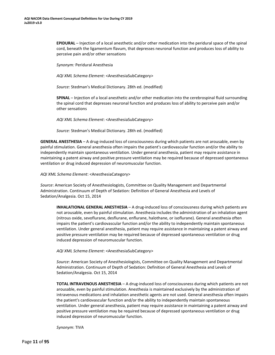**EPIDURAL** – Injection of a local anesthetic and/or other medication into the peridural space of the spinal cord, beneath the ligamentum flavum, that depresses neuronal function and produces loss of ability to perceive pain and/or other sensations

*Synonym:* Peridural Anesthesia

*AQI XML Schema Element*: <AnesthesiaSubCategory>

*Source:* Stedman's Medical Dictionary. 28th ed. (modified)

**SPINAL** – Injection of a local anesthetic and/or other medication into the cerebrospinal fluid surrounding the spinal cord that depresses neuronal function and produces loss of ability to perceive pain and/or other sensations

*AQI XML Schema Element*: <AnesthesiaSubCategory>

*Source:* Stedman's Medical Dictionary. 28th ed. (modified)

**GENERAL ANESTHESIA** – A drug-induced loss of consciousness during which patients are not arousable, even by painful stimulation. General anesthesia often impairs the patient's cardiovascular function and/or the ability to independently maintain spontaneous ventilation. Under general anesthesia, patient may require assistance in maintaining a patent airway and positive pressure ventilation may be required because of depressed spontaneous ventilation or drug induced depression of neuromuscular function.

*AQI XML Schema Element*: <AnesthesiaCategory>

*Source*: American Society of Anesthesiologists, Committee on Quality Management and Departmental Administration. Continuum of Depth of Sedation: Definition of General Anesthesia and Levels of Sedation/Analgesia. Oct 15, 2014

**INHALATIONAL GENERAL ANESTHESIA** – A drug-induced loss of consciousness during which patients are not arousable, even by painful stimulation. Anesthesia includes the administration of an inhalation agent (nitrous oxide, sevoflurane, desflurane, enflurane, halothane, or isoflurane). General anesthesia often impairs the patient's cardiovascular function and/or the ability to independently maintain spontaneous ventilation. Under general anesthesia, patient may require assistance in maintaining a patent airway and positive pressure ventilation may be required because of depressed spontaneous ventilation or drug induced depression of neuromuscular function.

*AQI XML Schema Element*: <AnesthesiaSubCategory>

*Source*: American Society of Anesthesiologists, Committee on Quality Management and Departmental Administration. Continuum of Depth of Sedation: Definition of General Anesthesia and Levels of Sedation/Analgesia. Oct 15, 2014

**TOTAL INTRAVENOUS ANESTHESIA** – A drug-induced loss of consciousness during which patients are not arousable, even by painful stimulation. Anesthesia is maintained exclusively by the administration of intravenous medications and inhalation anesthetic agents are not used. General anesthesia often impairs the patient's cardiovascular function and/or the ability to independently maintain spontaneous ventilation. Under general anesthesia, patient may require assistance in maintaining a patent airway and positive pressure ventilation may be required because of depressed spontaneous ventilation or drug induced depression of neuromuscular function.

*Synonym*: TIVA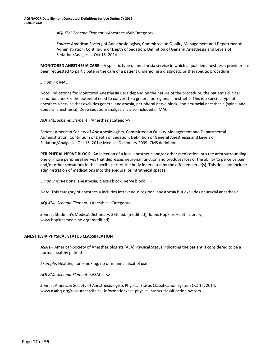*AQI XML Schema Element*: <AnesthesiaSubCategory>

*Source:* American Society of Anesthesiologists, Committee on Quality Management and Departmental Administration. Continuum of Depth of Sedation: Definition of General Anesthesia and Levels of Sedation/Analgesia. Oct 15, 2014

**MONITORED ANESTHESIA CARE** – A specific type of anesthesia service in which a qualified anesthesia provider has been requested to participate in the care of a patient undergoing a diagnostic or therapeutic procedure

*Synonym*: MAC

*Note*: Indications for Monitored Anesthesia Care depend on the nature of the procedure, the patient's clinical condition, and/or the potential need to convert to a general or regional anesthetic. This is a specific type of anesthesia service that excludes general anesthesia, peripheral nerve block, and neuraxial anesthesia (spinal and epidural anesthesia). Deep sedation/analgesia is also included in MAC.

*AQI XML Schema Element*: <AnesthesiaCategory>

*Source*: American Society of Anesthesiologists, Committee on Quality Management and Departmental Administration. Continuum of Depth of Sedation: Definition of General Anesthesia and Levels of Sedation/Analgesia. Oct 15, 2014; Medical Dictionary 2009; CMS definition

**PERIPHERAL NERVE BLOCK**– An injection of a local anesthetic and/or other medication into the area surrounding one or more peripheral nerves that depresses neuronal function and produces loss of the ability to perceive pain and/or other sensations in the specific part of the body innervated by the affected nerve(s). This does not include administration of medications into the epidural or intrathecal spaces.

*Synonyms*: Regional anesthesia, plexus block, nerve block

*Note*: This category of anesthesia includes intravenous regional anesthesia but excludes neuraxial anesthesia.

*AQI XML Schema Element*: <AnesthesiaCategory>

*Source*: Stedman's Medical Dictionary. 28th ed. (modified); Johns Hopkins Health Library, [www.hopkinsmedicine.org](http://www.hopkinsmedicine.org/) (modified)

#### <span id="page-12-0"></span>**ANESTHESIA PHYSICAL STATUS CLASSIFICATION**

**ASA I** – American Society of Anesthesiologists (ASA) Physical Status indicating the patient is considered to be a normal healthy patient

*Example*: Healthy, non-smoking, no or minimal alcohol use

*AQI XML Schema Element*: <ASAClass>

*Source*: American Society of Anesthesiologists Physical Status Classification System Oct 15, 2014. [www.asahq.org/resources/clinical-information/asa-physical-status-classification-system](http://www.asahq.org/resources/clinical-information/asa-physical-status-classification-system)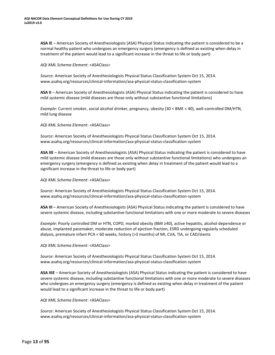**ASA IE** – American Society of Anesthesiologists (ASA) Physical Status indicating the patient is considered to be a normal healthy patient who undergoes an emergency surgery (emergency is defined as existing when delay in treatment of the patient would lead to a significant increase in the threat to life or body part)

#### *AQI XML Schema Element*: <ASAClass>

*Source*: American Society of Anesthesiologists Physical Status Classification System Oct 15, 2014. [www.asahq.org/resources/clinical-information/asa-physical-status-classification-system](http://www.asahq.org/resources/clinical-information/asa-physical-status-classification-system)

**ASA II** – American Society of Anesthesiologists (ASA) Physical Status indicating the patient is considered to have mild systemic disease (mild diseases are those only without substantive functional limitations)

*Example*: Current smoker, social alcohol drinker, pregnancy, obesity (30 < BME < 40), well-controlled DM/HTN, mild lung disease

#### *AQI XML Schema Element*: <ASAClass>

*Source*: American Society of Anesthesiologists Physical Status Classification System Oct 15, 2014. [www.asahq.org/resources/clinical-information/asa-physical-status-classification-system](http://www.asahq.org/resources/clinical-information/asa-physical-status-classification-system)

**ASA IIE** – American Society of Anesthesiologists (ASA) Physical Status indicating the patient is considered to have mild systemic disease (mild diseases are those only without substantive functional limitations) who undergoes an emergency surgery (emergency is defined as existing when delay in treatment of the patient would lead to a significant increase in the threat to life or body part)

#### *AQI XML Schema Element*: <ASAClass>

*Source*: American Society of Anesthesiologists Physical Status Classification System Oct 15, 2014. [www.asahq.org/resources/clinical-information/asa-physical-status-classification-system](http://www.asahq.org/resources/clinical-information/asa-physical-status-classification-system)

**ASA III** – American Society of Anesthesiologists (ASA) Physical Status indicating the patient is considered to have severe systemic disease, including substantive functional limitations with one or more moderate to severe diseases

*Example*: Poorly controlled DM or HTN, COPD, morbid obesity (BMI ≥40), active hepatitis, alcohol dependence or abuse, implanted pacemaker, moderate reduction of ejection fraction, ESRD undergoing regularly scheduled dialysis, premature infant PCA < 60 weeks, history (>3 months) of MI, CVA, TIA, or CAD/stents

#### *AQI XML Schema Element*: <ASAClass>

*Source*: American Society of Anesthesiologists Physical Status Classification System Oct 15, 2014. [www.asahq.org/resources/clinical-information/asa-physical-status-classification-system](http://www.asahq.org/resources/clinical-information/asa-physical-status-classification-system)

**ASA IIIE** – American Society of Anesthesiologists (ASA) Physical Status indicating the patient is considered to have severe systemic disease, including substantive functional limitations with one or more moderate to severe diseases who undergoes an emergency surgery (emergency is defined as existing when delay in treatment of the patient would lead to a significant increase in the threat to life or body part)

#### *AQI XML Schema Element*: <ASAClass>

*Source*: American Society of Anesthesiologists Physical Status Classification System Oct 15, 2014. [www.asahq.org/resources/clinical-information/asa-physical-status-classification-system](http://www.asahq.org/resources/clinical-information/asa-physical-status-classification-system)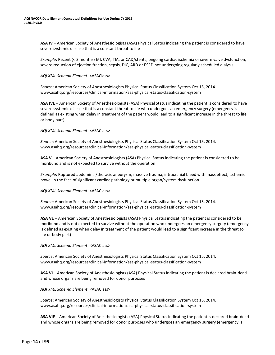**ASA IV** – American Society of Anesthesiologists (ASA) Physical Status indicating the patient is considered to have severe systemic disease that is a constant threat to life

*Example*: Recent (< 3 months) MI, CVA, TIA, or CAD/stents, ongoing cardiac ischemia or severe valve dysfunction, severe reduction of ejection fraction, sepsis, DIC, ARD or ESRD not undergoing regularly scheduled dialysis

#### *AQI XML Schema Element*: <ASAClass>

*Source*: American Society of Anesthesiologists Physical Status Classification System Oct 15, 2014. [www.asahq.org/resources/clinical-information/asa-physical-status-classification-system](http://www.asahq.org/resources/clinical-information/asa-physical-status-classification-system)

**ASA IVE** – American Society of Anesthesiologists (ASA) Physical Status indicating the patient is considered to have severe systemic disease that is a constant threat to life who undergoes an emergency surgery (emergency is defined as existing when delay in treatment of the patient would lead to a significant increase in the threat to life or body part)

#### *AQI XML Schema Element*: <ASAClass>

*Source*: American Society of Anesthesiologists Physical Status Classification System Oct 15, 2014. [www.asahq.org/resources/clinical-information/asa-physical-status-classification-system](http://www.asahq.org/resources/clinical-information/asa-physical-status-classification-system)

**ASA V** – American Society of Anesthesiologists (ASA) Physical Status indicating the patient is considered to be moribund and is not expected to survive without the operation

*Example*: Ruptured abdominal/thoracic aneurysm, massive trauma, intracranial bleed with mass effect, ischemic bowel in the face of significant cardiac pathology or multiple organ/system dysfunction

#### *AQI XML Schema Element*: <ASAClass>

*Source*: American Society of Anesthesiologists Physical Status Classification System Oct 15, 2014. [www.asahq.org/resources/clinical-information/asa-physical-status-classification-system](http://www.asahq.org/resources/clinical-information/asa-physical-status-classification-system)

**ASA VE** – American Society of Anesthesiologists (ASA) Physical Status indicating the patient is considered to be moribund and is not expected to survive without the operation who undergoes an emergency surgery (emergency is defined as existing when delay in treatment of the patient would lead to a significant increase in the threat to life or body part)

#### *AQI XML Schema Element*: <ASAClass>

*Source*: American Society of Anesthesiologists Physical Status Classification System Oct 15, 2014. [www.asahq.org/resources/clinical-information/asa-physical-status-classification-system](http://www.asahq.org/resources/clinical-information/asa-physical-status-classification-system)

**ASA VI** – American Society of Anesthesiologists (ASA) Physical Status indicating the patient is declared brain-dead and whose organs are being removed for donor purposes

#### *AQI XML Schema Element*: <ASAClass>

*Source*: American Society of Anesthesiologists Physical Status Classification System Oct 15, 2014. [www.asahq.org/resources/clinical-information/asa-physical-status-classification-system](http://www.asahq.org/resources/clinical-information/asa-physical-status-classification-system)

**ASA VIE** – American Society of Anesthesiologists (ASA) Physical Status indicating the patient is declared brain-dead and whose organs are being removed for donor purposes who undergoes an emergency surgery (emergency is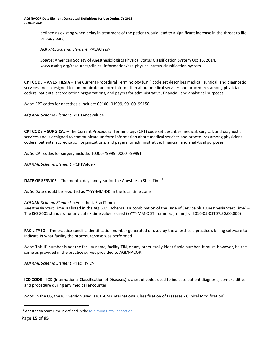<span id="page-15-5"></span>**AQI NACOR Data Element Conceptual Definitions for Use During CY 2019 Ju2019 v3.0**

> defined as existing when delay in treatment of the patient would lead to a significant increase in the threat to life or body part)

*AQI XML Schema Element*: <ASAClass>

*Source*: American Society of Anesthesiologists Physical Status Classification System Oct 15, 2014. [www.asahq.org/resources/clinical-information/asa-physical-status-classification-system](http://www.asahq.org/resources/clinical-information/asa-physical-status-classification-system)

<span id="page-15-0"></span>**CPT CODE – ANESTHESIA** – The Current Procedural Terminology (CPT) code set describes medical, surgical, and diagnostic services and is designed to communicate uniform information about medical services and procedures among physicians, coders, patients, accreditation organizations, and payers for administrative, financial, and analytical purposes

*Note*: CPT codes for anesthesia include: 00100–01999; 99100–99150.

*AQI XML Schema Element*: <CPTAnesValue>

<span id="page-15-1"></span>**CPT CODE – SURGICAL** – The Current Procedural Terminology (CPT) code set describes medical, surgical, and diagnostic services and is designed to communicate uniform information about medical services and procedures among physicians, coders, patients, accreditation organizations, and payers for administrative, financial, and analytical purposes

*Note*: CPT codes for surgery include: 10000-79999; 0000T-9999T.

*AQI XML Schema Element*: <CPTValue>

<span id="page-15-2"></span>**DATE OF SERVICE** – The month, day, and year for the Anesthesia Start Time<sup>[1](#page-15-5)</sup>

*Note*: Date should be reported as YYYY-MM-DD in the local time zone.

*AQI XML Schema Element*: <AnesthesiaStartTime>

Anesthesia Start Time<sup>1</sup> as listed in the AQI XML schema is a combination of the Date of Service plus Anesthesia Start Time<sup>1</sup> – The ISO 8601 standard for any date / time value is used (YYYY-MM-DDThh:mm:ss[.mmm] -> 2016-05-01T07:30:00.000)

<span id="page-15-3"></span>**FACILITY ID** – The practice specific identification number generated or used by the anesthesia practice's billing software to indicate in what facility the procedure/case was performed.

*Note*: This ID number is not the facility name, facility TIN, or any other easily identifiable number. It must, however, be the same as provided in the practice survey provided to AQI/NACOR.

*AQI XML Schema Element*: <FacilityID>

<span id="page-15-4"></span>**ICD CODE** – ICD (International Classification of Diseases) is a set of codes used to indicate patient diagnosis, comorbidities and procedure during any medical encounter

*Note*: In the US, the ICD version used is ICD-CM (International Classification of Diseases - Clinical Modification)

Page **15** of **95**

<sup>&</sup>lt;sup>1</sup> Anesthesia Start Time is defined in the **Minimum Data Set section**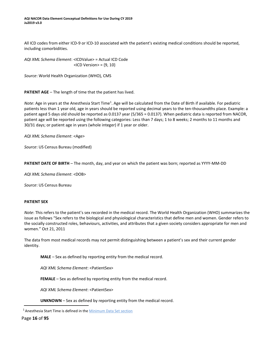**AQI NACOR Data Element Conceptual Definitions for Use During CY 2019 Ju2019 v3.0**

<span id="page-16-3"></span>All ICD codes from either ICD-9 or ICD-10 associated with the patient's existing medical conditions should be reported, including comorbidities.

*AQI XML Schema Element*: <ICDValue> = Actual ICD Code  $<$ ICD Version $>$  = {9, 10}

*Source*: World Health Organization (WHO), CMS

<span id="page-16-0"></span>**PATIENT AGE** – The length of time that the patient has lived.

Note: Age in years at the Anesthesia Start Time<sup>1</sup>[.](#page-16-3) Age will be calculated from the Date of Birth if available. For pediatric patients less than 1 year old, age in years should be reported using decimal years to the ten-thousandths place. Example: a patient aged 5 days old should be reported as 0.0137 year (5/365 = 0.0137). When pediatric data is reported from NACOR, patient age will be reported using the following categories: Less than 7 days; 1 to 8 weeks; 2 months to 11 months and 30/31 days; or patient age in years (whole integer) if 1 year or older.

*AQI XML Schema Element*: <Age>

*Source*: US Census Bureau (modified)

<span id="page-16-1"></span>**PATIENT DATE OF BIRTH** – The month, day, and year on which the patient was born; reported as YYYY-MM-DD

*AQI XML Schema Element*: <DOB>

*Source*: US Census Bureau

#### <span id="page-16-2"></span>**PATIENT SEX**

*Note*: This refers to the patient's sex recorded in the medical record. The World Health Organization (WHO) summarizes the issue as follows "Sex refers to the biological and physiological characteristics that define men and women. Gender refers to the socially constructed roles, behaviours, activities, and attributes that a given society considers appropriate for men and women." Oct 21, 2011

The data from most medical records may not permit distinguishing between a patient's sex and their current gender identity.

**MALE** – Sex as defined by reporting entity from the medical record.

*AQI XML Schema Element*: <PatientSex>

**FEMALE** – Sex as defined by reporting entity from the medical record.

*AQI XML Schema Element*: <PatientSex>

**UNKNOWN** – Sex as defined by reporting entity from the medical record.

<sup>1</sup> Anesthesia Start Time is defined in the **Minimum Data Set section** 

Page **16** of **95**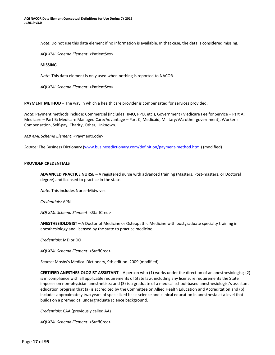*Note*: Do not use this data element if no information is available. In that case, the data is considered missing.

*AQI XML Schema Element*: <PatientSex>

#### **MISSING** –

*Note*: This data element is only used when nothing is reported to NACOR.

*AQI XML Schema Element*: <PatientSex>

<span id="page-17-0"></span>**PAYMENT METHOD** – The way in which a health care provider is compensated for services provided.

*Note*: Payment methods include: Commercial (includes HMO, PPO, etc.), Government (Medicare Fee for Service – Part A; Medicare – Part B; Medicare Managed Care/Advantage – Part C; Medicaid; Military/VA; other government), Worker's Compensation, Self-pay, Charity, Other, Unknown.

*AQI XML Schema Element*: <PaymentCode>

*Source*: The Business Dictionar[y \(www.businessdictionary.com/definition/payment-method.html\)](http://www.businessdictionary.com/definition/payment-method.html) (modified)

#### <span id="page-17-1"></span>**PROVIDER CREDENTIALS**

**ADVANCED PRACTICE NURSE** – A registered nurse with advanced training (Masters, Post-masters, or Doctoral degree) and licensed to practice in the state.

*Note:* This includes Nurse-Midwives.

*Credentials:* APN

*AQI XML Schema Element*: <StaffCred>

**ANESTHESIOLOGIST** – A Doctor of Medicine or Osteopathic Medicine with postgraduate specialty training in anesthesiology and licensed by the state to practice medicine.

*Credentials*: MD or DO

*AQI XML Schema Element*: <StaffCred>

*Source*: Mosby's Medical Dictionary, 9th edition. 2009 (modified)

**CERTIFIED ANESTHESIOLOGIST ASSISTANT** – A person who (1) works under the direction of an anesthesiologist; (2) is in compliance with all applicable requirements of State law, including any licensure requirements the State imposes on non-physician anesthetists; and (3) is a graduate of a medical school-based anesthesiologist's assistant education program that (a) is accredited by the Committee on Allied Health Education and Accreditation and (b) includes approximately two years of specialized basic science and clinical education in anesthesia at a level that builds on a premedical undergraduate science background.

*Credentials*: CAA (previously called AA)

*AQI XML Schema Element*: <StaffCred>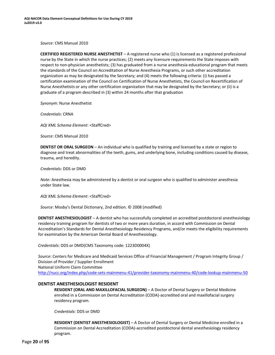*Source*: CMS Manual 2010

**CERTIFIED REGISTERED NURSE ANESTHETIST** – A registered nurse who (1) is licensed as a registered professional nurse by the State in which the nurse practices; (2) meets any licensure requirements the State imposes with respect to non-physician anesthetists; (3) has graduated from a nurse anesthesia educational program that meets the standards of the Council on Accreditation of Nurse Anesthesia Programs, or such other accreditation organization as may be designated by the Secretary; and (4) meets the following criteria: (i) has passed a certification examination of the Council on Certification of Nurse Anesthetists, the Council on Recertification of Nurse Anesthetists or any other certification organization that may be designated by the Secretary; or (ii) is a graduate of a program described in (3) within 24 months after that graduation

*Synonym*: Nurse Anesthetist

*Credentials*: CRNA

*AQI XML Schema Element*: <StaffCred>

*Source*: CMS Manual 2010

**DENTIST OR ORAL SURGEON** – An individual who is qualified by training and licensed by a state or region to diagnose and treat abnormalities of the teeth, gums, and underlying bone, including conditions caused by disease, trauma, and heredity.

*Credentials:* DDS or DMD

*Note:* Anesthesia may be administered by a dentist or oral surgeon who is qualified to administer anesthesia under State law.

*AQI XML Schema Element*: <StaffCred>

*Source*: Mosby's Dental Dictionary, 2nd edition. © 2008 (modified)

**DENTIST ANESTHESIOLOGIST** – A dentist who has successfully completed an accredited postdoctoral anesthesiology residency training program for dentists of two or more years duration, in accord with Commission on Dental Accreditation's Standards for Dental Anesthesiology Residency Programs, and/or meets the eligibility requirements for examination by the American Dental Board of Anesthesiology.

*Credentials*: DDS or DMD(CMS Taxonomy code: 1223D0004X)

*Source*: Centers for Medicare and Medicaid Services Office of Financial Management / Program Integrity Group / Division of Provider / Supplier Enrollment National Uniform Claim Committee <http://nucc.org/index.php/code-sets-mainmenu-41/provider-taxonomy-mainmenu-40/code-lookup-mainmenu-50>

#### **DENTIST ANESTHESIOLOGIST RESIDENT**

**RESIDENT (ORAL AND MAXILLOFACIAL SURGEON)** – A Doctor of Dental Surgery or Dental Medicine enrolled in a Commission on Dental Accreditation (CODA)-accredited oral and maxillofacial surgery residency program.

*Credentials:* DDS or DMD

**RESIDENT (DENTIST ANESTHESIOLOGIST)** – A Doctor of Dental Surgery or Dental Medicine enrolled in a Commission on Dental Accreditation (CODA)-accredited postdoctoral dental anesthesiology residency program.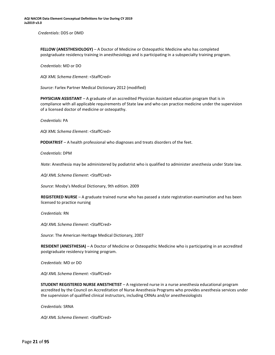*Credentials*: DDS or DMD

**FELLOW (ANESTHESIOLOGY)** – A Doctor of Medicine or Osteopathic Medicine who has completed postgraduate residency training in anesthesiology and is participating in a subspecialty training program.

*Credentials*: MD or DO

*AQI XML Schema Element*: <StaffCred>

*Source*: Farlex Partner Medical Dictionary 2012 (modified)

**PHYSICIAN ASSISTANT** – A graduate of an accredited Physician Assistant education program that is in compliance with all applicable requirements of State law and who can practice medicine under the supervision of a licensed doctor of medicine or osteopathy.

*Credentials:* PA

*AQI XML Schema Element*: <StaffCred>

**PODIATRIST** – A health professional who diagnoses and treats disorders of the feet.

*Credentials*: DPM

*Note:* Anesthesia may be administered by podiatrist who is qualified to administer anesthesia under State law.

*AQI XML Schema Element*: <StaffCred>

*Source*: Mosby's Medical Dictionary, 9th edition. 2009

**REGISTERED NURSE** – A graduate trained nurse who has passed a state registration examination and has been licensed to practice nursing

*Credentials:* RN

*AQI XML Schema Element*: <StaffCred>

*Source*: The American Heritage Medical Dictionary, 2007

**RESIDENT (ANESTHESIA)** – A Doctor of Medicine or Osteopathic Medicine who is participating in an accredited postgraduate residency training program.

*Credentials*: MD or DO

*AQI XML Schema Element*: <StaffCred>

**STUDENT REGISTERED NURSE ANESTHETIST** – A registered nurse in a nurse anesthesia educational program accredited by the Council on Accreditation of Nurse Anesthesia Programs who provides anesthesia services under the supervision of qualified clinical instructors, including CRNAs and/or anesthesiologists

*Credentials:* SRNA

*AQI XML Schema Element*: <StaffCred>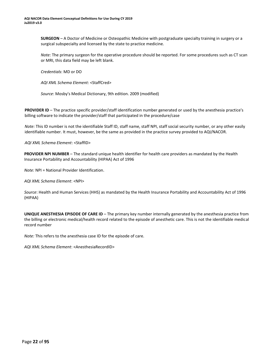**SURGEON** – A Doctor of Medicine or Osteopathic Medicine with postgraduate specialty training in surgery or a surgical subspecialty and licensed by the state to practice medicine.

*Note:* The primary surgeon for the operative procedure should be reported. For some procedures such as CT scan or MRI, this data field may be left blank.

*Credentials*: MD or DO

*AQI XML Schema Element*: <StaffCred>

*Source*: Mosby's Medical Dictionary, 9th edition. 2009 (modified)

<span id="page-20-0"></span>**PROVIDER ID** – The practice specific provider/staff identification number generated or used by the anesthesia practice's billing software to indicate the provider/staff that participated in the procedure/case

*Note:* This ID number is not the identifiable Staff ID, staff name, staff NPI, staff social security number, or any other easily identifiable number. It must, however, be the same as provided in the practice survey provided to AQI/NACOR.

*AQI XML Schema Element*: <StaffID>

<span id="page-20-1"></span>**PROVIDER NPI NUMBER** – The standard unique health identifier for health care providers as mandated by the Health Insurance Portability and Accountability (HIPAA) Act of 1996

*Note:* NPI = National Provider Identification.

*AQI XML Schema Element*: <NPI>

*Source*: Health and Human Services (HHS) as mandated by the Health Insurance Portability and Accountability Act of 1996 (HIPAA)

<span id="page-20-2"></span>**UNIQUE ANESTHESIA EPISODE OF CARE ID** – The primary key number internally generated by the anesthesia practice from the billing or electronic medical/health record related to the episode of anesthetic care. This is not the identifiable medical record number

*Note:* This refers to the anesthesia case ID for the episode of care.

*AQI XML Schema Element*: <AnesthesiaRecordID>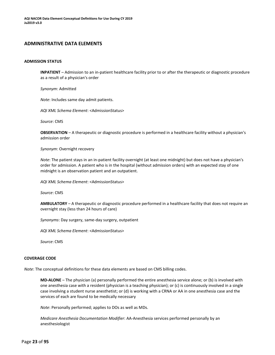#### <span id="page-21-0"></span>**ADMINISTRATIVE DATA ELEMENTS**

#### <span id="page-21-1"></span>**ADMISSION STATUS**

**INPATIENT** – Admission to an in-patient healthcare facility prior to or after the therapeutic or diagnostic procedure as a result of a physician's order

*Synonym*: Admitted

*Note*: Includes same day admit patients.

*AQI XML Schema Element*: <AdmissionStatus>

*Source*: CMS

**OBSERVATION** – A therapeutic or diagnostic procedure is performed in a healthcare facility without a physician's admission order

*Synonym*: Overnight recovery

*Note*: The patient stays in an in-patient facility overnight (at least one midnight) but does not have a physician's order for admission. A patient who is in the hospital (without admission orders) with an expected stay of one midnight is an observation patient and an outpatient.

*AQI XML Schema Element*: <AdmissionStatus>

*Source*: CMS

**AMBULATORY** – A therapeutic or diagnostic procedure performed in a healthcare facility that does not require an overnight stay (less than 24 hours of care)

*Synonyms*: Day surgery, same-day surgery, outpatient

*AQI XML Schema Element*: <AdmissionStatus>

*Source*: CMS

#### <span id="page-21-2"></span>**COVERAGE CODE**

*Note*: The conceptual definitions for these data elements are based on CMS billing codes.

**MD-ALONE** – The physician (a) personally performed the entire anesthesia service alone; or (b) is involved with one anesthesia case with a resident (physician is a teaching physician); or (c) is continuously involved in a single case involving a student nurse anesthetist; or (d) is working with a CRNA or AA in one anesthesia case and the services of each are found to be medically necessary

*Note*: Personally performed; applies to DOs as well as MDs.

*Medicare Anesthesia Documentation Modifier*: AA-Anesthesia services performed personally by an anesthesiologist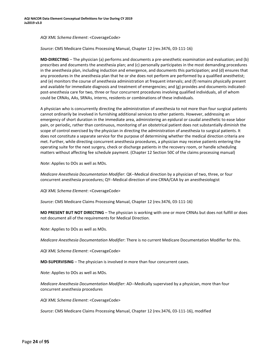*AQI XML Schema Element*: <CoverageCode>

*Source*: CMS Medicare Claims Processing Manual, Chapter 12 (rev.3476, 03-111-16)

**MD-DIRECTING** – The physician (a) performs and documents a pre-anesthetic examination and evaluation; and (b) prescribes and documents the anesthesia plan; and (c) personally participates in the most demanding procedures in the anesthesia plan, including induction and emergence, and documents this participation; and (d) ensures that any procedures in the anesthesia plan that he or she does not perform are performed by a qualified anesthetist; and (e) monitors the course of anesthesia administration at frequent intervals; and (f) remains physically present and available for immediate diagnosis and treatment of emergencies; and (g) provides and documents indicatedpost-anesthesia care for two, three or four concurrent procedures involving qualified individuals, all of whom could be CRNAs, AAs, SRNAs, interns, residents or combinations of these individuals.

A physician who is concurrently directing the administration of anesthesia to not more than four surgical patients cannot ordinarily be involved in furnishing additional services to other patients. However, addressing an emergency of short duration in the immediate area, administering an epidural or caudal anesthetic to ease labor pain, or periodic, rather than continuous, monitoring of an obstetrical patient does not substantially diminish the scope of control exercised by the physician in directing the administration of anesthesia to surgical patients. It does not constitute a separate service for the purpose of determining whether the medical direction criteria are met. Further, while directing concurrent anesthesia procedures, a physician may receive patients entering the operating suite for the next surgery, check or discharge patients in the recovery room, or handle scheduling matters without affecting fee schedule payment. (Chapter 12 Section 50C of the claims processing manual)

*Note*: Applies to DOs as well as MDs.

*Medicare Anesthesia Documentation Modifier*: QK--Medical direction by a physician of two, three, or four concurrent anesthesia procedures; QY--Medical direction of one CRNA/CAA by an anesthesiologist

*AQI XML Schema Element*: <CoverageCode>

*Source*: CMS Medicare Claims Processing Manual, Chapter 12 (rev.3476, 03-111-16)

**MD PRESENT BUT NOT DIRECTING** – The physician is working with one or more CRNAs but does not fulfill or does not document all of the requirements for Medical Direction.

*Note*: Applies to DOs as well as MDs.

*Medicare Anesthesia Documentation Modifier*: There is no current Medicare Documentation Modifier for this.

*AQI XML Schema Element*: <CoverageCode>

**MD-SUPERVISING** – The physician is involved in more than four concurrent cases.

*Note*: Applies to DOs as well as MDs.

*Medicare Anesthesia Documentation Modifier*: AD--Medically supervised by a physician, more than four concurrent anesthesia procedures

*AQI XML Schema Element*: <CoverageCode>

*Source*: CMS Medicare Claims Processing Manual, Chapter 12 (rev.3476, 03-111-16), modified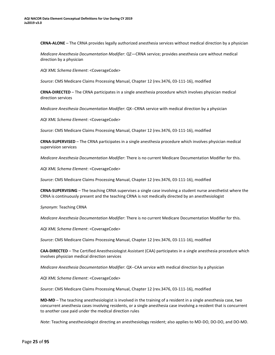**CRNA-ALONE** – The CRNA provides legally authorized anesthesia services without medical direction by a physician

*Medicare Anesthesia Documentation Modifier*: QZ—CRNA service; provides anesthesia care without medical direction by a physician

*AQI XML Schema Element*: <CoverageCode>

*Source*: CMS Medicare Claims Processing Manual, Chapter 12 (rev.3476, 03-111-16), modified

**CRNA-DIRECTED** – The CRNA participates in a single anesthesia procedure which involves physician medical direction services

*Medicare Anesthesia Documentation Modifier*: QX--CRNA service with medical direction by a physician

*AQI XML Schema Element*: <CoverageCode>

*Source*: CMS Medicare Claims Processing Manual, Chapter 12 (rev.3476, 03-111-16), modified

**CRNA-SUPERVISED** – The CRNA participates in a single anesthesia procedure which involves physician medical supervision services

*Medicare Anesthesia Documentation Modifier*: There is no current Medicare Documentation Modifier for this.

*AQI XML Schema Element*: <CoverageCode>

*Source*: CMS Medicare Claims Processing Manual, Chapter 12 (rev.3476, 03-111-16), modified

**CRNA-SUPERVISING** – The teaching CRNA supervises a single case involving a student nurse anesthetist where the CRNA is continuously present and the teaching CRNA is not medically directed by an anesthesiologist

*Synonym*: Teaching CRNA

*Medicare Anesthesia Documentation Modifier*: There is no current Medicare Documentation Modifier for this.

*AQI XML Schema Element*: <CoverageCode>

*Source*: CMS Medicare Claims Processing Manual, Chapter 12 (rev.3476, 03-111-16), modified

**CAA-DIRECTED** – The Certified Anesthesiologist Assistant (CAA) participates in a single anesthesia procedure which involves physician medical direction services

*Medicare Anesthesia Documentation Modifier*: QX--CAA service with medical direction by a physician

*AQI XML Schema Element*: <CoverageCode>

*Source*: CMS Medicare Claims Processing Manual, Chapter 12 (rev.3476, 03-111-16), modified

**MD-MD** – The teaching anesthesiologist is involved in the training of a resident in a single anesthesia case, two concurrent anesthesia cases involving residents, or a single anesthesia case involving a resident that is concurrent to another case paid under the medical direction rules

*Note*: Teaching anesthesiologist directing an anesthesiology resident; also applies to MD-DO, DO-DO, and DO-MD.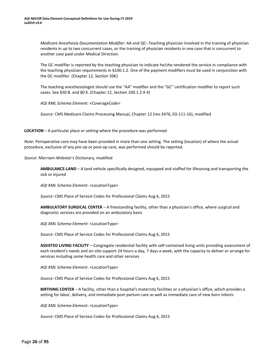*Medicare Anesthesia Documentation Modifier*: AA and QC--Teaching physician involved in the training of physician residents in up to two concurrent cases, or the training of physician residents in one case that is concurrent to another case paid under Medical Direction.

The GC modifier is reported by the teaching physician to indicate he/she rendered the service in compliance with the teaching physician requirements in §100.1.2. One of the payment modifiers must be used in conjunction with the GC modifier. (Chapter 12, Section 50K)

The teaching anesthesiologist should use the "AA" modifier and the "GC" certification modifier to report such cases. See §50 B. and §0 K. (Chapter 12, Section 100.1.2 A 4)

*AQI XML Schema Element*: <CoverageCode>

*Source*: CMS Medicare Claims Processing Manual, Chapter 12 (rev.3476, 03-111-16), modified

<span id="page-24-0"></span>**LOCATION** – A particular place or setting where the procedure was performed

*Note*: Perioperative care may have been provided in more than one setting. The setting (location) of where the actual procedure, exclusive of any pre-op or post-op care, was performed should be reported.

*Source*: Merriam-Webster's Dictionary, modified

**AMBULANCE-LAND** – A land vehicle specifically designed, equipped and staffed for lifesaving and transporting the sick or injured

*AQI XML Schema Element*: <LocationType>

*Source*: CMS Place of Service Codes for Professional Claims Aug 6, 2015

**AMBULATORY SURGICAL CENTER** – A freestanding facility, other than a physician's office, where surgical and diagnostic services are provided on an ambulatory basis

*AQI XML Schema Element*: <LocationType>

*Source*: CMS Place of Service Codes for Professional Claims Aug 6, 2015

**ASSISTED LIVING FACILITY** – Congregate residential facility with self-contained living units providing assessment of each resident's needs and on-site support 24 hours a day, 7 days a week, with the capacity to deliver or arrange for services including some health care and other services

*AQI XML Schema Element*: <LocationType>

*Source*: CMS Place of Service Codes for Professional Claims Aug 6, 2015

**BIRTHING CENTER** – A facility, other than a hospital's maternity facilities or a physician's office, which provides a setting for labor, delivery, and immediate post-partum care as well as immediate care of new born infants

*AQI XML Schema Element*: <LocationType>

*Source*: CMS Place of Service Codes for Professional Claims Aug 6, 2015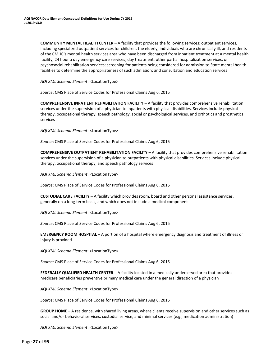**COMMUNITY MENTAL HEALTH CENTER** – A facility that provides the following services: outpatient services, including specialized outpatient services for children, the elderly, individuals who are chronically ill, and residents of the CMHC's mental health services area who have been discharged from inpatient treatment at a mental health facility; 24 hour a day emergency care services; day treatment, other partial hospitalization services, or psychosocial rehabilitation services; screening for patients being considered for admission to State mental health facilities to determine the appropriateness of such admission; and consultation and education services

*AQI XML Schema Element*: <LocationType>

*Source*: CMS Place of Service Codes for Professional Claims Aug 6, 2015

**COMPREHENSIVE INPATIENT REHABILITATION FACILITY** – A facility that provides comprehensive rehabilitation services under the supervision of a physician to inpatients with physical disabilities. Services include physical therapy, occupational therapy, speech pathology, social or psychological services, and orthotics and prosthetics services

*AQI XML Schema Element*: <LocationType>

*Source*: CMS Place of Service Codes for Professional Claims Aug 6, 2015

**COMPREHENSIVE OUTPATIENT REHABILITATION FACILITY** – A facility that provides comprehensive rehabilitation services under the supervision of a physician to outpatients with physical disabilities. Services include physical therapy, occupational therapy, and speech pathology services

*AQI XML Schema Element*: <LocationType>

*Source*: CMS Place of Service Codes for Professional Claims Aug 6, 2015

**CUSTODIAL CARE FACILITY** – A facility which provides room, board and other personal assistance services, generally on a long-term basis, and which does not include a medical component

*AQI XML Schema Element*: <LocationType>

*Source*: CMS Place of Service Codes for Professional Claims Aug 6, 2015

**EMERGENCY ROOM HOSPITAL** – A portion of a hospital where emergency diagnosis and treatment of illness or injury is provided

*AQI XML Schema Element*: <LocationType>

*Source*: CMS Place of Service Codes for Professional Claims Aug 6, 2015

**FEDERALLY QUALIFIED HEALTH CENTER** – A facility located in a medically underserved area that provides Medicare beneficiaries preventive primary medical care under the general direction of a physician

*AQI XML Schema Element*: <LocationType>

*Source*: CMS Place of Service Codes for Professional Claims Aug 6, 2015

**GROUP HOME** – A residence, with shared living areas, where clients receive supervision and other services such as social and/or behavioral services, custodial service, and minimal services (e.g., medication administration)

*AQI XML Schema Element*: <LocationType>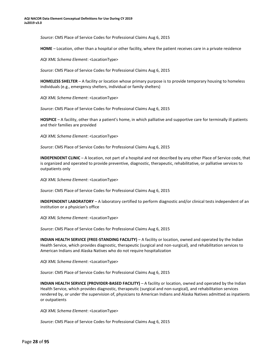*Source*: CMS Place of Service Codes for Professional Claims Aug 6, 2015

**HOME** – Location, other than a hospital or other facility, where the patient receives care in a private residence

*AQI XML Schema Element*: <LocationType>

*Source*: CMS Place of Service Codes for Professional Claims Aug 6, 2015

**HOMELESS SHELTER** – A facility or location whose primary purpose is to provide temporary housing to homeless individuals (e.g., emergency shelters, individual or family shelters)

*AQI XML Schema Element*: <LocationType>

*Source*: CMS Place of Service Codes for Professional Claims Aug 6, 2015

**HOSPICE** – A facility, other than a patient's home, in which palliative and supportive care for terminally ill patients and their families are provided

*AQI XML Schema Element*: <LocationType>

*Source*: CMS Place of Service Codes for Professional Claims Aug 6, 2015

**INDEPENDENT CLINIC** – A location, not part of a hospital and not described by any other Place of Service code, that is organized and operated to provide preventive, diagnostic, therapeutic, rehabilitative, or palliative services to outpatients only

*AQI XML Schema Element*: <LocationType>

*Source*: CMS Place of Service Codes for Professional Claims Aug 6, 2015

**INDEPENDENT LABORATORY** – A laboratory certified to perform diagnostic and/or clinical tests independent of an institution or a physician's office

*AQI XML Schema Element*: <LocationType>

*Source*: CMS Place of Service Codes for Professional Claims Aug 6, 2015

**INDIAN HEALTH SERVICE (FREE-STANDING FACILITY)** – A facility or location, owned and operated by the Indian Health Service, which provides diagnostic, therapeutic (surgical and non-surgical), and rehabilitation services to American Indians and Alaska Natives who do not require hospitalization

*AQI XML Schema Element*: <LocationType>

*Source*: CMS Place of Service Codes for Professional Claims Aug 6, 2015

**INDIAN HEALTH SERVICE (PROVIDER-BASED FACILITY)** – A facility or location, owned and operated by the Indian Health Service, which provides diagnostic, therapeutic (surgical and non-surgical), and rehabilitation services rendered by, or under the supervision of, physicians to American Indians and Alaska Natives admitted as inpatients or outpatients

*AQI XML Schema Element*: <LocationType>

*Source*: CMS Place of Service Codes for Professional Claims Aug 6, 2015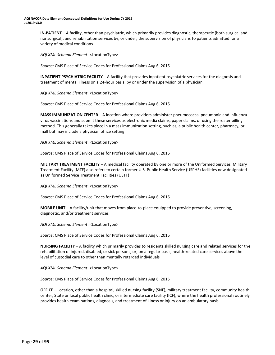**IN-PATIENT** – A facility, other than psychiatric, which primarily provides diagnostic, therapeutic (both surgical and nonsurgical), and rehabilitation services by, or under, the supervision of physicians to patients admitted for a variety of medical conditions

*AQI XML Schema Element*: <LocationType>

*Source*: CMS Place of Service Codes for Professional Claims Aug 6, 2015

**INPATIENT PSYCHIATRIC FACILITY** – A facility that provides inpatient psychiatric services for the diagnosis and treatment of mental illness on a 24-hour basis, by or under the supervision of a physician

*AQI XML Schema Element*: <LocationType>

*Source*: CMS Place of Service Codes for Professional Claims Aug 6, 2015

**MASS IMMUNIZATION CENTER** – A location where providers administer pneumococcal pneumonia and influenza virus vaccinations and submit these services as electronic media claims, paper claims, or using the roster billing method. This generally takes place in a mass immunization setting, such as, a public health center, pharmacy, or mall but may include a physician office setting

*AQI XML Schema Element*: <LocationType>

*Source*: CMS Place of Service Codes for Professional Claims Aug 6, 2015

**MILITARY TREATMENT FACILITY** – A medical facility operated by one or more of the Uniformed Services. Military Treatment Facility (MTF) also refers to certain former U.S. Public Health Service (USPHS) facilities now designated as Uniformed Service Treatment Facilities (USTF)

*AQI XML Schema Element*: <LocationType>

*Source*: CMS Place of Service Codes for Professional Claims Aug 6, 2015

**MOBILE UNIT** – A facility/unit that moves from place-to-place equipped to provide preventive, screening, diagnostic, and/or treatment services

*AQI XML Schema Element*: <LocationType>

*Source*: CMS Place of Service Codes for Professional Claims Aug 6, 2015

**NURSING FACILITY** – A facility which primarily provides to residents skilled nursing care and related services for the rehabilitation of injured, disabled, or sick persons, or, on a regular basis, health-related care services above the level of custodial care to other than mentally retarded individuals

*AQI XML Schema Element*: <LocationType>

*Source*: CMS Place of Service Codes for Professional Claims Aug 6, 2015

**OFFICE** – Location, other than a hospital, skilled nursing facility (SNF), military treatment facility, community health center, State or local public health clinic, or intermediate care facility (ICF), where the health professional routinely provides health examinations, diagnosis, and treatment of illness or injury on an ambulatory basis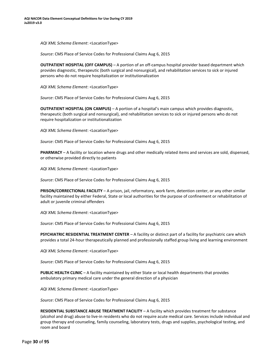*AQI XML Schema Element*: <LocationType>

*Source*: CMS Place of Service Codes for Professional Claims Aug 6, 2015

**OUTPATIENT HOSPITAL (OFF CAMPUS)** – A portion of an off-campus hospital provider based department which provides diagnostic, therapeutic (both surgical and nonsurgical), and rehabilitation services to sick or injured persons who do not require hospitalization or institutionalization

*AQI XML Schema Element*: <LocationType>

*Source*: CMS Place of Service Codes for Professional Claims Aug 6, 2015

**OUTPATIENT HOSPITAL (ON CAMPUS)** – A portion of a hospital's main campus which provides diagnostic, therapeutic (both surgical and nonsurgical), and rehabilitation services to sick or injured persons who do not require hospitalization or institutionalization

*AQI XML Schema Element*: <LocationType>

*Source*: CMS Place of Service Codes for Professional Claims Aug 6, 2015

**PHARMACY** – A facility or location where drugs and other medically related items and services are sold, dispensed, or otherwise provided directly to patients

*AQI XML Schema Element*: <LocationType>

*Source*: CMS Place of Service Codes for Professional Claims Aug 6, 2015

**PRISON/CORRECTIONAL FACILITY** – A prison, jail, reformatory, work farm, detention center, or any other similar facility maintained by either Federal, State or local authorities for the purpose of confinement or rehabilitation of adult or juvenile criminal offenders

*AQI XML Schema Element*: <LocationType>

*Source*: CMS Place of Service Codes for Professional Claims Aug 6, 2015

**PSYCHIATRIC RESIDENTIAL TREATMENT CENTER** – A facility or distinct part of a facility for psychiatric care which provides a total 24-hour therapeutically planned and professionally staffed group living and learning environment

*AQI XML Schema Element*: <LocationType>

*Source*: CMS Place of Service Codes for Professional Claims Aug 6, 2015

**PUBLIC HEALTH CLINIC** – A facility maintained by either State or local health departments that provides ambulatory primary medical care under the general direction of a physician

*AQI XML Schema Element*: <LocationType>

*Source*: CMS Place of Service Codes for Professional Claims Aug 6, 2015

**RESIDENTIAL SUBSTANCE ABUSE TREATMENT FACILITY** – A facility which provides treatment for substance (alcohol and drug) abuse to live-in residents who do not require acute medical care. Services include individual and group therapy and counseling, family counseling, laboratory tests, drugs and supplies, psychological testing, and room and board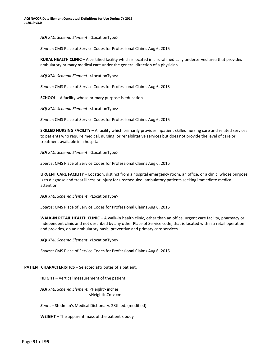*AQI XML Schema Element*: <LocationType>

*Source*: CMS Place of Service Codes for Professional Claims Aug 6, 2015

**RURAL HEALTH CLINIC** – A certified facility which is located in a rural medically underserved area that provides ambulatory primary medical care under the general direction of a physician

*AQI XML Schema Element*: <LocationType>

*Source*: CMS Place of Service Codes for Professional Claims Aug 6, 2015

**SCHOOL** – A facility whose primary purpose is education

*AQI XML Schema Element*: <LocationType>

*Source*: CMS Place of Service Codes for Professional Claims Aug 6, 2015

**SKILLED NURSING FACILITY** – A facility which primarily provides inpatient skilled nursing care and related services to patients who require medical, nursing, or rehabilitative services but does not provide the level of care or treatment available in a hospital

*AQI XML Schema Element*: <LocationType>

*Source*: CMS Place of Service Codes for Professional Claims Aug 6, 2015

**URGENT CARE FACILITY** – Location, distinct from a hospital emergency room, an office, or a clinic, whose purpose is to diagnose and treat illness or injury for unscheduled, ambulatory patients seeking immediate medical attention

*AQI XML Schema Element*: <LocationType>

*Source*: CMS Place of Service Codes for Professional Claims Aug 6, 2015

**WALK-IN RETAIL HEALTH CLINIC** – A walk-in health clinic, other than an office, urgent care facility, pharmacy or independent clinic and not described by any other Place of Service code, that is located within a retail operation and provides, on an ambulatory basis, preventive and primary care services

*AQI XML Schema Element*: <LocationType>

*Source*: CMS Place of Service Codes for Professional Claims Aug 6, 2015

<span id="page-29-0"></span>**PATIENT CHARACTERISTICS** – Selected attributes of a patient.

**HEIGHT** – Vertical measurement of the patient

*AQI XML Schema Element:* <Height> inches <HeightInCm> cm

*Source:* Stedman's Medical Dictionary. 28th ed. (modified)

**WEIGHT** – The apparent mass of the patient's body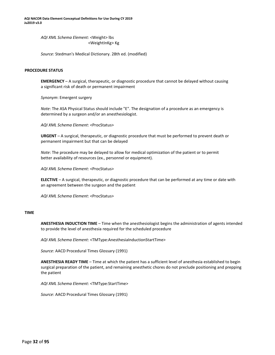**AQI NACOR Data Element Conceptual Definitions for Use During CY 2019 Ju2019 v3.0**

> *AQI XML Schema Element:* <Weight> lbs <WeightInKg> Kg

*Source:* Stedman's Medical Dictionary. 28th ed. (modified)

#### <span id="page-30-0"></span>**PROCEDURE STATUS**

**EMERGENCY** – A surgical, therapeutic, or diagnostic procedure that cannot be delayed without causing a significant risk of death or permanent impairment

*Synonym*: Emergent surgery

*Note*: The ASA Physical Status should include "E". The designation of a procedure as an emergency is determined by a surgeon and/or an anesthesiologist.

*AQI XML Schema Element*: <ProcStatus>

**URGENT** – A surgical, therapeutic, or diagnostic procedure that must be performed to prevent death or permanent impairment but that can be delayed

*Note*: The procedure may be delayed to allow for medical optimization of the patient or to permit better availability of resources (ex., personnel or equipment).

*AQI XML Schema Element*: <ProcStatus>

**ELECTIVE** – A surgical, therapeutic, or diagnostic procedure that can be performed at any time or date with an agreement between the surgeon and the patient

*AQI XML Schema Element*: <ProcStatus>

#### <span id="page-30-1"></span>**TIME**

**ANESTHESIA INDUCTION TIME** – Time when the anesthesiologist begins the administration of agents intended to provide the level of anesthesia required for the scheduled procedure

*AQI XML Schema Element*: <TMType:AnesthesiaInductionStartTime>

*Source*: AACD Procedural Times Glossary (1991)

**ANESTHESIA READY TIME** – Time at which the patient has a sufficient level of anesthesia established to begin surgical preparation of the patient, and remaining anesthetic chores do not preclude positioning and prepping the patient

*AQI XML Schema Element*: <TMType:StartTime>

*Source*: AACD Procedural Times Glossary (1991)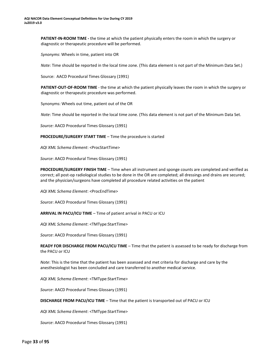**PATIENT-IN-ROOM TIME -** the time at which the patient physically enters the room in which the surgery or diagnostic or therapeutic procedure will be performed.

*Synonyms*: Wheels in time, patient into OR

*Note:* Time should be reported in the local time zone. (This data element is not part of the Minimum Data Set.)

Source: AACD Procedural Times Glossary (1991)

**PATIENT-OUT-OF-ROOM TIME** - the time at which the patient physically leaves the room in which the surgery or diagnostic or therapeutic procedure was performed.

Synonyms: Wheels out time, patient out of the OR

*Note*: Time should be reported in the local time zone. (This data element is not part of the Minimum Data Set.

*Source:* AACD Procedural Times Glossary (1991)

**PROCEDURE/SURGERY START TIME** – Time the procedure is started

*AQI XML Schema Element*: <ProcStartTime>

*Source*: AACD Procedural Times Glossary (1991)

**PROCEDURE/SURGERY FINISH TIME** – Time when all instrument and sponge counts are completed and verified as correct; all post-op radiological studies to be done in the OR are completed; all dressings and drains are secured; and the physician/surgeons have completed all procedure related activities on the patient

*AQI XML Schema Element*: <ProcEndTime>

*Source*: AACD Procedural Times Glossary (1991)

**ARRIVAL IN PACU/ICU TIME** – Time of patient arrival in PACU or ICU

*AQI XML Schema Element*: <TMType:StartTime>

*Source*: AACD Procedural Times Glossary (1991)

**READY FOR DISCHARGE FROM PACU/ICU TIME** – Time that the patient is assessed to be ready for discharge from the PACU or ICU

*Note*: This is the time that the patient has been assessed and met criteria for discharge and care by the anesthesiologist has been concluded and care transferred to another medical service.

*AQI XML Schema Element*: <TMType:StartTime>

*Source*: AACD Procedural Times Glossary (1991)

**DISCHARGE FROM PACU/ICU TIME** – Time that the patient is transported out of PACU or ICU

*AQI XML Schema Element*: <TMType:StartTime>

*Source*: AACD Procedural Times Glossary (1991)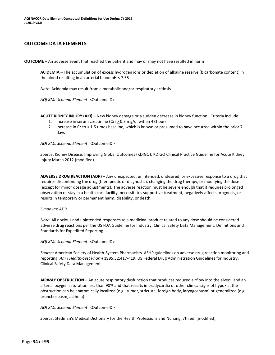#### <span id="page-32-0"></span>**OUTCOME DATA ELEMENTS**

<span id="page-32-2"></span><span id="page-32-1"></span>**OUTCOME** – An adverse event that reached the patient and may or may not have resulted in harm

**ACIDEMIA** – The accumulation of excess hydrogen ions or depletion of alkaline reserve (bicarbonate content) in the blood resulting in an arterial blood pH < 7.35

*Note*: Acidemia may result from a metabolic and/or respiratory acidosis.

*AQI XML Schema Element*: <OutcomeID>

<span id="page-32-3"></span>**ACUTE KIDNEY INJURY (AKI)** – New kidney damage or a sudden decrease in kidney function. Criteria include:

- 1. Increase in serum creatinine (Cr) > 0.3 mg/dl within 48hours
- 2. Increase in Cr to  $\geq$  1.5 times baseline, which is known or presumed to have occurred within the prior 7 days

*AQI XML Schema Element*: <OutcomeID>

*Source*: Kidney Disease: Improving Global Outcomes (KDIGO); KDIGO Clinical Practice Guideline for Acute Kidney Injury March 2012 (modified)

<span id="page-32-4"></span>**ADVERSE DRUG REACTION (ADR)** – Any unexpected, unintended, undesired, or excessive response to a drug that requires discontinuing the drug (therapeutic or diagnostic), changing the drug therapy, or modifying the dose (except for minor dosage adjustments). The adverse reaction must be severe enough that it requires prolonged observation or stay in a health care facility, necessitates supportive treatment, negatively affects prognosis, or results in temporary or permanent harm, disability, or death.

#### *Synonym*: ADR

*Note*: All noxious and unintended responses to a medicinal product related to any dose should be considered adverse drug reactions per the US FDA Guideline for Industry, Clinical Safety Data Management: Definitions and Standards for Expedited Reporting.

*AQI XML Schema Element*: <OutcomeID>

*Source*: American Society of Health-System Pharmacists. ASHP guidelines on adverse drug reaction monitoring and reporting. *Am J Health-Syst Pharm* 1995;52:417-419; US Federal Drug Administration Guidelines for Industry, Clinical Safety Data Management

<span id="page-32-5"></span>**AIRWAY OBSTRUCTION** – An acute respiratory dysfunction that produces reduced airflow into the alveoli and an arterial oxygen saturation less than 90% and that results in bradycardia or other clinical signs of hypoxia; the obstruction can be anatomically localized (e.g., tumor, stricture, foreign body, laryngospasm) or generalized (e.g., bronchospasm, asthma)

*AQI XML Schema Element*: <OutcomeID>

*Source*: Stedman's Medical Dictionary for the Health Professions and Nursing, 7th ed. (modified)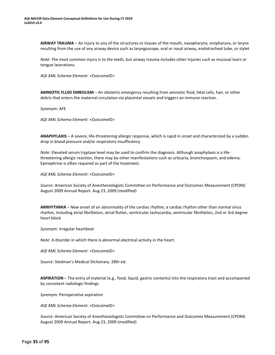<span id="page-33-0"></span>**AIRWAY TRAUMA** – An injury to any of the structures or tissues of the mouth, nasopharynx, oropharynx, or larynx resulting from the use of any airway device such as laryngoscope, oral or nasal airway, endotracheal tube, or stylet

*Note*: The most common injury is to the teeth, but airway trauma includes other injuries such as mucosal tears or tongue lacerations.

*AQI XML Schema Element*: <OutcomeID>

<span id="page-33-1"></span>**AMNIOTIC FLUID EMBOLISM** – An obstetric emergency resulting from amniotic fluid, fetal cells, hair, or other debris that enters the maternal circulation via placental vessels and triggers an immune reaction.

*Synonym*: AFE

*AQI XML Schema Element*: <OutcomeID>

<span id="page-33-2"></span>**ANAPHYLAXIS** – A severe, life-threatening allergic response, which is rapid in onset and characterized by a sudden drop in blood pressure and/or respiratory insufficiency

*Note*: Elevated serum tryptase level may be used to confirm the diagnosis. Although anaphylaxis is a lifethreatening allergic reaction, there may be other manifestations such as urticaria, bronchospasm, and edema. Epinephrine is often required as part of the treatment.

*AQI XML Schema Element*: <OutcomeID>

*Source*: American Society of Anesthesiologists Committee on Performance and Outcomes Measurement (CPOM) August 2009 Annual Report. Aug 23, 2009 (modified)

<span id="page-33-3"></span>**ARRHYTHMIA** – New onset of an abnormality of the cardiac rhythm; a cardiac rhythm other than normal sinus rhythm, including atrial fibrillation, atrial flutter, ventricular tachycardia, ventricular fibrillation, 2nd or 3rd degree heart block

*Synonym*: Irregular heartbeat

*Note*: A disorder in which there is abnormal electrical activity in the heart.

*AQI XML Schema Element*: <OutcomeID>

*Source*: Stedman's Medical Dictionary. 28th ed.

<span id="page-33-4"></span>**ASPIRATION** – The entry of material (e.g., food, liquid, gastric contents) into the respiratory tract and accompanied by consistent radiologic findings

*Synonym*: Perioperative aspiration

*AQI XML Schema Element*: <OutcomeID>

*Source*: American Society of Anesthesiologists Committee on Performance and Outcomes Measurement (CPOM) August 2009 Annual Report. Aug 23, 2009 (modified)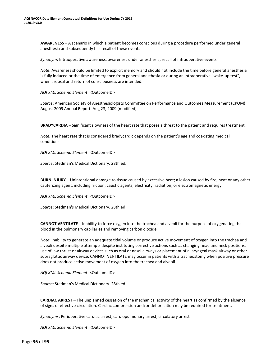<span id="page-34-0"></span>**AWARENESS** – A scenario in which a patient becomes conscious during a procedure performed under general anesthesia and subsequently has recall of these events

*Synonym*: Intraoperative awareness, awareness under anesthesia, recall of intraoperative events

*Note*: Awareness should be limited to explicit memory and should not include the time before general anesthesia is fully induced or the time of emergence from general anesthesia or during an intraoperative "wake-up test", when arousal and return of consciousness are intended.

*AQI XML Schema Element*: <OutcomeID>

*Source*: American Society of Anesthesiologists Committee on Performance and Outcomes Measurement (CPOM) August 2009 Annual Report. Aug 23, 2009 (modified)

<span id="page-34-1"></span>**BRADYCARDIA** – Significant slowness of the heart rate that poses a threat to the patient and requires treatment.

*Note:* The heart rate that is considered bradycardic depends on the patient's age and coexisting medical conditions.

*AQI XML Schema Element*: <OutcomeID>

*Source*: Stedman's Medical Dictionary. 28th ed.

<span id="page-34-2"></span>**BURN INJURY** – Unintentional damage to tissue caused by excessive heat; a lesion caused by fire, heat or any other cauterizing agent, including friction, caustic agents, electricity, radiation, or electromagnetic energy

*AQI XML Schema Element*: <OutcomeID>

*Source*: Stedman's Medical Dictionary. 28th ed.

<span id="page-34-3"></span>**CANNOT VENTILATE** – Inability to force oxygen into the trachea and alveoli for the purpose of oxygenating the blood in the pulmonary capillaries and removing carbon dioxide

*Note*: Inability to generate an adequate tidal volume or produce active movement of oxygen into the trachea and alveoli despite multiple attempts despite instituting corrective actions such as changing head and neck positions, use of jaw thrust or airway devices such as oral or nasal airways or placement of a laryngeal mask airway or other supraglottic airway device. CANNOT VENTILATE may occur in patients with a tracheostomy when positive pressure does not produce active movement of oxygen into the trachea and alveoli.

*AQI XML Schema Element*: <OutcomeID>

*Source*: Stedman's Medical Dictionary. 28th ed.

<span id="page-34-4"></span>**CARDIAC ARREST** – The unplanned cessation of the mechanical activity of the heart as confirmed by the absence of signs of effective circulation. Cardiac compression and/or defibrillation may be required for treatment.

*Synonyms*: Perioperative cardiac arrest, cardiopulmonary arrest, circulatory arrest

*AQI XML Schema Element*: <OutcomeID>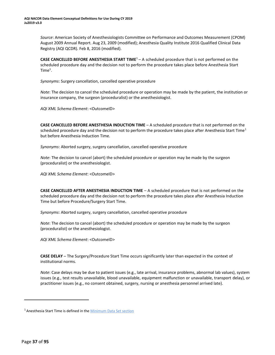*Source*: American Society of Anesthesiologists Committee on Performance and Outcomes Measurement (CPOM) August 2009 Annual Report. Aug 23, 2009 (modified); Anesthesia Quality Institute 2016 Qualified Clinical Data Registry (AQI QCDR). Feb 8, 2016 (modified).

<span id="page-35-0"></span>**CASE CANCELLED BEFORE ANESTHESIA START TIM[E](#page-35-4)**<sup>1</sup> – A scheduled procedure that is not performed on the scheduled procedure day and the decision not to perform the procedure takes place before Anesthesia Start  $Time<sup>1</sup>$ .

*Synonyms*: Surgery cancellation, cancelled operative procedure

*Note*: The decision to cancel the scheduled procedure or operation may be made by the patient, the institution or insurance company, the surgeon (proceduralist) or the anesthesiologist.

*AQI XML Schema Element*: <OutcomeID>

<span id="page-35-1"></span>**CASE CANCELLED BEFORE ANESTHESIA INDUCTION TIME** – A scheduled procedure that is not performed on the scheduled procedure day and the decision not to perform the procedure takes place after Anesthesia Start Time<sup>1</sup> but before Anesthesia Induction Time.

*Synonyms*: Aborted surgery, surgery cancellation, cancelled operative procedure

*Note*: The decision to cancel (abort) the scheduled procedure or operation may be made by the surgeon (proceduralist) or the anesthesiologist.

*AQI XML Schema Element*: <OutcomeID>

<span id="page-35-2"></span>**CASE CANCELLED AFTER ANESTHESIA INDUCTION TIME** – A scheduled procedure that is not performed on the scheduled procedure day and the decision not to perform the procedure takes place after Anesthesia Induction Time but before Procedure/Surgery Start Time.

*Synonyms*: Aborted surgery, surgery cancellation, cancelled operative procedure

*Note*: The decision to cancel (abort) the scheduled procedure or operation may be made by the surgeon (proceduralist) or the anesthesiologist.

*AQI XML Schema Element*: <OutcomeID>

<span id="page-35-3"></span>**CASE DELAY** – The Surgery/Procedure Start Time occurs significantly later than expected in the context of institutional norms.

*Note*: Case delays may be due to patient issues (e.g., late arrival, insurance problems, abnormal lab values), system issues (e.g., test results unavailable, blood unavailable, equipment malfunction or unavailable, transport delay), or practitioner issues (e.g., no consent obtained, surgery, nursing or anesthesia personnel arrived late).

<span id="page-35-4"></span><sup>&</sup>lt;sup>1</sup> Anesthesia Start Time is defined in the **Minimum Data Set section**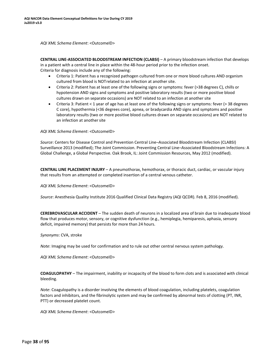*AQI XML Schema Element*: <OutcomeID>

**CENTRAL LINE-ASSOCIATED BLOODSTREAM INFECTION (CLABSI)** – A primary bloodstream infection that develops in a patient with a central line in place within the 48-hour period prior to the infection onset. Criteria for diagnosis include any of the following:

- Criteria 1: Patient has a recognized pathogen cultured from one or more blood cultures AND organism cultured from blood is NOTrelated to an infection at another site.
- Criteria 2: Patient has at least one of the following signs or symptoms: fever (>38 degrees C), chills or hypotension AND signs and symptoms and positive laboratory results (two or more positive blood cultures drawn on separate occasions) are NOT related to an infection at another site
- Criteria 3: Patient < 1 year of age has at least one of the following signs or symptoms: fever (> 38 degrees C core), hypothermia (<36 degrees core), apnea, or bradycardia AND signs and symptoms and positive laboratory results (two or more positive blood cultures drawn on separate occasions) are NOT related to an infection at another site

*AQI XML Schema Element*: <OutcomeID>

*Source*: Centers for Disease Control and Prevention Central Line–Associated Bloodstream Infection (CLABSI) Surveillance 2013 (modified); The Joint Commission. Preventing Central Line–Associated Bloodstream Infections: A Global Challenge, a Global Perspective. Oak Brook, IL: Joint Commission Resources, May 2012 (modified).

**CENTRAL LINE PLACEMENT INJURY** – A pneumothorax, hemothorax, or thoracic duct, cardiac, or vascular injury that results from an attempted or completed insertion of a central venous catheter.

*AQI XML Schema Element*: <OutcomeID>

*Source*: Anesthesia Quality Institute 2016 Qualified Clinical Data Registry (AQI QCDR). Feb 8, 2016 (modified).

**CEREBROVASCULAR ACCIDENT** – The sudden death of neurons in a localized area of brain due to inadequate blood flow that produces motor, sensory, or cognitive dysfunction (e.g., hemiplegia, hemiparesis, aphasia, sensory deficit, impaired memory) that persists for more than 24 hours.

*Synonyms*: CVA, stroke

*Note*: Imaging may be used for confirmation and to rule out other central nervous system pathology.

*AQI XML Schema Element*: <OutcomeID>

**COAGULOPATHY** – The impairment, inability or incapacity of the blood to form clots and is associated with clinical bleeding.

*Note*: Coagulopathy is a disorder involving the elements of blood coagulation, including platelets, coagulation factors and inhibitors, and the fibrinolytic system and may be confirmed by abnormal tests of clotting (PT, INR, PTT) or decreased platelet count.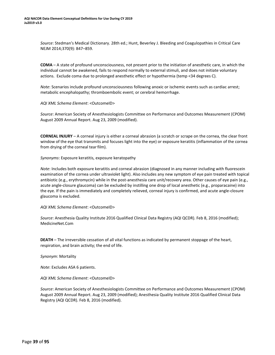*Source*: Stedman's Medical Dictionary. 28th ed.; Hunt, Beverley J. Bleeding and Coagulopathies in Critical Care NEJM 2014;370(9): 847–859.

**COMA** – A state of profound unconsciousness, not present prior to the initiation of anesthetic care, in which the individual cannot be awakened, fails to respond normally to external stimuli, and does not initiate voluntary actions. Exclude coma due to prolonged anesthetic effect or hypothermia (temp <34 degrees C).

*Note*: Scenarios include profound unconsciousness following anoxic or ischemic events such as cardiac arrest; metabolic encephalopathy; thromboembolic event; or cerebral hemorrhage.

*AQI XML Schema Element*: <OutcomeID>

*Source*: American Society of Anesthesiologists Committee on Performance and Outcomes Measurement (CPOM) August 2009 Annual Report. Aug 23, 2009 (modified).

**CORNEAL INJURY** – A corneal injury is either a corneal abrasion (a scratch or scrape on the cornea, the clear front window of the eye that transmits and focuses light into the eye) or exposure keratitis (inflammation of the cornea from drying of the corneal tear film).

*Synonyms*: Exposure keratitis, exposure keratopathy

*Note*: Includes both exposure keratitis and corneal abrasion (diagnosed in any manner including with fluorescein examination of the cornea under ultraviolet light). Also includes any new symptom of eye pain treated with topical antibiotic (e.g., erythromycin) while in the post-anesthesia care unit/recovery area. Other causes of eye pain (e.g., acute angle-closure glaucoma) can be excluded by instilling one drop of local anesthetic (e.g., proparacaine) into the eye. If the pain is immediately and completely relieved, corneal injury is confirmed, and acute angle-closure glaucoma is excluded.

*AQI XML Schema Element*: <OutcomeID>

*Source*: Anesthesia Quality Institute 2016 Qualified Clinical Data Registry (AQI QCDR). Feb 8, 2016 (modified); MedicineNet.Com

**DEATH** – The irreversible cessation of all vital functions as indicated by permanent stoppage of the heart, respiration, and brain activity; the end of life.

*Synonym*: Mortality

*Note*: Excludes ASA 6 patients.

*AQI XML Schema Element*: <OutcomeID>

*Source*: American Society of Anesthesiologists Committee on Performance and Outcomes Measurement (CPOM) August 2009 Annual Report. Aug 23, 2009 (modified); Anesthesia Quality Institute 2016 Qualified Clinical Data Registry (AQI QCDR). Feb 8, 2016 (modified).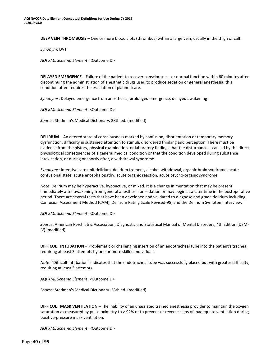**DEEP VEIN THROMBOSIS** – One or more blood clots (thrombus) within a large vein, usually in the thigh or calf.

*Synonym*: DVT

*AQI XML Schema Element*: <OutcomeID>

**DELAYED EMERGENCE** – Failure of the patient to recover consciousness or normal function within 60 minutes after discontinuing the administration of anesthetic drugs used to produce sedation or general anesthesia; this condition often requires the escalation of plannedcare.

*Synonyms*: Delayed emergence from anesthesia, prolonged emergence, delayed awakening

*AQI XML Schema Element*: <OutcomeID>

*Source*: Stedman's Medical Dictionary. 28th ed. (modified)

**DELIRIUM** – An altered state of consciousness marked by confusion, disorientation or temporary memory dysfunction, difficulty in sustained attention to stimuli, disordered thinking and perception. There must be evidence from the history, physical examination, or laboratory findings that the disturbance is caused by the direct physiological consequences of a general medical condition or that the condition developed during substance intoxication, or during or shortly after, a withdrawal syndrome.

*Synonyms*: Intensive care unit delirium, delirium tremens, alcohol withdrawal, organic brain syndrome, acute confusional state, acute encephalopathy, acute organic reaction, acute psycho-organic syndrome

*Note*: Delirium may be hyperactive, hypoactive, or mixed. It is a change in mentation that may be present immediately after awakening from general anesthesia or sedation or may begin at a later time in the postoperative period. There are several tests that have been developed and validated to diagnose and grade delirium including Confusion Assessment Method (CAM), Delirium Rating Scale Revised-98, and the Delirium Symptom Interview.

*AQI XML Schema Element*: <OutcomeID>

*Source*: American Psychiatric Association, Diagnostic and Statistical Manual of Mental Disorders, 4th Edition (DSM-IV) (modified)

**DIFFICULT INTUBATION** – Problematic or challenging insertion of an endotracheal tube into the patient's trachea, requiring at least 3 attempts by one or more skilled individuals.

*Note*: "Difficult intubation" indicates that the endotracheal tube was successfully placed but with greater difficulty, requiring at least 3 attempts.

*AQI XML Schema Element*: <OutcomeID>

*Source*: Stedman's Medical Dictionary. 28th ed. (modified)

**DIFFICULT MASK VENTILATION** – The inability of an unassisted trained anesthesia provider to maintain the oxygen saturation as measured by pulse oximetry to > 92% or to prevent or reverse signs of inadequate ventilation during positive-pressure mask ventilation.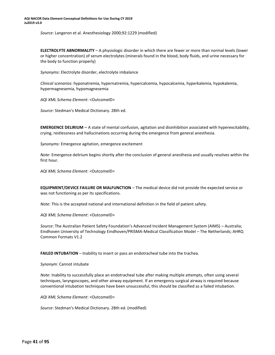*Source*: Langeron et al. Anesthesiology 2000;92:1229 (modified)

**ELECTROLYTE ABNORMALITY** – A physiologic disorder in which there are fewer or more than normal levels (lower or higher concentration) of serum electrolytes (minerals found in the blood, body fluids, and urine necessary for the body to function properly)

*Synonyms*: Electrolyte disorder, electrolyte imbalance

*Clinical scenarios*: hyponatremia, hypernatremia, hypercalcemia, hypocalcemia, hyperkalemia, hypokalemia, hypermagnesemia, hypomagnesemia

*AQI XML Schema Element*: <OutcomeID>

*Source*: Stedman's Medical Dictionary. 28th ed.

**EMERGENCE DELIRIUM** – A state of mental confusion, agitation and disinhibition associated with hyperexcitability, crying, restlessness and hallucinations occurring during the emergence from general anesthesia.

*Synonyms*: Emergence agitation, emergence excitement

*Note*: Emergence delirium begins shortly after the conclusion of general anesthesia and usually resolves within the first hour.

*AQI XML Schema Element*: <OutcomeID>

**EQUIPMENT/DEVICE FAILURE OR MALFUNCTION** – The medical device did not provide the expected service or was not functioning as per its specifications.

*Note*: This is the accepted national and international definition in the field of patient safety.

*AQI XML Schema Element*: <OutcomeID>

*Source*: The Australian Patient Safety Foundation's Advanced Incident Management System (AIMS) – Australia; Eindhoven University of Technology Eindhoven/PRISMA-Medical Classification Model – The Netherlands; AHRQ Common Formats V1.2

**FAILED INTUBATION** – Inability to insert or pass an endotracheal tube into the trachea.

*Synonym*: Cannot intubate

*Note*: Inability to successfully place an endotracheal tube after making multiple attempts, often using several techniques, laryngoscopes, and other airway equipment. If an emergency surgical airway is required because conventional intubation techniques have been unsuccessful, this should be classified as a failed intubation.

*AQI XML Schema Element*: <OutcomeID>

*Source*: Stedman's Medical Dictionary. 28th ed. (modified)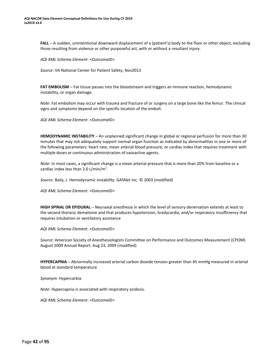**FALL** – A sudden, unintentional downward displacement of a (patient's) body to the floor or other object, excluding those resulting from violence or other purposeful act, with or without a resultant injury.

*AQI XML Schema Element*: <OutcomeID>

*Source*: VA National Center for Patient Safety, Nov2013

**FAT EMBOLISM** – Fat tissue passes into the bloodstream and triggers an immune reaction, hemodynamic instability, or organ damage.

*Note*: Fat embolism may occur with trauma and fracture of or surgery on a large bone like the femur. The clinical signs and symptoms depend on the specific location of the emboli.

*AQI XML Schema Element*: <OutcomeID>

**HEMODYNAMIC INSTABILITY** – An unplanned significant change in global or regional perfusion for more than 30 minutes that may not adequately support normal organ function as indicated by abnormalities in one or more of the following parameters: heart rate, mean arterial blood pressure, or cardiac index that requires treatment with multiple doses or continuous administration of vasoactive agents.

*Note:* In most cases, a significant change is a mean arterial pressure that is more than 20% from baseline or a cardiac index less than 2.0 L/min/m<sup>2</sup>.

*Source*: Baily, J. Hemodynamic instability. GASNet Inc. © 2003 (modified)

*AQI XML Schema Element*: <OutcomeID>

**HIGH SPINAL OR EPIDURAL** – Neuraxial anesthesia in which the level of sensory denervation extends at least to the second thoracic dematome and that produces hypotension, bradycardia, and/or respiratory insufficiency that requires intubation or ventilatory assistance

*AQI XML Schema Element*: <OutcomeID>

*Source*: American Society of Anesthesiologists Committee on Performance and Outcomes Measurement (CPOM) August 2009 Annual Report. Aug 23, 2009 (modified)

**HYPERCAPNIA** – Abnormally increased arterial carbon dioxide tension greater than 45 mmHg measured in arterial blood at standard temperature

*Synonym*: Hypercarbia

*Note*: Hypercapnia is associated with respiratory acidosis.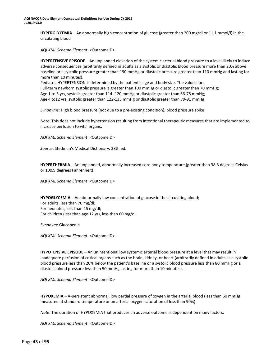**HYPERGLYCEMIA** – An abnormally high concentration of glucose (greater than 200 mg/dl or 11.1 mmol/l) in the circulating blood

*AQI XML Schema Element*: <OutcomeID>

**HYPERTENSIVE EPISODE** – An unplanned elevation of the systemic arterial blood pressure to a level likely to induce adverse consequences (arbitrarily defined in adults as a systolic or diastolic blood pressure more than 20% above baseline or a systolic pressure greater than 190 mmHg or diastolic pressure greater than 110 mmHg and lasting for more than 10 minutes).

Pediatric HYPERTENSION is determined by the patient's age and body size. The values for: Full-term newborn systolic pressure is greater than 100 mmHg or diastolic greater than 70 mmHg; Age 1 to 3 yrs, systolic greater than 114 -120 mmHg or diastolic greater than 66-75 mmHg; Age 4 to12 yrs, systolic greater than 122-135 mmHg or diastolic greater than 79-91 mmHg

*Synonyms*: High blood pressure (not due to a pre-existing condition), blood pressure spike

*Note*: This does not include hypertension resulting from intentional therapeutic measures that are implemented to increase perfusion to vital organs.

*AQI XML Schema Element*: <OutcomeID>

*Source*: Stedman's Medical Dictionary. 28th ed.

**HYPERTHERMIA** – An unplanned, abnormally increased core body temperature (greater than 38.3 degrees Celsius or 100.9 degrees Fahrenheit);

*AQI XML Schema Element*: <OutcomeID>

**HYPOGLYCEMIA** – An abnormally low concentration of glucose in the circulating blood; For adults, less than 70 mg/dl; For neonates, less than 45 mg/dl; For children (less than age 12 yr), less than 60 mg/dl

*Synonym*: Glucopenia

*AQI XML Schema Element*: <OutcomeID>

**HYPOTENSIVE EPISODE** – An unintentional low systemic arterial blood pressure at a level that may result in inadequate perfusion of critical organs such as the brain, kidney, or heart (arbitrarily defined in adults as a systolic blood pressure less than 20% below the patient's baseline or a systolic blood pressure less than 80 mmHg or a diastolic blood pressure less than 50 mmHg lasting for more than 10 minutes).

*AQI XML Schema Element*: <OutcomeID>

**HYPOXEMIA** – A-persistent abnormal, low partial pressure of oxygen in the arterial blood (less than 60 mmHg measured at standard temperature or an arterial oxygen saturation of less than 90%)

*Note*: The duration of HYPOXEMIA that produces an adverse outcome is dependent on many factors.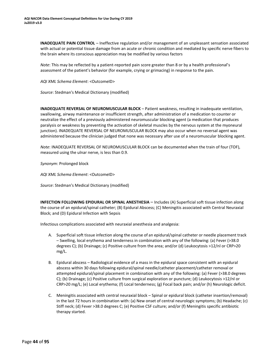**INADEQUATE PAIN CONTROL** – Ineffective regulation and/or management of an unpleasant sensation associated with actual or potential tissue damage from an acute or chronic condition and mediated by specific nerve fibers to the brain where its conscious appreciation may be modified by various factors

*Note*: This may be reflected by a patient-reported pain score greater than 8 or by a health professional's assessment of the patient's behavior (for example, crying or grimacing) in response to the pain.

*AQI XML Schema Element*: <OutcomeID>

*Source*: Stedman's Medical Dictionary (modified)

**INADEQUATE REVERSAL OF NEUROMUSCULAR BLOCK** – Patient weakness, resulting in inadequate ventilation, swallowing, airway maintenance or insufficient strength, after administration of a medication to counter or neutralize the effect of a previously administered neuromuscular blocking agent (a medication that produces paralysis or weakness by preventing the activation of skeletal muscles by the nervous system at the myoneural junction). INADEQUATE REVERSAL OF NEUROMUSCULAR BLOCK may also occur when no reversal agent was administered because the clinician judged that none was necessary after use of a neuromuscular blocking agent.

*Note*: INADEQUATE REVERSAL OF NEUROMUSCULAR BLOCK can be documented when the train of four (TOF), measured using the ulnar nerve, is less than 0.9.

*Synonym*: Prolonged block

*AQI XML Schema Element*: <OutcomeID>

*Source*: Stedman's Medical Dictionary (modified)

**INFECTION FOLLOWING EPIDURAL OR SPINAL ANESTHESIA** – Includes (A) Superficial soft tissue infection along the course of an epidural/spinal catheter; (B) Epidural Abscess; (C) Meningitis associated with Central Neuraxial Block; and (D) Epidural Infection with Sepsis

Infectious complications associated with neuraxial anesthesia and analgesia:

- A. Superficial soft tissue infection along the course of an epidural/spinal catheter or needle placement track – Swelling, local erythema and tenderness in combination with any of the following: (a) Fever (>38.0 degrees C); (b) Drainage; (c) Positive culture from the area; and/or (d) Leukocytosis >12/nl or CRP>20 mg/L.
- B. Epidural abscess Radiological evidence of a mass in the epidural space consistent with an epidural abscess within 30 days following epidural/spinal needle/catheter placement/catheter removal or attempted epidural/spinal placement in combination with any of the following: (a) Fever (>38.0 degrees C); (b) Drainage; (c) Positive culture from surgical exploration or puncture; (d) Leukocytosis >12/nl or CRP>20 mg/L; (e) Local erythema; (f) Local tenderness; (g) Focal back pain; and/or (h) Neurologic deficit.
- C. Meningitis associated with central neuraxial block Spinal or epidural block (catheter insertion/removal) in the last 72 hours in combination with: (a) New onset of central neurologic symptoms; (b) Headache; (c) Stiff neck; (d) Fever >38.0 degrees C; (e) Positive CSF culture; and/or (f) Meningitis specific antibiotic therapy started.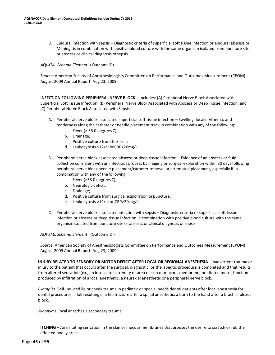D. Epidural infection with sepsis – Diagnostic criteria of superficial soft tissue infection or epidural abscess or Meningitis in combination with positive blood culture with the same organism isolated from puncture site or abscess or clinical diagnosis ofsepsis.

## *AQI XML Schema Element*: <OutcomeID>

*Source*: American Society of Anesthesiologists Committee on Performance and Outcomes Measurement (CPOM) August 2009 Annual Report. Aug 23, 2009

**INFECTION FOLLOWING PERIPHERAL NERVE BLOCK** – Includes: (A) Peripheral Nerve Block Associated with Superficial Soft Tissue Infection; (B) Peripheral Nerve Block Associated with Abscess or Deep Tissue Infection; and (C) Peripheral Nerve Block Associated with Sepsis

- A. Peripheral nerve block associated superficial soft tissue infection Swelling, local erythema, and tenderness along the catheter or needle placement track in combination with any of the following:
	- a. Fever (> 38.0 degrees C);
	- b. Drainage;
	- c. Positive culture from the area;
	- d. Leukocytosis >12/nl orCRP>20mg/L
- B. Peripheral nerve block associated abscess or deep tissue infection Evidence of an abscess or fluid collection consistent with an infectious process by imaging or surgical exploration within 30 daysfollowing peripheral nerve block needle placement/catheter removal or attempted placement, especially if in combination with any of thefollowing:
	- a. Fever (>38.0 degrees C);
	- b. Neurologic deficit;
	- c. Drainage;
	- d. Positive culture from surgical exploration orpuncture;
	- e. Leukocytosis >12/nl or CRP>20mg/L
- C. Peripheral nerve block associated infection with sepsis Diagnostic criteria of superficial soft tissue infection or abscess or deep tissue infection in combination with positive blood culture with the same organism isolated from puncture site or abscess or clinical diagnosis of sepsis.

*AQI XML Schema Element*: <OutcomeID>

*Source*: American Society of Anesthesiologists Committee on Performance and Outcomes Measurement (CPOM) August 2009 Annual Report. Aug 23, 2009

**INJURY RELATED TO SENSORY OR MOTOR DEFICIT AFTER LOCAL OR REGIONAL ANESTHESIA** - Inadvertent trauma or injury to the patient that occurs after the surgical, diagnostic, or therapeutic procedure is completed and that results from altered sensation (ex., an insensate extremity or area of skin or mucous membrane) or altered motor function produced by infiltration of a local anesthetic, a neuraxial anesthetic or a peripheral nerve block.

*Examples:* Self-induced lip or cheek trauma in pediatric or special needs dental patients after local anesthesia for dental procedures, a fall resulting in a hip fracture after a spinal anesthetic, a burn to the hand after a brachial plexus block.

*Synonyms:* local anesthesia secondary trauma

**ITCHING** – An irritating sensation in the skin or mucous membranes that arouses the desire to scratch or rub the affected bodily areas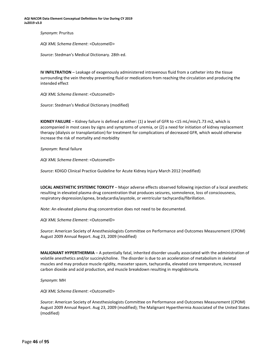**AQI NACOR Data Element Conceptual Definitions for Use During CY 2019 Ju2019 v3.0**

*Synonym*: Pruritus

*AQI XML Schema Element*: <OutcomeID>

*Source*: Stedman's Medical Dictionary. 28th ed.

**IV INFILTRATION** – Leakage of exogenously administered intravenous fluid from a catheter into the tissue surrounding the vein thereby preventing fluid or medications from reaching the circulation and producing the intended effect

*AQI XML Schema Element*: <OutcomeID>

*Source*: Stedman's Medical Dictionary (modified)

**KIDNEY FAILURE** – Kidney failure is defined as either: (1) a level of GFR to <15 mL/min/1.73 m2, which is accompanied in most cases by signs and symptoms of uremia, or (2) a need for initiation of kidney replacement therapy (dialysis or transplantation) for treatment for complications of decreased GFR, which would otherwise increase the risk of mortality and morbidity

*Synonym*: Renal failure

*AQI XML Schema Element*: <OutcomeID>

*Source*: KDIGO Clinical Practice Guideline for Acute Kidney Injury March 2012 (modified)

**LOCAL ANESTHETIC SYSTEMIC TOXICITY** – Major adverse effects observed following injection of a local anesthetic resulting in elevated plasma drug concentration that produces seizures, somnolence, loss of consciousness, respiratory depression/apnea, bradycardia/asystole, or ventricular tachycardia/fibrillation.

*Note*: An elevated plasma drug concentration does not need to be documented.

*AQI XML Schema Element*: <OutcomeID>

*Source*: American Society of Anesthesiologists Committee on Performance and Outcomes Measurement (CPOM) August 2009 Annual Report. Aug 23, 2009 (modified)

**MALIGNANT HYPERTHERMIA** – A potentially fatal, inherited disorder usually associated with the administration of volatile anesthetics and/or succinylcholine. The disorder is due to an acceleration of metabolism in skeletal muscles and may produce muscle rigidity, masseter spasm, tachycardia, elevated core temperature, increased carbon dioxide and acid production, and muscle breakdown resulting in myoglobinuria.

*Synonym*: MH

*AQI XML Schema Element*: <OutcomeID>

*Source*: American Society of Anesthesiologists Committee on Performance and Outcomes Measurement (CPOM) August 2009 Annual Report. Aug 23, 2009 (modified); The Malignant Hyperthermia Associated of the United States (modified)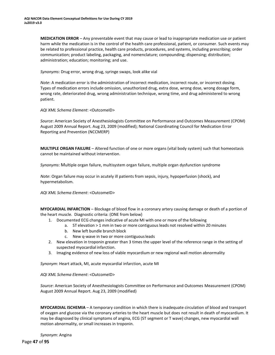**MEDICATION ERROR** – Any preventable event that may cause or lead to inappropriate medication use or patient harm while the medication is in the control of the health care professional, patient, or consumer. Such events may be related to professional practice, health care products, procedures, and systems, including prescribing; order communication; product labeling, packaging, and nomenclature; compounding; dispensing; distribution; administration; education; monitoring; and use.

*Synonyms*: Drug error, wrong drug, syringe swaps, look alike vial

*Note*: A medication error is the administration of incorrect medication, incorrect route, or incorrect dosing. Types of medication errors include omission, unauthorized drug, extra dose, wrong dose, wrong dosage form, wrong rate, deteriorated drug, wrong administration technique, wrong time, and drug administered to wrong patient.

*AQI XML Schema Element*: <OutcomeID>

*Source*: American Society of Anesthesiologists Committee on Performance and Outcomes Measurement (CPOM) August 2009 Annual Report. Aug 23, 2009 (modified); National Coordinating Council for Medication Error Reporting and Prevention (NCCMERP)

**MULTIPLE ORGAN FAILURE** – Altered function of one or more organs (vital body system) such that homeostasis cannot be maintained without intervention.

*Synonyms*: Multiple organ failure, multisystem organ failure, multiple organ dysfunction syndrome

*Note*: Organ failure may occur in acutely ill patients from sepsis, injury, hypoperfusion (shock), and hypermetabolism.

*AQI XML Schema Element*: <OutcomeID>

**MYOCARDIAL INFARCTION** – Blockage of blood flow in a coronary artery causing damage or death of a portion of the heart muscle. Diagnostic criteria: (ONE from below)

- 1. Documented ECG changes indicative of acute MI with one or more of the following
	- a. ST elevation > 1 mm in two or more contiguous leads not resolved within 20 minutes
	- b. New left bundle branch block
	- New q-wave in two or more contiguous leads
- 2. New elevation in troponin greater than 3 times the upper level of the reference range in the setting of suspected myocardial infarction.
- 3. Imaging evidence of new loss of viable myocardium or new regional wall motion abnormality

*Synonym*: Heart attack, MI, acute myocardial infarction, acute MI

*AQI XML Schema Element*: <OutcomeID>

*Source*: American Society of Anesthesiologists Committee on Performance and Outcomes Measurement (CPOM) August 2009 Annual Report. Aug 23, 2009 (modified)

**MYOCARDIAL ISCHEMIA** – A temporary condition in which there is inadequate circulation of blood and transport of oxygen and glucose via the coronary arteries to the heart muscle but does not result in death of myocardium. It may be diagnosed by clinical symptoms of angina, ECG (ST segment or T wave) changes, new myocardial wall motion abnormality, or small increases in troponin.

*Synonym*: Angina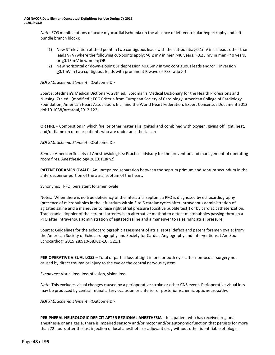*Note*: ECG manifestations of acute myocardial ischemia (in the absence of left ventricular hypertrophy and left bundle branch block):

- 1) New ST elevation at the J point in two contiguous leads with the cut-points:  $\geq 0.1$ mV in all leads other than leads V<sub>2</sub>-V<sub>3</sub> where the following cut-points apply:  $\geq$ 0.2 mV in men  $\geq$ 40 years;  $\geq$ 0.25 mV in men <40 years, or >0.15 mV in women; OR
- 2) New horizontal or down-sloping ST depression >0.05mV in two contiguousleads and/or T inversion  $\geq$ 0.1mV in two contiguous leads with prominent R wave or R/S ratio > 1

## *AQI XML Schema Element*: <OutcomeID>

*Source*: Stedman's Medical Dictionary. 28th ed.; Stedman's Medical Dictionary for the Health Professions and Nursing, 7th ed., (modified); ECG Criteria from European Society of Cardiology, American College of Cardiology Foundation, American Heart Association, Inc., and the World Heart Federation. Expert Consensus Document 2012 doi:10.1038/nrcardui,2012.122.

**OR FIRE** – Combustion in which fuel or other material is ignited and combined with oxygen, giving off light, heat, and/or flame on or near patients who are under anesthesia care

## *AQI XML Schema Element*: <OutcomeID>

*Source*: American Society of Anesthesiologists: Practice advisory for the prevention and management of operating room fires. Anesthesiology 2013;118(n2)

**PATENT FORAMEN OVALE** - An unrepaired separation between the septum primum and septum secundum in the anterosuperior portion of the atrial septum of the heart.

Synonyms: PFO, persistent foramen ovale

Notes: When there is no true deficiency of the interatrial septum, a PFO is diagnosed by echocardiography (presence of microbubbles in the left atrium within 3 to 6 cardiac cycles after intravenous administration of agitated saline and a maneuver to raise right atrial pressure [positive bubble test]) or by cardiac catheterization. Transcranial doppler of the cerebral arteries is an alternative method to detect microbubbles passing through a PFO after intravenous administration of agitated saline and a maneuver to raise right atrial pressure.

Source: Guidelines for the echocardiographic assessment of atrial septal defect and patent foramen ovale: from the American Society of Echocardiography and Society for Cardiac Angiography and Interventions. J Am Soc Echocardiogr 2015;28:910-58.ICD-10: Q21.1

**PERIOPERATIVE VISUAL LOSS** – Total or partial loss of sight in one or both eyes after non-ocular surgery not caused by direct trauma or injury to the eye or the central nervous system

*Synonyms*: Visual loss, loss of vision, vision loss

*Note*: This excludes visual changes caused by a perioperative stroke or other CNS event. Perioperative visual loss may be produced by central retinal artery occlusion or anterior or posterior ischemic optic neuropathy.

*AQI XML Schema Element*: <OutcomeID>

**PERIPHERAL NEUROLOGIC DEFICIT AFTER REGIONAL ANESTHESIA** – In a patient who has received regional anesthesia or analgesia, there is impaired sensory and/or motor and/or autonomic function that persists for more than 72 hours after the last injection of local anesthetic or adjuvant drug without other identifiable etiologies.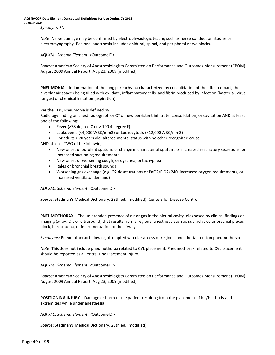*Note*: Nerve damage may be confirmed by electrophysiologic testing such as nerve conduction studies or electromyography. Regional anesthesia includes epidural, spinal, and peripheral nerve blocks.

*AQI XML Schema Element*: <OutcomeID>

*Source*: American Society of Anesthesiologists Committee on Performance and Outcomes Measurement (CPOM) August 2009 Annual Report. Aug 23, 2009 (modified)

**PNEUMONIA** – Inflammation of the lung parenchyma characterized by consolidation of the affected part, the alveolar air spaces being filled with exudate, inflammatory cells, and fibrin produced by infection (bacterial, virus, fungus) or chemical irritation (aspiration)

Per the CDC, Pneumonia is defined by:

Radiology finding on chest radiograph or CT of new persistent infiltrate, consolidation, or cavitation AND at least one of the following:

- Fever ( $>$ 38 degree C or  $>$  100.4 degree F)
- Leukopenia (<4,000 WBC/mm3) or Luekocytosis (>12,000WBC/mm3)
- For adults > 70 years old, altered mental status with no other recognized cause

AND at least TWO of the following:

- New onset of purulent sputum, or change in character of sputum, or increased respiratory secretions, or increased suctioning requirements
- New onset or worsening cough, or dyspnea, ortachypnea
- Rales or bronchial breath sounds
- Worsening gas exchange (e.g. O2 desaturations or PaO2/FiO2<240, increased oxygen requirements, or increased ventilator demand)

*AQI XML Schema Element*: <OutcomeID>

*Source*: Stedman's Medical Dictionary. 28th ed. (modified); Centers for Disease Control

**PNEUMOTHORAX** – The unintended presence of air or gas in the pleural cavity, diagnosed by clinical findings or imaging (x-ray, CT, or ultrasound) that results from a regional anesthetic such as supraclavicular brachial plexus block, barotrauma, or instrumentation of the airway.

*Synonyms*: Pneumothorax following attempted vascular access or regional anesthesia, tension pneumothorax

*Note*: This does not include pneumothorax related to CVL placement. Pneumothorax related to CVL placement should be reported as a Central Line Placement Injury.

*AQI XML Schema Element*: <OutcomeID>

*Source*: American Society of Anesthesiologists Committee on Performance and Outcomes Measurement (CPOM) August 2009 Annual Report. Aug 23, 2009 (modified)

**POSITIONING INJURY** – Damage or harm to the patient resulting from the placement of his/her body and extremities while under anesthesia

*AQI XML Schema Element*: <OutcomeID>

*Source*: Stedman's Medical Dictionary. 28th ed. (modified)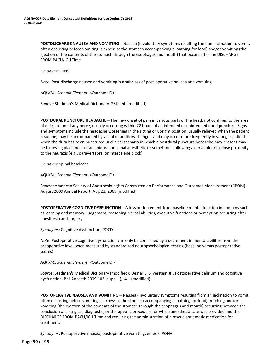**POSTDISCHARGE NAUSEA AND VOMITING** – Nausea (involuntary symptoms resulting from an inclination to vomit, often occurring before vomiting; sickness at the stomach accompanying a loathing for food) and/or vomiting (the ejection of the contents of the stomach through the esophagus and mouth) that occurs after the DISCHARGE FROM PACU/ICU Time.

*Synonym*: PDNV

*Note*: Post-discharge nausea and vomiting is a subclass of post-operative nausea and vomiting.

*AQI XML Schema Element*: <OutcomeID>

*Source*: Stedman's Medical Dictionary. 28th ed. (modified)

**POSTDURAL PUNCTURE HEADACHE** – The new onset of pain in various parts of the head, not confined to the area of distribution of any nerve, usually occurring within 72 hours of an intended or unintended dural puncture. Signs and symptoms include the headache worsening in the sitting or upright position, usually relieved when the patient is supine, may be accompanied by visual or auditory changes, and may occur more frequently in younger patients when the dura has been punctured. A clinical scenario in which a postdural puncture headache may present may be following placement of an epidural or spinal anesthetic or sometimes following a nerve block in close proximity to the neuraxis (e.g., paravertabral or intescalene block).

*Synonym*: Spinal headache

*AQI XML Schema Element*: <OutcomeID>

*Source*: American Society of Anesthesiologists Committee on Performance and Outcomes Measurement (CPOM) August 2009 Annual Report. Aug 23, 2009 (modified)

**POSTOPERATIVE COGNITIVE DYSFUNCTION** – A loss or decrement from baseline mental function in domains such as learning and memory, judgement, reasoning, verbal abilities, executive functions or perception occurring after anesthesia and surgery.

*Synonyms*: Cognitive dysfunction, POCD

*Note*: Postoperative cognitive dysfunction can only be confirmed by a decrement in mental abilities from the preoperative level when measured by standardized neuropsychological testing (baseline versus postoperative scores).

*AQI XML Schema Element*: <OutcomeID>

*Source*: Stedman's Medical Dictionary (modified); Deiner S, Silverstein JH. Postoperative delirium and cognitive dysfunction. Br J Anaesth 2009:103 (suppl 1), i41. (modified)

**POSTOPERATIVE NAUSEA AND VOMITING** – Nausea (involuntary symptoms resulting from an inclination to vomit, often occurring before vomiting; sickness at the stomach accompanying a loathing for food), retching and/or vomiting (the ejection of the contents of the stomach through the esophagus and mouth) occurring between the conclusion of a surgical, diagnostic, or therapeutic procedure for which anesthesia care was provided and the DISCHARGE FROM PACU/ICU Time and requiring the administration of a rescue antiemetic medication for treatment.

*Synonyms*: Postoperative nausea, postoperative vomiting, emesis, PONV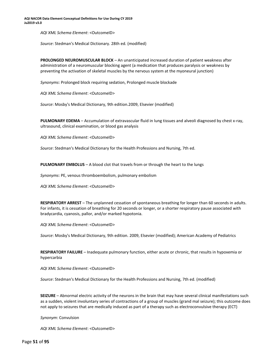*AQI XML Schema Element*: <OutcomeID>

*Source*: Stedman's Medical Dictionary. 28th ed. (modified)

**PROLONGED NEUROMUSCULAR BLOCK** – An unanticipated increased duration of patient weakness after administration of a neuromuscular blocking agent (a medication that produces paralysis or weakness by preventing the activation of skeletal muscles by the nervous system at the myoneural junction)

*Synonyms*: Prolonged block requiring sedation, Prolonged muscle blockade

*AQI XML Schema Element*: <OutcomeID>

*Source*: Mosby's Medical Dictionary, 9th edition.2009, Elsevier (modified)

**PULMONARY EDEMA** – Accumulation of extravascular fluid in lung tissues and alveoli diagnosed by chest x-ray, ultrasound, clinical examination, or blood gas analysis

*AQI XML Schema Element*: <OutcomeID>

*Source*: Stedman's Medical Dictionary for the Health Professions and Nursing, 7th ed.

**PULMONARY EMBOLUS** – A blood clot that travels from or through the heart to the lungs

*Synonyms*: PE, venous thromboembolism, pulmonary embolism

*AQI XML Schema Element*: <OutcomeID>

**RESPIRATORY ARREST** – The unplanned cessation of spontaneous breathing for longer than 60 seconds in adults. For infants, it is cessation of breathing for 20 seconds or longer, or a shorter respiratory pause associated with bradycardia, cyanosis, pallor, and/or marked hypotonia.

*AQI XML Schema Element*: <OutcomeID>

*Source*: Mosby's Medical Dictionary, 9th edition. 2009, Elsevier (modified); American Academy of Pediatrics

**RESPIRATORY FAILURE** – Inadequate pulmonary function, either acute or chronic, that results in hypoxemia or hypercarbia

*AQI XML Schema Element*: <OutcomeID>

*Source*: Stedman's Medical Dictionary for the Health Professions and Nursing, 7th ed. (modified)

**SEIZURE** – Abnormal electric activity of the neurons in the brain that may have several clinical manifestations such as a sudden, violent involuntary series of contractions of a group of muscles (grand mal seizure); this outcome does not apply to seizures that are medically induced as part of a therapy such as electroconvulsive therapy (ECT)

*Synonym*: Convulsion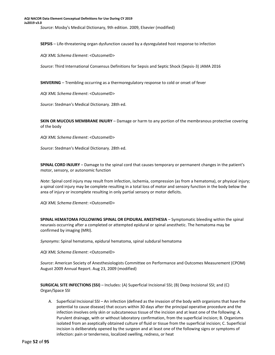**SEPSIS** – Life-threatening organ dysfunction caused by a dysregulated host response to infection

*AQI XML Schema Element*: <OutcomeID>

*Source*: Third International Consensus Definitions for Sepsis and Septic Shock (Sepsis-3) JAMA 2016

**SHIVERING** – Trembling occurring as a thermoregulatory response to cold or onset of fever

*AQI XML Schema Element*: <OutcomeID>

*Source*: Stedman's Medical Dictionary. 28th ed.

**SKIN OR MUCOUS MEMBRANE INJURY** – Damage or harm to any portion of the membranous protective covering of the body

*AQI XML Schema Element*: <OutcomeID>

*Source*: Stedman's Medical Dictionary. 28th ed.

**SPINAL CORD INJURY** – Damage to the spinal cord that causes temporary or permanent changes in the patient's motor, sensory, or autonomic function

*Note*: Spinal cord injury may result from infection, ischemia, compression (as from a hematoma), or physical injury; a spinal cord injury may be complete resulting in a total loss of motor and sensory function in the body below the area of injury or incomplete resulting in only partial sensory or motor deficits.

*AQI XML Schema Element*: <OutcomeID>

**SPINAL HEMATOMA FOLLOWING SPINAL OR EPIDURAL ANESTHESIA** – Symptomatic bleeding within the spinal neuraxis occurring after a completed or attempted epidural or spinal anesthetic. The hematoma may be confirmed by imaging (MRI).

*Synonyms*: Spinal hematoma, epidural hematoma, spinal subdural hematoma

*AQI XML Schema Element*: <OutcomeID>

*Source*: American Society of Anesthesiologists Committee on Performance and Outcomes Measurement (CPOM) August 2009 Annual Report. Aug 23, 2009 (modified)

**SURGICAL SITE INFECTIONS (SSI)** – Includes: (A) Superficial Incisional SSI; (B) Deep Incisional SSI; and (C) Organ/Space SSI

A. Superficial Incisional SSI – An infection (defined as the invasion of the body with organisms that have the potential to cause disease) that occurs within 30 days after the principal operative procedure and the infection involves only skin or subcutaneous tissue of the incision and at least one of the following: A. Purulent drainage, with or without laboratory confirmation, from the superficial incision; B. Organisms isolated from an aseptically obtained culture of fluid or tissue from the superficial incision; C. Superficial incision is deliberately opened by the surgeon and at least one of the following signs or symptoms of infection: pain or tenderness, localized swelling, redness, or heat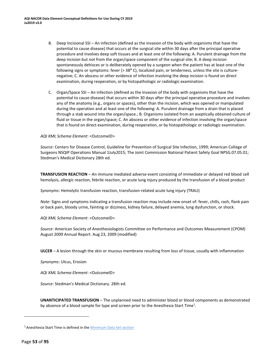- B. Deep Incisional SSI An infection (defined as the invasion of the body with organisms that have the potential to cause disease) that occurs at the surgical site within 30 days after the principal operative procedure and involves deep soft tissues and at least one of the following: A. Purulent drainage from the deep incision but not from the organ/space component of the surgical site; B. A deep incision spontaneously dehisces or is deliberately opened by a surgeon when the patient has at least one of the following signs or symptoms: fever ( $>$  38 $^{\circ}$  C), localized pain, or tenderness, unless the site is culturenegative; C. An abscess or other evidence of infection involving the deep incision is found on direct examination, during reoperation, or by histopathologic or radiologic examination.
- C. Organ/Space SSI An infection (defined as the invasion of the body with organisms that have the potential to cause disease) that occurs within 30 days after the principal operative procedure and involves any of the anatomy (e.g., organs or spaces), other than the incision, which was opened or manipulated during the operation and at least one of the following: A. Purulent drainage from a drain that is placed through a stab wound into the organ/space.; B. Organisms isolated from an aseptically obtained culture of fluid or tissue in the organ/space; C. An abscess or other evidence of infection involving the organ/space that isfound on direct examination, during reoperation, or by histopathologic or radiologic examination.

## *AQI XML Schema Element*: <OutcomeID>

*Source*: Centers for Disease Control, Guideline for Prevention of Surgical Site Infection, 1999; American College of Surgeons NSQIP Operations Manual 1July2015; The Joint Commission National Patient Safety Goal NPSG.07.05.01; Stedman's Medical Dictionary 28th ed.

**TRANSFUSION REACTION** – An immune mediated adverse event consisting of immediate or delayed red blood cell hemolysis, allergic reaction, febrile reaction, or acute lung injury produced by the transfusion of a blood product

*Synonyms*: Hemolytic transfusion reaction, transfusion-related acute lung injury (TRALI)

*Note*: Signs and symptoms indicating a transfusion reaction may include new onset of: fever, chills, rash, flank pain or back pain, bloody urine, fainting or dizziness, kidney failure, delayed anemia, lung dysfunction, or shock.

*AQI XML Schema Element*: <OutcomeID>

*Source*: American Society of Anesthesiologists Committee on Performance and Outcomes Measurement (CPOM) August 2009 Annual Report. Aug 23, 2009 (modified)

**ULCER** – A lesion through the skin or mucous membrane resulting from loss of tissue, usually with inflammation

*Synonyms*: Ulcus, Erosion

*AQI XML Schema Element*: <OutcomeID>

*Source*: Stedman's Medical Dictionary. 28th ed.

**UNANTICIPATED TRANSFUSION** – The unplanned need to administer blood or blood components as demonstrated by absence of a blood sample for type and screen prior to the Anesthesia Start Time<sup>[1](#page-51-0)</sup>.

<span id="page-51-0"></span><sup>&</sup>lt;sup>1</sup> Anesthesia Start Time is defined in the **Minimum Data Set section**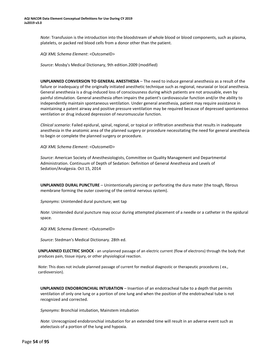*Note*: Transfusion is the introduction into the bloodstream of whole blood or blood components, such as plasma, platelets, or packed red blood cells from a donor other than the patient.

*AQI XML Schema Element*: <OutcomeID>

*Source*: Mosby's Medical Dictionary, 9th edition.2009 (modified)

**UNPLANNED CONVERSION TO GENERAL ANESTHESIA** – The need to induce general anesthesia as a result of the failure or inadequacy of the originally initiated anesthetic technique such as regional, neuraxial or local anesthesia. General anesthesia is a drug-induced loss of consciousness during which patients are not arousable, even by painful stimulation. General anesthesia often impairs the patient's cardiovascular function and/or the ability to independently maintain spontaneous ventilation. Under general anesthesia, patient may require assistance in maintaining a patent airway and positive pressure ventilation may be required because of depressed spontaneous ventilation or drug induced depression of neuromuscular function.

*Clinical scenario*: Failed epidural, spinal, regional, or topical or infiltration anesthesia that results in inadequate anesthesia in the anatomic area of the planned surgery or procedure necessitating the need for general anesthesia to begin or complete the planned surgery or procedure.

*AQI XML Schema Element*: <OutcomeID>

*Source*: American Society of Anesthesiologists, Committee on Quality Management and Departmental Administration. Continuum of Depth of Sedation: Definition of General Anesthesia and Levels of Sedation/Analgesia. Oct 15, 2014

**UNPLANNED DURAL PUNCTURE** – Unintentionally piercing or perforating the dura mater (the tough, fibrous membrane forming the outer covering of the central nervous system).

*Synonyms*: Unintended dural puncture; wet tap

*Note*: Unintended dural puncture may occur during attempted placement of a needle or a catheter in the epidural space.

*AQI XML Schema Element*: <OutcomeID>

*Source*: Stedman's Medical Dictionary. 28th ed.

**UNPLANNED ELECTRIC SHOCK** - an unplanned passage of an electric current (flow of electrons) through the body that produces pain, tissue injury, or other physiological reaction.

*Note*: This does not include planned passage of current for medical diagnostic or therapeutic procedures ( ex., cardioversion).

**UNPLANNED ENDOBRONCHIAL INTUBATION** – Insertion of an endotracheal tube to a depth that permits ventilation of only one lung or a portion of one lung and when the position of the endotracheal tube is not recognized and corrected.

*Synonyms*: Bronchial intubation, Mainstem intubation

*Note*: Unrecognized endobronchial intubation for an extended time will result in an adverse event such as atelectasis of a portion of the lung and hypoxia.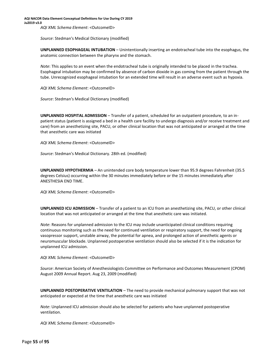*Source*: Stedman's Medical Dictionary (modified)

**UNPLANNED ESOPHAGEAL INTUBATION** – Unintentionally inserting an endotracheal tube into the esophagus, the anatomic connection between the pharynx and the stomach.

*Note*: This applies to an event when the endotracheal tube is originally intended to be placed in the trachea. Esophageal intubation may be confirmed by absence of carbon dioxide in gas coming from the patient through the tube. Unrecognized esophageal intubation for an extended time will result in an adverse event such as hypoxia.

*AQI XML Schema Element*: <OutcomeID>

*Source*: Stedman's Medical Dictionary (modified)

**UNPLANNED HOSPITAL ADMISSION** – Transfer of a patient, scheduled for an outpatient procedure, to an inpatient status (patient is assigned a bed in a health care facility to undergo diagnosis and/or receive treatment and care) from an anesthetizing site, PACU, or other clinical location that was not anticipated or arranged at the time that anesthetic care was initiated

*AQI XML Schema Element*: <OutcomeID>

*Source*: Stedman's Medical Dictionary. 28th ed. (modified)

**UNPLANNED HYPOTHERMIA** – An unintended core body temperature lower than 95.9 degrees Fahrenheit (35.5 degrees Celsius) occurring within the 30 minutes immediately before or the 15 minutes immediately after ANESTHESIA END TIME.

*AQI XML Schema Element*: <OutcomeID>

**UNPLANNED ICU ADMISSION** – Transfer of a patient to an ICU from an anesthetizing site, PACU, or other clinical location that was not anticipated or arranged at the time that anesthetic care was initiated.

*Note*: Reasons for unplanned admission to the ICU may include unanticipated clinical conditions requiring continuous monitoring such as the need for continued ventilation or respiratory support, the need for ongoing vasopressor support, unstable airway, the potential for apnea, and prolonged action of anesthetic agents or neuromuscular blockade. Unplanned postoperative ventilation should also be selected if it is the indication for unplanned ICU admission.

*AQI XML Schema Element*: <OutcomeID>

*Source*: American Society of Anesthesiologists Committee on Performance and Outcomes Measurement (CPOM) August 2009 Annual Report. Aug 23, 2009 (modified)

**UNPLANNED POSTOPERATIVE VENTILATION** – The need to provide mechanical pulmonary support that was not anticipated or expected at the time that anesthetic care was initiated

*Note*: Unplanned ICU admission should also be selected for patients who have unplanned postoperative ventilation.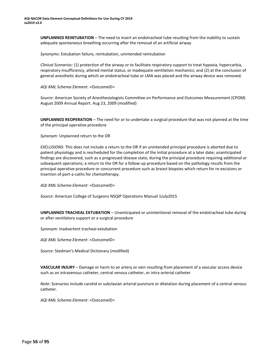**UNPLANNED REINTUBATION** – The need to insert an endotracheal tube resulting from the inability to sustain adequate spontaneous breathing occurring after the removal of an artificial airway

*Synonyms*: Extubation failure, reintubation, unintended reintubation

*Clinical Scenarios*: (1) protection of the airway or to facilitate respiratory support to treat hypoxia, hypercarbia, respiratory insufficiency, altered mental status, or inadequate ventilation mechanics; and (2) at the conclusion of general anesthetic during which an endotracheal tube or LMA was placed and the airway device was removed.

*AQI XML Schema Element*: <OutcomeID>

*Source*: American Society of Anesthesiologists Committee on Performance and Outcomes Measurement (CPOM) August 2009 Annual Report. Aug 23, 2009 (modified)

**UNPLANNED REOPERATION** – The need for or to undertake a surgical procedure that was not planned at the time of the principal operative procedure

*Synonym*: Unplanned return to the OR

*EXCLUSIONS*: This does not include a return to the OR if an unintended principal procedure is aborted due to patient physiology and is rescheduled for the completion of the initial procedure at a later date; unanticipated findings are discovered, such as a progressed disease state, during the principal procedure requiring additional or subsequent operations; a return to the OR for a follow-up procedure based on the pathology results from the principal operative procedure or concurrent procedure such as breast biopsies which return for re-excisions or insertion of port-a-caths for chemotherapy.

*AQI XML Schema Element*: <OutcomeID>

*Source*: American College of Surgeons NSQIP Operations Manual 1July2015

**UNPLANNED TRACHEAL EXTUBATION** – Unanticipated or unintentional removal of the endotracheal tube during or after ventilatory support or a surgical procedure

*Synonym*: Inadvertent tracheal extubation

*AQI XML Schema Element*: <OutcomeID>

*Source*: Stedman's Medical Dictionary (modified)

**VASCULAR INJURY** – Damage or harm to an artery or vein resulting from placement of a vascular access device such as an intravenous catheter, central venous catheter, or intra-arterial catheter

*Note*: Scenarios include carotid or subclavian arterial puncture or dilatation during placement of a central venous catheter.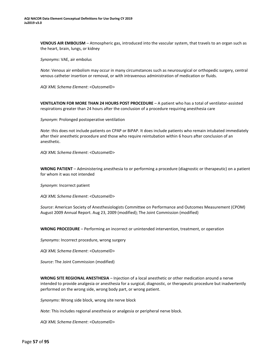**VENOUS AIR EMBOLISM** – Atmospheric gas, introduced into the vascular system, that travels to an organ such as the heart, brain, lungs, or kidney

*Synonyms*: VAE, air embolus

*Note*: Venous air embolism may occur in many circumstances such as neurosurgical or orthopedic surgery, central venous catheter insertion or removal, or with intravenous administration of medication or fluids.

*AQI XML Schema Element*: <OutcomeID>

**VENTILATION FOR MORE THAN 24 HOURS POST PROCEDURE** – A patient who has a total of ventilator-assisted respirations greater than 24 hours after the conclusion of a procedure requiring anesthesia care

*Synonym*: Prolonged postoperative ventilation

*Note*: this does not include patients on CPAP or BiPAP. It does include patients who remain intubated immediately after their anesthetic procedure and those who require reintubation within 6 hours after conclusion of an anesthetic.

*AQI XML Schema Element*: <OutcomeID>

**WRONG PATIENT** – Administering anesthesia to or performing a procedure (diagnostic or therapeutic) on a patient for whom it was not intended

*Synonym*: Incorrect patient

*AQI XML Schema Element*: <OutcomeID>

*Source*: American Society of Anesthesiologists Committee on Performance and Outcomes Measurement (CPOM) August 2009 Annual Report. Aug 23, 2009 (modified); The Joint Commission (modified)

**WRONG PROCEDURE** – Performing an incorrect or unintended intervention, treatment, or operation

*Synonyms*: Incorrect procedure, wrong surgery

*AQI XML Schema Element*: <OutcomeID>

*Source*: The Joint Commission (modified)

**WRONG SITE REGIONAL ANESTHESIA** – Injection of a local anesthetic or other medication around a nerve intended to provide analgesia or anesthesia for a surgical, diagnostic, or therapeutic procedure but inadvertently performed on the wrong side, wrong body part, or wrong patient.

*Synonyms*: Wrong side block, wrong site nerve block

*Note*: This includes regional anesthesia or analgesia or peripheral nerve block.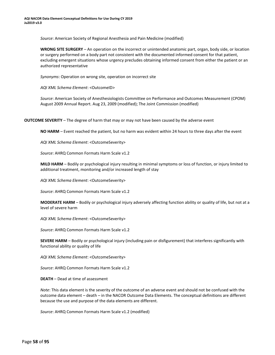*Source*: American Society of Regional Anesthesia and Pain Medicine (modified)

**WRONG SITE SURGERY** – An operation on the incorrect or unintended anatomic part, organ, body side, or location or surgery performed on a body part not consistent with the documented informed consent for that patient, excluding emergent situations whose urgency precludes obtaining informed consent from either the patient or an authorized representative

*Synonyms*: Operation on wrong site, operation on incorrect site

*AQI XML Schema Element*: <OutcomeID>

*Source*: American Society of Anesthesiologists Committee on Performance and Outcomes Measurement (CPOM) August 2009 Annual Report. Aug 23, 2009 (modified); The Joint Commission (modified)

**OUTCOME SEVERITY** – The degree of harm that may or may not have been caused by the adverse event

**NO HARM** – Event reached the patient, but no harm was evident within 24 hours to three days after the event

*AQI XML Schema Element*: <OutcomeSeverity>

*Source*: AHRQ Common Formats Harm Scale v1.2

**MILD HARM** – Bodily or psychological injury resulting in minimal symptoms or loss of function, or injury limited to additional treatment, monitoring and/or increased length of stay

*AQI XML Schema Element*: <OutcomeSeverity>

*Source*: AHRQ Common Formats Harm Scale v1.2

**MODERATE HARM** – Bodily or psychological injury adversely affecting function ability or quality of life, but not at a level of severe harm

*AQI XML Schema Element*: <OutcomeSeverity>

*Source*: AHRQ Common Formats Harm Scale v1.2

**SEVERE HARM** – Bodily or psychological injury (including pain or disfigurement) that interferes significantly with functional ability or quality of life

*AQI XML Schema Element*: <OutcomeSeverity>

*Source*: AHRQ Common Formats Harm Scale v1.2

**DEATH** – Dead at time of assessment

*Note*: This data element is the severity of the outcome of an adverse event and should not be confused with the outcome data element – death – in the NACOR Outcome Data Elements. The conceptual definitions are different because the use and purpose of the data elements are different.

*Source*: AHRQ Common Formats Harm Scale v1.2 (modified)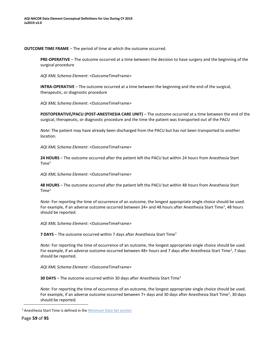#### <span id="page-57-0"></span>**OUTCOME TIME FRAME** – The period of time at which the outcome occurred.

**PRE-OPERATIVE** – The outcome occurred at a time between the decision to have surgery and the beginning of the surgical procedure

*AQI XML Schema Element*: <OutcomeTimeFrame>

**INTRA-OPERATIVE** – The outcome occurred at a time between the beginning and the end of the surgical, therapeutic, or diagnostic procedure

*AQI XML Schema Element*: <OutcomeTimeFrame>

**POSTOPERATIVE/PACU (POST-ANESTHESIA CARE UNIT)** – The outcome occurred at a time between the end of the surgical, therapeutic, or diagnostic procedure and the time the patient was transported out of the PACU

*Note*: The patient may have already been discharged from the PACU but has not been transported to another location.

*AQI XML Schema Element*: <OutcomeTimeFrame>

**24 HOURS** – The outcome occurred after the patient left the PACU but within 24 hours from Anesthesia Start  $Time<sup>1</sup>$  $Time<sup>1</sup>$  $Time<sup>1</sup>$ 

*AQI XML Schema Element*: <OutcomeTimeFrame>

**48 HOURS** – The outcome occurred after the patient left the PACU but within 48 hours from Anesthesia Start Time<sup>1</sup>

*Note*: For reporting the time of occurrence of an outcome, the longest appropriate single choice should be used. For example, if an adverse outcome occurred between 24+ and 48 hours after Anesthesia Start Time<sup>1</sup>, 48 hours should be reported.

*AQI XML Schema Element*: <OutcomeTimeFrame>

**7 DAYS** – The outcome occurred within 7 days after Anesthesia Start Time<sup>1</sup>

*Note*: For reporting the time of occurrence of an outcome, the longest appropriate single choice should be used. For example, if an adverse outcome occurred between 48+ hours and 7 days after Anesthesia Start Time<sup>1</sup>, 7 days should be reported.

*AQI XML Schema Element*: <OutcomeTimeFrame>

**30 DAYS** – The outcome occurred within 30 days after Anesthesia Start Time<sup>1</sup>

*Note*: For reporting the time of occurrence of an outcome, the longest appropriate single choice should be used. For example, if an adverse outcome occurred between 7+ days and 30 days after Anesthesia Start Time<sup>1</sup>, 30 days should be reported.

<sup>&</sup>lt;sup>1</sup> Anesthesia Start Time is defined in the **Minimum Data Set section**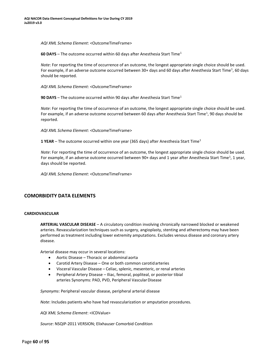<span id="page-58-0"></span>*AQI XML Schema Element*: <OutcomeTimeFrame>

**60 DAYS** – The outcome occurred within 60 days after Anesthesia Start Time[1](#page-58-0)

*Note*: For reporting the time of occurrence of an outcome, the longest appropriate single choice should be used. For example, if an adverse outcome occurred between 30+ days and 60 days after Anesthesia Start Time<sup>1</sup>, 60 days should be reported.

*AQI XML Schema Element*: <OutcomeTimeFrame>

**90 DAYS** – The outcome occurred within 90 days after Anesthesia Start Time<sup>1</sup>

*Note*: For reporting the time of occurrence of an outcome, the longest appropriate single choice should be used. For example, if an adverse outcome occurred between 60 days after Anesthesia Start Time<sup>1</sup>, 90 days should be reported.

*AQI XML Schema Element*: <OutcomeTimeFrame>

**1 YEAR** – The outcome occurred within one year (365 days) after Anesthesia Start Time<sup>1</sup>

*Note*: For reporting the time of occurrence of an outcome, the longest appropriate single choice should be used. For example, if an adverse outcome occurred between 90+ days and 1 year after Anesthesia Start Time<sup>1</sup>, 1 year, days should be reported.

*AQI XML Schema Element*: <OutcomeTimeFrame>

# **COMORBIDITY DATA ELEMENTS**

#### **CARDIOVASCULAR**

**ARTERIAL VASCULAR DISEASE** – A circulatory condition involving chronically narrowed blocked or weakened arteries. Revascularization techniques such as surgery, angioplasty, stenting and atherectomy may have been performed as treatment including lower extremity amputations. Excludes venous disease and coronary artery disease.

Arterial disease may occur in several locations:

- Aortic Disease Thoracic or abdominal aorta
- Carotid Artery Disease One or both common carotidarteries
- Visceral Vascular Disease Celiac, splenic, mesenteric, or renal arteries
- Peripheral Artery Disease Iliac, femoral, popliteal, or posterior tibial arteries Synonyms: PAD, PVD, Peripheral Vascular Disease

*Synonyms*: Peripheral vascular disease, peripheral arterial disease

*Note*: Includes patients who have had revascularization or amputation procedures.

*AQI XML Schema Element*: <ICDValue>

*Source*: NSQIP-2011 VERSION; Elixhauser Comorbid Condition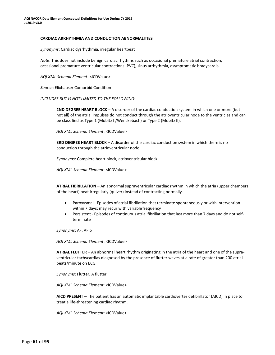#### **CARDIAC ARRHYTHMIA AND CONDUCTION ABNORMALITIES**

*Synonyms*: Cardiac dysrhythmia, irregular heartbeat

*Note*: This does not include benign cardiac rhythms such as occasional premature atrial contraction, occasional premature ventricular contractions (PVC), sinus arrhythmia, asymptomatic bradycardia.

*AQI XML Schema Element*: <ICDValue>

*Source*: Elixhauser Comorbid Condition

*INCLUDES BUT IS NOT LIMITED TO THE FOLLOWING*:

**2ND DEGREE HEART BLOCK** – A disorder of the cardiac conduction system in which one or more (but not all) of the atrial impulses do not conduct through the atrioventricular node to the ventricles and can be classified as Type 1 (Mobitz I /Wenckebach) or Type 2 (Mobitz II).

*AQI XML Schema Element*: <ICDValue>

**3RD DEGREE HEART BLOCK** – A disorder of the cardiac conduction system in which there is no conduction through the atrioventricular node.

*Synonyms*: Complete heart block, atrioventricular block

*AQI XML Schema Element*: <ICDValue>

**ATRIAL FIBRILLATION** – An abnormal supraventricular cardiac rhythm in which the atria (upper chambers of the heart) beat irregularly (quiver) instead of contracting normally.

- Paroxysmal Episodes of atrial fibrillation that terminate spontaneously or with intervention within 7 days; may recur with variablefrequency
- Persistent Episodes of continuous atrial fibrillation that last more than 7 days and do not selfterminate

*Synonyms*: AF, AFib

*AQI XML Schema Element*: <ICDValue>

**ATRIAL FLUTTER** – An abnormal heart rhythm originating in the atria of the heart and one of the supraventricular tachycardias diagnosed by the presence of flutter waves at a rate of greater than 200 atrial beats/minute on ECG.

*Synonyms*: Flutter, A flutter

*AQI XML Schema Element*: <ICDValue>

**AICD PRESENT** – The patient has an automatic implantable cardioverter defibrillator (AICD) in place to treat a life-threatening cardiac rhythm.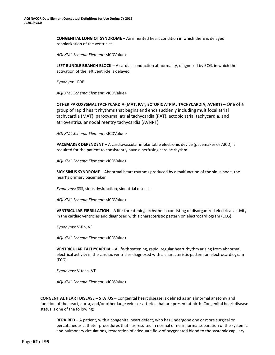**CONGENITAL LONG QT SYNDROME** – An inherited heart condition in which there is delayed repolarization of the ventricles

*AQI XML Schema Element*: <ICDValue>

**LEFT BUNDLE BRANCH BLOCK** – A cardiac conduction abnormality, diagnosed by ECG, in which the activation of the left ventricle is delayed

*Synonym*: LBBB

*AQI XML Schema Element*: <ICDValue>

**OTHER PAROXYSMAL TACHYCARDIA (MAT, PAT, ECTOPIC ATRIAL TACHYCARDIA, AVNRT)** – One of a group of rapid heart rhythms that begins and ends suddenly including multifocal atrial tachycardia (MAT), paroxysmal atrial tachycardia (PAT), ectopic atrial tachycardia, and atrioventricular nodal reentry tachycardia (AVNRT)

*AQI XML Schema Element*: <ICDValue>

**PACEMAKER DEPENDENT** – A cardiovascular implantable electronic device (pacemaker or AICD) is required for the patient to consistently have a perfusing cardiac rhythm.

*AQI XML Schema Element*: <ICDValue>

**SICK SINUS SYNDROME** – Abnormal heart rhythms produced by a malfunction of the sinus node, the heart's primary pacemaker

*Synonyms*: SSS, sinus dysfunction, sinoatrial disease

*AQI XML Schema Element*: <ICDValue>

**VENTRICULAR FIBRILLATION** – A life-threatening arrhythmia consisting of disorganized electrical activity in the cardiac ventricles and diagnosed with a characteristic pattern on electrocardiogram (ECG).

*Synonym*s: V-fib, VF

*AQI XML Schema Element*: <ICDValue>

**VENTRICULAR TACHYCARDIA** – A life-threatening, rapid, regular heart rhythm arising from abnormal electrical activity in the cardiac ventricles diagnosed with a characteristic pattern on electrocardiogram (ECG).

*Synonyms*: V-tach, VT

*AQI XML Schema Element*: <ICDValue>

**CONGENITAL HEART DISEASE – STATUS** – Congenital heart disease is defined as an abnormal anatomy and function of the heart, aorta, and/or other large veins or arteries that are present at birth. Congenital heart disease status is one of the following:

**REPAIRED** – A patient, with a congenital heart defect, who has undergone one or more surgical or percutaneous catheter procedures that has resulted in normal or near normal separation of the systemic and pulmonary circulations, restoration of adequate flow of oxygenated blood to the systemic capillary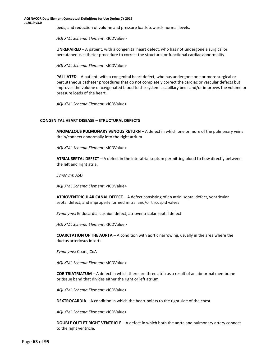beds, and reduction of volume and pressure loads towards normal levels.

*AQI XML Schema Element*: <ICDValue>

**UNREPAIRED** – A patient, with a congenital heart defect, who has not undergone a surgical or percutaneous catheter procedure to correct the structural or functional cardiac abnormality.

*AQI XML Schema Element*: <ICDValue>

**PALLIATED** – A patient, with a congenital heart defect, who has undergone one or more surgical or percutaneous catheter procedures that do not completely correct the cardiac or vascular defects but improves the volume of oxygenated blood to the systemic capillary beds and/or improves the volume or pressure loads of the heart.

*AQI XML Schema Element*: <ICDValue>

#### **CONGENITAL HEART DISEASE – STRUCTURAL DEFECTS**

**ANOMALOUS PULMONARY VENOUS RETURN** – A defect in which one or more of the pulmonary veins drain/connect abnormally into the right atrium

*AQI XML Schema Element*: <ICDValue>

**ATRIAL SEPTAL DEFECT** – A defect in the interatrial septum permitting blood to flow directly between the left and right atria.

*Synonym*: ASD

*AQI XML Schema Element*: <ICDValue>

**ATRIOVENTRICULAR CANAL DEFECT** – A defect consisting of an atrial septal defect, ventricular septal defect, and improperly formed mitral and/or tricuspid valves

*Synonyms*: Endocardial cushion defect, atrioventricular septal defect

*AQI XML Schema Element*: <ICDValue>

**COARCTATION OF THE AORTA** – A condition with aortic narrowing, usually in the area where the ductus arteriosus inserts

*Synonyms*: Coarc, CoA

*AQI XML Schema Element*: <ICDValue>

**COR TRIATRIATUM** – A defect in which there are three atria as a result of an abnormal membrane or tissue band that divides either the right or left atrium

*AQI XML Schema Element*: <ICDValue>

**DEXTROCARDIA** – A condition in which the heart points to the right side of the chest

*AQI XML Schema Element*: <ICDValue>

**DOUBLE OUTLET RIGHT VENTRICLE** – A defect in which both the aorta and pulmonary artery connect to the right ventricle.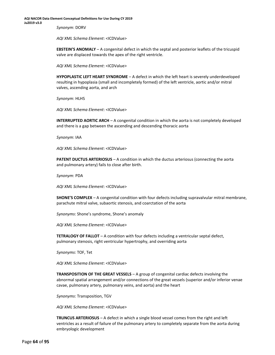*Synonym*: DORV

*AQI XML Schema Element*: <ICDValue>

**EBSTEIN'S ANOMALY** – A congenital defect in which the septal and posterior leaflets of the tricuspid valve are displaced towards the apex of the right ventricle.

*AQI XML Schema Element*: <ICDValue>

**HYPOPLASTIC LEFT HEART SYNDROME** – A defect in which the left heart is severely underdeveloped resulting in hypoplasia (small and incompletely formed) of the left ventricle, aortic and/or mitral valves, ascending aorta, and arch

*Synonym*: HLHS

*AQI XML Schema Element*: <ICDValue>

**INTERRUPTED AORTIC ARCH** – A congenital condition in which the aorta is not completely developed and there is a gap between the ascending and descending thoracic aorta

*Synonym*: IAA

*AQI XML Schema Element*: <ICDValue>

**PATENT DUCTUS ARTERIOSUS - A condition in which the ductus arteriosus (connecting the aorta** and pulmonary artery) fails to close after birth.

*Synonym*: PDA

*AQI XML Schema Element*: <ICDValue>

**SHONE'S COMPLEX** – A congenital condition with four defects including supravalvular mitral membrane, parachute mitral valve, subaortic stenosis, and coarctation of the aorta

*Synonyms*: Shone's syndrome, Shone's anomaly

*AQI XML Schema Element*: <ICDValue>

**TETRALOGY OF FALLOT** – A condition with four defects including a ventricular septal defect, pulmonary stenosis, right ventricular hypertrophy, and overriding aorta

*Synonyms*: TOF, Tet

*AQI XML Schema Element*: <ICDValue>

**TRANSPOSITION OF THE GREAT VESSELS** – A group of congenital cardiac defects involving the abnormal spatial arrangement and/or connections of the great vessels (superior and/or inferior venae cavae, pulmonary artery, pulmonary veins, and aorta) and the heart

*Synonyms*: Transposition, TGV

*AQI XML Schema Element*: <ICDValue>

**TRUNCUS ARTERIOSUS** – A defect in which a single blood vessel comes from the right and left ventricles as a result of failure of the pulmonary artery to completely separate from the aorta during embryologic development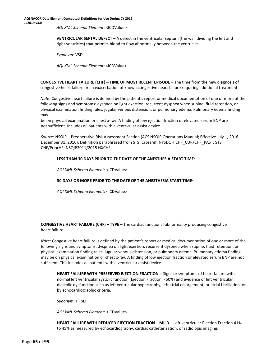*AQI XML Schema Element*: <ICDValue>

**VENTRICULAR SEPTAL DEFECT** – A defect in the ventricular septum (the wall dividing the left and right ventricles) that permits blood to flow abnormally between the ventricles.

*Synonym*: VSD

*AQI XML Schema Element*: <ICDValue>

**CONGESTIVE HEART FAILURE (CHF) – TIME OF MOST RECENT EPISODE** – The time from the new diagnosis of congestive heart failure or an exacerbation of known congestive heart failure requiring additional treatment.

*Note*: Congestive heart failure is defined by the patient's report or medical documentation of one or more of the following signs and symptoms: dyspnea on light exertion, recurrent dyspnea when supine, fluid retention, or physical examination finding rales, jugular venous distension, or pulmonary edema. Pulmonary edema finding may

<span id="page-63-0"></span>be on physical examination or chest x-ray. A finding of low ejection fraction or elevated serum BNP are not sufficient. Includes all patients with a ventricular assist device.

*Source*: NSQIP – Preoperative Risk Assessment Section (ACS NSQIP Operations Manual; Effective July 1, 2016- December 31, 2016); Definition paraphrased from STS; Crossref: NYSDOH CHF\_CUR/CHF\_PAST; STS CHF/PriorHF; NSQIP2011/2015 HXCHF

#### **LESS THAN 30 DAYS PRIOR TO THE DATE OF THE ANESTHESIA START TIME**[1](#page-63-0)

*AQI XML Schema Element*: <ICDValue>

#### **30 DAYS OR MORE PRIOR TO THE DATE OF THE ANESTHESIA START TIME**<sup>1</sup>

*AQI XML Schema Element*: <ICDValue>

**CONGESTIVE HEART FAILURE (CHF) – TYPE** – The cardiac functional abnormality producing congestive heart failure.

*Note*: Congestive heart failure is defined by the patient's report or medical documentation of one or more of the following signs and symptoms: dyspnea on light exertion, recurrent dyspnea when supine, fluid retention, or physical examination finding rales, jugular venous distension, or pulmonary edema. Pulmonary edema finding may be on physical examination or chest x-ray. A finding of low ejection fraction or elevated serum BNP are not sufficient. This includes all patients with a ventricular assist device.

**HEART FAILURE WITH PRESERVED EJECTION FRACTION** – Signs or symptoms of heart failure with normal left ventricular systolic function (Ejection Fraction > 50%) and evidence of left ventricular diastolic dysfunction such as left ventricular hypertrophy, left atrial enlargement, or atrial fibrillation, or by echocardiographic criteria.

*Synonym*: HFpEF

*AQI XML Schema Element*: <ICDValue>

**HEART FAILURE WITH REDUCED EJECTION FRACTION – MILD** – Left ventricular Ejection Fraction 41% to 45% as measured by echocardiography, cardiac catheterization, or radiologic imaging.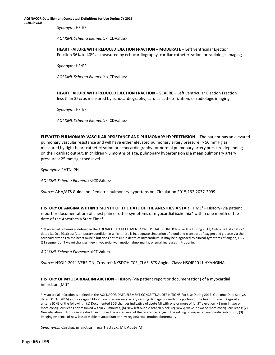*Synonym*: HFrEF

*AQI XML Schema Element*: <ICDValue>

**HEART FAILURE WITH REDUCED EJECTION FRACTION – MODERATE** – Left ventricular Ejection Fraction 36% to 40% as measured by echocardiography, cardiac catheterization, or radiologic imaging.

*Synonym*: HFrEF

*AQI XML Schema Element*: <ICDValue>

<span id="page-64-0"></span>**HEART FAILURE WITH REDUCED EJECTION FRACTION – SEVERE** – Left ventricular Ejection Fraction less than 35% as measured by echocardiography, cardiac catheterization, or radiologic imaging.

*Synonym*: HFrEF

*AQI XML Schema Element*: <ICDValue>

**ELEVATED PULMONARY VASCULAR RESISTANCE AND PULMONARY HYPERTENSION** – The patient has an elevated pulmonary vascular resistance and will have either elevated pulmonary artery pressure (> 50 mmHg as measured by right heart catheterization or echocardiography) or normal pulmonary artery pressure depending on their cardiac output. In children > 3 months of age, pulmonary hypertension is a mean pulmonary artery pressure ≥ 25 mmHg at sea level.

*Synonyms*: PHTN, PH

*AQI XML Schema Element*: <ICDValue>

*Source*: AHA/ATS Guideline. Pediatric pulmonary hypertension. Circulation 2015;132:2037-2099.

**HISTORY OF ANGINA WITHIN 1 MONTH OF THE DATE OF THE ANESTHESIA START TIME**<sup>1</sup>– History (via patient report or documentation) of chest pain or other symptoms of myocardial ischemia\* within one month of the date of the Anesthesia Start Time<sup>[1](#page-64-0)</sup>.

\* Myocardial Ischemia is defined in the AQI NACOR DATA ELEMENT CONCEPTUAL DEFINITIONS-For Use During 2017; Outcome Data Set (v2, dated 31 Oct 2016) as: A temporary condition in which there is inadequate circulation of blood and transport of oxygen and glucose via the coronary arteries to the heart muscle but does not result in death of myocardium. It may be diagnosed by clinical symptoms of angina, ECG (ST segment or T wave) changes, new myocardial wall motion abnormality, or small increases in troponin.

*AQI XML Schema Element*: <ICDValue>

*Source*: NSQIP-2011 VERSION; Crossref: NYSDOH CCS\_CLAS; STS AnginalClass; NSQIP2011 HXANGINA

**HISTORY OF MYOCARDIAL INFARCTION** – History (via patient report or documentation) of a myocardial infarction (MI)\*.

\* Myocardial Infarction is defined in the AQI NACOR DATA ELEMENT CONCEPTUAL DEFINITIONS-For Use During 2017; Outcome Data Set (v2, dated 31 Oct 2016) as: Blockage of blood flow in a coronary artery causing damage or death of a portion of the heart muscle. Diagnostic criteria (ONE of the following): (1) Documented ECG changes indicative of acute MI with one or more of (a) ST elevation > 1 mm in two or more contiguous leads not resolved within 20 minutes, (b) New left bundle branch block, (c) New q-wave in two or more contiguous leads; (2) New elevation in troponin greater than 3 times the upper level of the reference range in the setting of suspected myocardial infarction; (3) Imaging evidence of new loss of viable myocardium or new regional wall motion abnormality

*Synonyms*: Cardiac infarction, heart attack, MI, Acute MI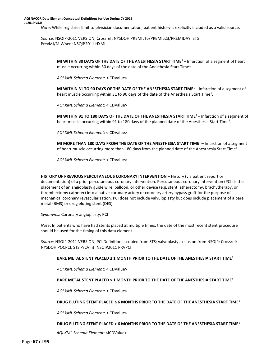#### **AQI NACOR Data Element Conceptual Definitions for Use During CY 2019 Ju2019 v3.0**

*Note*: While registries limit to physician documentation, patient history is explicitly included as a valid source.

<span id="page-65-0"></span>*Source*: NSQIP-2011 VERSION; Crossref: NYSDOH PREMILT6/PREMI623/PREMIDAY; STS PrevMI/MIWhen; NSQIP2011 HXMI

> **MI WITHIN 30 DAYS OF THE DATE OF THE ANESTHESIA START TIM[E](#page-65-0)**<sup>1</sup> – Infarction of a segment of heart muscle occurring within 30 days of the date of the Anesthesia Start Time<sup>1</sup>.

*AQI XML Schema Element*: <ICDValue>

**MI WITHIN 31 TO 90 DAYS OF THE DATE OF THE ANESTHESIA START TIME**<sup>1</sup>– Infarction of a segment of heart muscle occurring within 31 to 90 days of the date of the Anesthesia Start Time<sup>1</sup>.

*AQI XML Schema Element*: <ICDValue>

**MI WITHIN 91 TO 180 DAYS OF THE DATE OF THE ANESTHESIA START TIME**<sup>1</sup>– Infarction of a segment of heart muscle occurring within 91 to 180 days of the planned date of the Anesthesia Start Time<sup>1</sup>.

*AQI XML Schema Element*: <ICDValue>

**MI MORE THAN 180 DAYS FROM THE DATE OF THE ANESTHESIA START TIME**<sup>1</sup>– Infarction of a segment of heart muscle occurring more than 180 days from the planned date of the Anesthesia Start Time<sup>1</sup>.

*AQI XML Schema Element*: <ICDValue>

**HISTORY OF PREVIOUS PERCUTANEOUS CORONARY INTERVENTION** – History (via patient report or documentation) of a prior percutaneous coronary intervention. Percutaneous coronary intervention (PCI) is the placement of an angioplasty guide wire, balloon, or other device (e.g. stent, atherectomy, brachytherapy, or thrombectomy catheter) into a native coronary artery or coronary artery bypass graft for the purpose of mechanical coronary revascularization. PCI does not include valvuloplasty but does include placement of a bare metal (BMS) or drug eluting stent (DES).

*Synonyms*: Coronary angioplasty; PCI

*Note*: In patients who have had stents placed at multiple times, the date of the most recent stent procedure should be used for the timing of this data element.

*Source*: NSQIP-2011 VERSION; PCI Definition is copied from STS; valvoplasty exclusion from NSQIP; Crossref: NYSDOH POCPCI; STS PrCVInt; NSQIP2011 PRVPCI

#### **BARE METAL STENT PLACED ≤ 1 MONTH PRIOR TO THE DATE OF THE ANESTHESIA START TIME**<sup>1</sup>

*AQI XML Schema Element*: <ICDValue>

#### **BARE METAL STENT PLACED > 1 MONTH PRIOR TO THE DATE OF THE ANESTHESIA START TIME**<sup>1</sup>

*AQI XML Schema Element*: <ICDValue>

#### **DRUG ELUTING STENT PLACED ≤ 6 MONTHS PRIOR TO THE DATE OF THE ANESTHESIA START TIME**<sup>1</sup>

*AQI XML Schema Element*: <ICDValue>

#### **DRUG ELUTING STENT PLACED > 6 MONTHS PRIOR TO THE DATE OF THE ANESTHESIA START TIME**<sup>1</sup>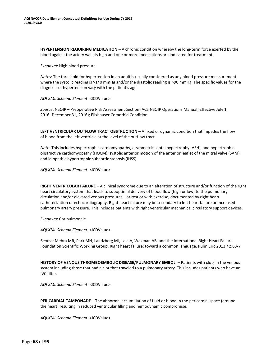**HYPERTENSION REQUIRING MEDICATION** – A chronic condition whereby the long-term force exerted by the blood against the artery walls is high and one or more medications are indicated for treatment.

*Synonym*: High blood pressure

*Notes*: The threshold for hypertension in an adult is usually considered as any blood pressure measurement where the systolic reading is >140 mmHg and/or the diastolic reading is >90 mmHg. The specific values for the diagnosis of hypertension vary with the patient's age.

*AQI XML Schema Element*: <ICDValue>

*Source*: NSQIP – Preoperative Risk Assessment Section (ACS NSQIP Operations Manual; Effective July 1, 2016- December 31, 2016); Elixhauser Comorbid Condition

**LEFT VENTRICULAR OUTFLOW TRACT OBSTRUCTION** – A fixed or dynamic condition that impedes the flow of blood from the left ventricle at the level of the outflow tract.

*Note*: This includes hypertrophic cardiomyopathy, asymmetric septal hypertrophy (ASH), and hypertrophic obstructive cardiomyopathy (HOCM), systolic anterior motion of the anterior leaflet of the mitral valve (SAM), and idiopathic hypertrophic subaortic stenosis (IHSS).

*AQI XML Schema Element*: <ICDValue>

**RIGHT VENTRICULAR FAILURE** – A clinical syndrome due to an alteration of structure and/or function of the right heart circulatory system that leads to suboptimal delivery of blood flow (high or low) to the pulmonary circulation and/or elevated venous pressures—at rest or with exercise, documented by right heart catheterization or echocardiography. Right heart failure may be secondary to left heart failure or increased pulmonary artery pressure. This includes patients with right ventricular mechanical circulatory support devices.

*Synonym*: Cor pulmonale

*AQI XML Schema Element*: <ICDValue>

*Source*: Mehra MR, Park MH, Landzberg MJ, Lala A, Waxman AB, and the International Right Heart Failure Foundation Scientific Working Group. Right heart failure: toward a common language. Pulm Circ 2013;4:963-7

**HISTORY OF VENOUS THROMBOEMBOLIC DISEASE/PULMONARY EMBOLI** – Patients with clots in the venous system including those that had a clot that traveled to a pulmonary artery. This includes patients who have an IVC filter.

*AQI XML Schema Element*: <ICDValue>

**PERICARDIAL TAMPONADE** – The abnormal accumulation of fluid or blood in the pericardial space (around the heart) resulting in reduced ventricular filling and hemodynamic compromise.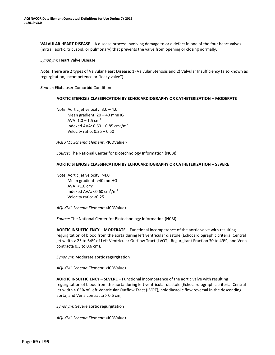**VALVULAR HEART DISEASE** – A disease process involving damage to or a defect in one of the four heart valves (mitral, aortic, tricuspid, or pulmonary) that prevents the valve from opening or closing normally.

*Synonym*: Heart Valve Disease

*Note*: There are 2 types of Valvular Heart Disease: 1) Valvular Stenosis and 2) Valvular Insufficiency (also known as regurgitation, incompetence or "leaky valve").

*Source*: Elixhauser Comorbid Condition

#### **AORTIC STENOSIS CLASSIFICATION BY ECHOCARDIOGRAPHY OR CATHETERIZATION – MODERATE**

*Note*: Aortic jet velocity: 3.0 – 4.0 Mean gradient: 20 – 40 mmHG AVA:  $1.0 - 1.5$  cm<sup>2</sup> Indexed AVA:  $0.60 - 0.85$  cm<sup>2</sup>/m<sup>2</sup> Velocity ratio: 0.25 – 0.50

*AQI XML Schema Element*: <ICDValue>

*Source*: The National Center for Biotechnology Information (NCBI)

#### **AORTIC STENOSIS CLASSIFICATION BY ECHOCARDIOGRAPHY OR CATHETERIZATION – SEVERE**

*Note*: Aortic jet velocity: >4.0 Mean gradient: >40 mmHG AVA:  $<$ 1.0 cm<sup>2</sup> Indexed AVA: < $0.60 \text{ cm}^2/\text{m}^2$ Velocity ratio: <0.25

*AQI XML Schema Element*: <ICDValue>

*Source*: The National Center for Biotechnology Information (NCBI)

**AORTIC INSUFFICIENCY – MODERATE** – Functional incompetence of the aortic valve with resulting regurgitation of blood from the aorta during left ventricular diastole (Echocardiographic criteria: Central jet width > 25 to 64% of Left Ventricular Outflow Tract (LVOT), Regurgitant Fraction 30 to 49%, and Vena contracta 0.3 to 0.6 cm).

*Synonym*: Moderate aortic regurgitation

*AQI XML Schema Element*: <ICDValue>

**AORTIC INSUFFICIENCY – SEVERE** – Functional incompetence of the aortic valve with resulting regurgitation of blood from the aorta during left ventricular diastole (Echocardiographic criteria: Central jet width > 65% of Left Ventricular Outflow Tract (LVOT), holodiastolic flow reversal in the descending aorta, and Vena contracta > 0.6 cm)

*Synonym*: Severe aortic regurgitation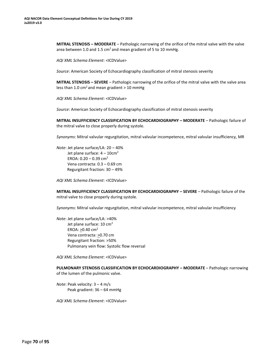**MITRAL STENOSIS – MODERATE** – Pathologic narrowing of the orifice of the mitral valve with the valve area between 1.0 and 1.5  $cm<sup>2</sup>$  and mean gradient of 5 to 10 mmHg.

*AQI XML Schema Element*: <ICDValue>

*Source*: American Society of Echocardiography classification of mitral stenosis severity

**MITRAL STENOSIS – SEVERE** – Pathologic narrowing of the orifice of the mitral valve with the valve area less than 1.0 cm<sup>2</sup> and mean gradient  $>$  10 mmHg

*AQI XML Schema Element*: <ICDValue>

*Source*: American Society of Echocardiography classification of mitral stenosis severity

**MITRAL INSUFFICIENCY CLASSIFICATION BY ECHOCARDIOGRAPHY – MODERATE** – Pathologic failure of the mitral valve to close properly during systole.

*Synonyms*: Mitral valvular regurgitation, mitral valvular incompetence, mitral valvular insufficiency, MR

*Note*: Jet plane surface/LA: 20 – 40% Jet plane surface:  $4 - 10$ cm<sup>2</sup> EROA:  $0.20 - 0.39$  cm<sup>2</sup> Vena contracta: 0.3 – 0.69 cm Regurgitant fraction: 30 – 49%

*AQI XML Schema Element*: <ICDValue>

**MITRAL INSUFFICIENCY CLASSIFICATION BY ECHOCARDIOGRAPHY – SEVERE** – Pathologic failure of the mitral valve to close properly during systole.

*Synonyms*: Mitral valvular regurgitation, mitral valvular incompetence, mitral valvular insufficiency

*Note*: Jet plane surface/LA: >40% Jet plane surface: 10 cm<sup>2</sup> EROA: >0.40 cm<sup>2</sup> Vena contracta: >0.70 cm Regurgitant fraction: >50% Pulmonary vein flow: Systolic flow reversal

*AQI XML Schema Element*: <ICDValue>

**PULMONARY STENOSIS CLASSIFICATION BY ECHOCARDIOGRAPHY – MODERATE** – Pathologic narrowing of the lumen of the pulmonic valve.

*Note*: Peak velocity: 3 – 4 m/s Peak gradient: 36 – 64 mmHg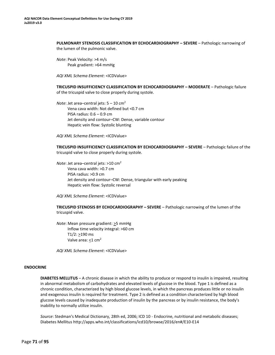**PULMONARY STENOSIS CLASSIFICATION BY ECHOCARDIOGRAPHY – SEVERE** – Pathologic narrowing of the lumen of the pulmonic valve.

*Note*: Peak Velocity: >4 m/s Peak gradient: >64 mmHg

*AQI XML Schema Element*: <ICDValue>

**TRICUSPID INSUFFICIENCY CLASSIFICATION BY ECHOCARDIOGRAPHY – MODERATE** – Pathologic failure of the tricuspid valve to close properly during systole.

*Note*: Jet area–central jets: 5 – 10 cm<sup>2</sup> Vena cava width: Not defined but <0.7 cm PISA radius: 0.6 – 0.9 cm Jet density and contour–CW: Dense, variable contour Hepatic vein flow: Systolic blunting

*AQI XML Schema Element*: <ICDValue>

**TRICUSPID INSUFFICIENCY CLASSIFICATION BY ECHOCARDIOGRAPHY – SEVERE** – Pathologic failure of the tricuspid valve to close properly during systole.

*Note*: Jet area–central jets: >10 cm<sup>2</sup> Vena cava width: >0.7 cm PISA radius: >0.9 cm Jet density and contour–CW: Dense, triangular with early peaking Hepatic vein flow: Systolic reversal

*AQI XML Schema Element*: <ICDValue>

**TRICUSPID STENOSIS BY ECHOCARDIOGRAPHY – SEVERE** – Pathologic narrowing of the lumen of the tricuspid valve.

*Note*: Mean pressure gradient: >5 mmHg Inflow time velocity integral: >60 cm T1/2: >190 ms Valve area:  $<$ 1 cm<sup>2</sup>

*AQI XML Schema Element*: <ICDValue>

#### **ENDOCRINE**

**DIABETES MELLITUS** – A chronic disease in which the ability to produce or respond to insulin is impaired, resulting in abnormal metabolism of carbohydrates and elevated levels of glucose in the blood. Type 1 is defined as a chronic condition, characterized by high blood glucose levels, in which the pancreas produces little or no insulin and exogenous insulin is required for treatment. Type 2 is defined as a condition characterized by high blood glucose levels caused by inadequate production of insulin by the pancreas or by insulin resistance, the body's inability to normally utilize insulin.

*Source*: Stedman's Medical Dictionary, 28th ed, 2006; ICD 10 - Endocrine, nutritional and metabolic diseases; Diabetes Mellitus [http://apps.who.int/classifications/icd10/browse/2016/en#/E10-E14](http://apps.who.int/classifications/icd10/browse/2016/en%23/E10-E14)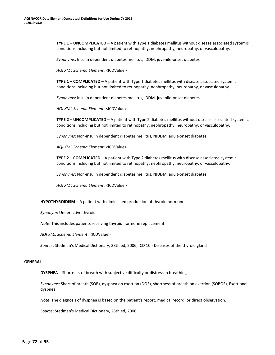**TYPE 1 – UNCOMPLICATED** – A patient with Type 1 diabetes mellitus without disease associated systemic conditions including but not limited to retinopathy, nephropathy, neuropathy, or vasculopathy.

*Synonyms*: Insulin dependent diabetes mellitus, IDDM, juvenile-onset diabetes

*AQI XML Schema Element*: <ICDValue>

**TYPE 1 – COMPLICATED** – A patient with Type 1 diabetes mellitus with disease associated systemic conditions including but not limited to retinopathy, nephropathy, neuropathy, or vasculopathy.

*Synonyms*: Insulin dependent diabetes mellitus, IDDM, juvenile-onset diabetes

*AQI XML Schema Element*: <ICDValue>

**TYPE 2 – UNCOMPLICATED** – A patient with Type 2 diabetes mellitus without disease associated systemic conditions including but not limited to retinopathy, nephropathy, neuropathy, or vasculopathy.

*Synonyms*: Non-insulin dependent diabetes mellitus, NIDDM, adult-onset diabetes

*AQI XML Schema Element*: <ICDValue>

**TYPE 2 – COMPLICATED** – A patient with Type 2 diabetes mellitus with disease associated systemic conditions including but not limited to retinopathy, nephropathy, neuropathy, or vasculopathy.

*Synonyms*: Non-insulin dependent diabetes mellitus, NIDDM, adult-onset diabetes

*AQI XML Schema Element*: <ICDValue>

**HYPOTHYROIDISM** – A patient with diminished production of thyroid hormone.

*Synonym*: Underactive thyroid

*Note*: This includes patients receiving thyroid hormone replacement.

*AQI XML Schema Element*: <ICDValue>

*Source*: Stedman's Medical Dictionary, 28th ed, 2006; ICD 10 - Diseases of the thyroid gland

## **GENERAL**

**DYSPNEA** – Shortness of breath with subjective difficulty or distress in breathing.

*Synonyms*: Short of breath (SOB), dyspnea on exertion (DOE), shortness of breath on exertion (SOBOE), Exertional dyspnea

*Note*: The diagnosis of dyspnea is based on the patient's report, medical record, or direct observation.

*Source*: Stedman's Medical Dictionary, 28th ed, 2006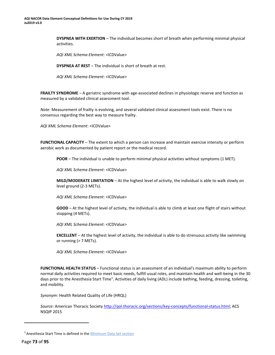**DYSPNEA WITH EXERTION** – The individual becomes short of breath when performing minimal physical activities.

*AQI XML Schema Element*: <ICDValue>

**DYSPNEA AT REST** – The individual is short of breath at rest.

*AQI XML Schema Element*: <ICDValue>

**FRAILTY SYNDROME** – A geriatric syndrome with age-associated declines in physiologic reserve and function as measured by a validated clinical assessment tool.

*Note*: Measurement of frailty is evolving, and several validated clinical assessment tools exist. There is no consensus regarding the best way to measure frailty.

*AQI XML Schema Element*: <ICDValue>

**FUNCTIONAL CAPACITY** – The extent to which a person can increase and maintain exercise intensity or perform aerobic work as documented by patient report or the medical record.

**POOR** – The individual is unable to perform minimal physical activities without symptoms (1 MET).

*AQI XML Schema Element*: <ICDValue>

**MILD/MODERATE LIMITATION** – At the highest level of activity, the individual is able to walk slowly on level ground (2-3 METs).

*AQI XML Schema Element*: <ICDValue>

**GOOD** – At the highest level of activity, the individual is able to climb at least one flight of stairs without stopping (4 METs).

*AQI XML Schema Element*: <ICDValue>

**EXCELLENT** – At the highest level of activity, the individual is able to do strenuous activity like swimming or running (> 7 METs).

*AQI XML Schema Element*: <ICDValue>

**FUNCTIONAL HEALTH STATUS** – Functional status is an assessment of an individual's maximum ability to perform normal daily activities required to meet basic needs, fulfill usual roles, and maintain health and well-being in the 30 days prior to the Anesthesia Start Time<sup>1</sup>[.](#page-71-0) Activities of daily living (ADL) include bathing, feeding, dressing, toileting, and mobility.

*Synonym*: Health Related Quality of Life (HRQL)

*Source*: American Thoracic Society [http://qol.thoracic.org/sections/key-concepts/functional-status.html;](http://qol.thoracic.org/sections/key-concepts/functional-status.html) ACS NSQIP 2015

<span id="page-71-0"></span><sup>1</sup>Anesthesia Start Time is defined in th[e Minimum Data Set section](#page-10-0)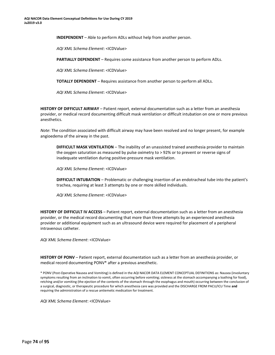**INDEPENDENT** – Able to perform ADLs without help from another person.

*AQI XML Schema Element*: <ICDValue>

**PARTIALLY DEPENDENT** – Requires some assistance from another person to perform ADLs.

*AQI XML Schema Element*: <ICDValue>

**TOTALLY DEPENDENT** – Requires assistance from another person to perform all ADLs.

*AQI XML Schema Element*: <ICDValue>

**HISTORY OF DIFFICULT AIRWAY** – Patient report, external documentation such as a letter from an anesthesia provider, or medical record documenting difficult mask ventilation or difficult intubation on one or more previous anesthetics.

*Note*: The condition associated with difficult airway may have been resolved and no longer present, for example angioedema of the airway in the past.

**DIFFICULT MASK VENTILATION** – The inability of an unassisted trained anesthesia provider to maintain the oxygen saturation as measured by pulse oximetry to > 92% or to prevent or reverse signs of inadequate ventilation during positive-pressure mask ventilation.

*AQI XML Schema Element*: <ICDValue>

**DIFFICULT INTUBATION** – Problematic or challenging insertion of an endotracheal tube into the patient's trachea, requiring at least 3 attempts by one or more skilled individuals.

*AQI XML Schema Element*: <ICDValue>

**HISTORY OF DIFFICULT IV ACCESS** – Patient report, external documentation such as a letter from an anesthesia provider, or the medical record documenting that more than three attempts by an experienced anesthesia provider or additional equipment such as an ultrasound device were required for placement of a peripheral intravenous catheter.

*AQI XML Schema Element*: <ICDValue>

**HISTORY OF PONV** – Patient report, external documentation such as a letter from an anesthesia provider, or medical record documenting PONV\* after a previous anesthetic.

\* PONV (Post-Operative Nausea and Vomiting) is defined in the AQI NACOR DATA ELEMENT CONCEPTUAL DEFINITIONS as: Nausea (involuntary symptoms resulting from an inclination to vomit, often occurring before vomiting; sickness at the stomach accompanying a loathing for food), retching and/or vomiting (the ejection of the contents of the stomach through the esophagus and mouth) occurring between the conclusion of a surgical, diagnostic, or therapeutic procedure for which anesthesia care was provided and the DISCHARGE FROM PACU/ICU Time **and**  requiring the administration of a rescue antiemetic medication for treatment.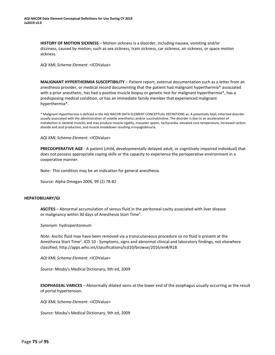<span id="page-73-0"></span>**HISTORY OF MOTION SICKNESS** – Motion sickness is a disorder, including nausea, vomiting and/or dizziness, caused by motion, such as sea sickness, train sickness, car sickness, air sickness, or space motion sickness.

*AQI XML Schema Element*: <ICDValue>

**MALIGNANT HYPERTHERMIA SUSCEPTIBILITY** – Patient report, external documentation such as a letter from an anesthesia provider, or medical record documenting that the patient had malignant hyperthermia\* associated with a prior anesthetic, has had a positive muscle biopsy or genetic test for malignant hyperthermia\*, has a predisposing medical condition, or has an immediate family member that experienced malignant hyperthermia\*.

\* Malignant Hyperthermia is defined in the AQI NACOR DATA ELEMENT CONCEPTUAL DEFINITIONS as: A potentially fatal, inherited disorder usually associated with the administration of volatile anesthetics and/or succinylcholine. The disorder is due to an acceleration of metabolism in skeletal muscles and may produce muscle rigidity, masseter spasm, tachycardia, elevated core temperature, increased carbon dioxide and acid production, and muscle breakdown resulting inmyoglobinuria.

*AQI XML Schema Element*: <ICDValue>

**PRECOOPERATIVE AGE** - A patient (child, developmentally delayed adult, or cognitively-impaired individual) that does not possess appropriate coping skills or the capacity to experience the perioperative environment in a cooperative manner.

Note: This condition may be an indication for general anesthesia.

Source: Alpha Omegan 2006, 99 (2) 78-82

## **HEPATOBILIARY/GI**

**ASCITES** – Abnormal accumulation of serous fluid in the peritoneal cavity associated with liver disease or malignancy within 30 days of An[e](#page-73-0)sthesia Start Time<sup>1</sup>.

*Synonym*: hydroperitoneum

*Note*: Ascitic fluid may have been removed via a transcutaneous procedure so no fluid is present at the Anesthesia Start Time<sup>1</sup>. ICD 10 - Symptoms, signs and abnormal clinical and laboratory findings, not elsewhere classified; [http://apps.who.int/classifications/icd10/browse/2016/en#/R18](http://apps.who.int/classifications/icd10/browse/2016/en%23/R18)

*AQI XML Schema Element*: <ICDValue>

*Source*: Mosby's Medical Dictionary, 9th ed, 2009

**ESOPHAGEAL VARICES** – Abnormally dilated veins at the lower end of the esophagus usually occurring as the result of portal hypertension.

*AQI XML Schema Element*: <ICDValue>

*Source*: Mosby's Medical Dictionary, 9th ed, 2009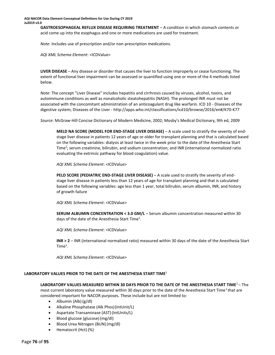**GASTROESOPHAGEAL REFLUX DISEASE REQUIRING TREATMENT** – A condition in which stomach contents or acid come up into the esophagus and one or more medications are used for treatment.

*Note*: Includes use of prescription and/or non-prescription medications.

*AQI XML Schema Element*: <ICDValue>

<span id="page-74-0"></span>**LIVER DISEASE** – Any disease or disorder that causes the liver to function improperly or cease functioning. The extent of functional liver impairment can be assessed or quantified using one or more of the 4 methods listed below.

*Note*: The concept "Liver Disease" includes hepatitis and cirrhrosis caused by viruses, alcohol, toxins, and autoimmune conditions as well as nonalcoholic steatohepatitis (NASH). The prolonged INR must not be associated with the concomitant administration of an anticoagulant drug like warfarin. ICD 10 - Diseases of the digestive system; Diseases of the Liver - [http://apps.who.int/classifications/icd10/browse/2016/en#/K70-K77](http://apps.who.int/classifications/icd10/browse/2016/en%23/K70-K77)

*Source*: McGraw-Hill Concise Dictionary of Modern Medicine, 2002; Mosby's Medical Dictionary, 9th ed, 2009

**MELD NA SCORE (MODEL FOR END-STAGE LIVER DISEASE)** - A scale used to stratify the severity of endstage liver disease in patients 12 years of age or older for transplant planning and that is calculated based on the following variables: dialysis at least twice in the week prior to the date of the Anesthesia Start Time<sup>1</sup>; serum creatinine, bilirubin, and sodium concentration; and INR (international normalized ratio evaluating the extrinsic pathway for blood coagulation) value.

*AQI XML Schema Element*: <ICDValue>

**PELD SCORE (PEDIATRIC END-STAGE LIVER DISEASE)** – A scale used to stratify the severity of endstage liver disease in patients less than 12 years of age for transplant planning and that is calculated based on the following variables: age less than 1 year, total bilirubin, serum albumin, INR, and history of growth failure

*AQI XML Schema Element*: <ICDValue>

**SERUM ALBUMIN CONCENTRATION < 3.0 GM/L - Serum albumin concentration measured within 30** days of the date of the Anesthesia Start Time<sup>1</sup>.

*AQI XML Schema Element*: <ICDValue>

**INR > 2** – INR (international normalized ratio) measured within 30 days of the date of the Anesthesia Start  $Time<sup>1</sup>$ [.](#page-74-0)

*AQI XML Schema Element*: <ICDValue>

## **LABORATORY VALUES PRIOR TO THE DATE OF THE ANESTHESIA START TIME**<sup>1</sup>

**LABORATORY VALUES MEASURED WITHIN 30 DAYS PRIOR TO THE DATE OF THE ANESTHESIA START TIME**<sup>1</sup>– The most current laboratory value measured within 30 days prior to the date of the Anesthesia Start Time<sup>1</sup>that are considered important for NACOR purposes. These include but are not limited to:

- Albumin (Alb) (g/dl)
- Alkaline Phosphatase (Alk Phos)(IntUnit/L)
- Aspartate Transaminase (AST)(IntUnits/L)
- Blood glucose (glucose) (mg/dl)
- Blood Urea Nitrogen (BUN) (mg/dl)
- Hematocrit (Hct) (%)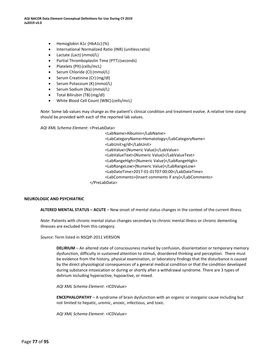- Hemoglobin A1c (HbA1c)(%)
- International Normalized Ratio (INR) (unitlessratio)
- Lactate (Lact) (mmol/L)
- Partial Thromboplastin Time (PTT)(seconds)
- Platelets (Plt) (cells/mcL)
- Serum Chloride (Cl) (mmol/L)
- Serum Creatinine (Cr)(mg/dl)
- Serum Potassium (K) (mmol/L)
- Serum Sodium (Na) (mmol/L)
- Total Bilirubin (TB)(mg/dl)
- White Blood Cell Count (WBC)(cells/mcL)

*Note*: Some lab values may change as the patient's clinical condition and treatment evolve. A relative time stamp should be provided with each of the reported lab values.

*AQI XML Schema Element*: <PreLabData>

<LabName>Albumin</LabName> <LabCategoryName>Hematology</LabCategoryName> <LabUnit>g/dl</LabUnit> <LabValue>{Numeric Value}</LabValue> <LabValueText>{Numeric Value}</LabValueText> <LabRangeHigh>{Numeric Value}</LabRangeHigh> <LabRangeLow>{Numeric Value}</LabRangeLow> <LabDateTime>2017-01-01T07:00:00</LabDateTime> <LabComments>{Insert comments if any}</LabComments> </PreLabData>

#### **NEUROLOGIC AND PSYCHIATRIC**

**ALTERED MENTAL STATUS – ACUTE** – New onset of mental status changes in the context of the current illness.

*Note*: Patients with chronic mental status changes secondary to chronic mental illness or chronic dementing illnesses are excluded from this category.

*Source*: Term listed in NSQIP-2011 VERSION

**DELIRIUM** – An altered state of consciousness marked by confusion, disorientation or temporary memory dysfunction, difficulty in sustained attention to stimuli, disordered thinking and perception. There must be evidence from the history, physical examination, or laboratory findings that the disturbance is caused by the direct physiological consequences of a general medical condition or that the condition developed during substance intoxication or during or shortly after a withdrawal syndrome. There are 3 types of delirium including hyperactive, hypoactive, or mixed.

*AQI XML Schema Element*: <ICDValue>

**ENCEPHALOPATHY** - A syndrome of brain dysfunction with an organic or inorganic cause including but not limited to hepatic, uremic, anoxic, infectious, and toxic.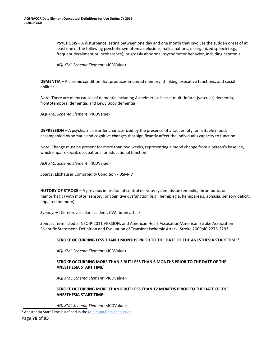<span id="page-76-0"></span>**PSYCHOSIS** – A disturbance lasting between one day and one month that involves the sudden onset of at least one of the following psychotic symptoms: delusions, hallucinations, disorganized speech (e.g., frequent derailment or incoherence), or grossly abnormal psychomotor behavior, including catatonia.

*AQI XML Schema Element*: <ICDValue>

**DEMENTIA** – A chronic condition that produces impaired memory, thinking, executive functions, and social abilities.

*Note*: There are many causes of dementia including Alzheimer's disease, multi-infarct (vascular) dementia, frontotemporal dementia, and Lewy Body dementia

*AQI XML Schema Element*: <ICDValue>

**DEPRESSION** – A psychiatric disorder characterized by the presence of a sad, empty, or irritable mood, accompanied by somatic and cognitive changes that significantly affect the individual's capacity to function.

*Note*: Change must be present for more than two weeks, representing a mood change from a person's baseline, which impairs social, occupational or educational function

*AQI XML Schema Element*: <ICDValue>

*Source*: Elixhauser Comorbidity Condition - DSM-IV

**HISTORY OF STROKE** – A previous infarction of central nervous system tissue (embolic, thrombotic, or hemorrhagic) with motor, sensory, or cognitive dysfunction (e.g., hemiplegia, hemiparesis, aphasia, sensory deficit, impaired memory).

*Synonyms*: Cerebrovascular accident, CVA, brain attack

*Source*: Term listed in NSQIP-2011 VERSION; and American Heart Assocation/American Stroke Association Scientific Statement. Definition and Evaluation of Transient Ischemic Attack. Stroke 2009;40;2276-2293.

## **STROKE OCCURRING LESS THAN 3 MONTHS PRIOR TO THE DATE OF THE ANESTHESIA START TIME**[1](#page-76-0)

*AQI XML Schema Element*: <ICDValue>

## **STROKE OCCURRING MORE THAN 3 BUT LESS THAN 6 MONTHS PRIOR TO THE DATE OF THE ANESTHESIA START TIME**<sup>1</sup>

*AQI XML Schema Element*: <ICDValue>

# **STROKE OCCURRING MORE THAN 6 BUT LESS THAN 12 MONTHS PRIOR TO THE DATE OF THE ANESTHESIA START TIME**<sup>1</sup>

<sup>&</sup>lt;sup>1</sup> Anesthesia Start Time is defined in the **Minimum Data Set section**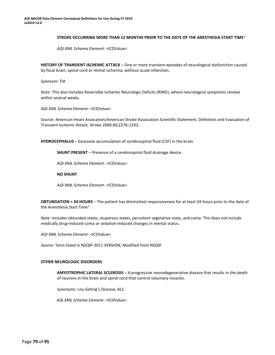## **STROKE OCCURRING MORE THAN 12 MONTHS PRIOR TO THE DATE OF THE ANESTHESIA START TIME**<sup>1</sup>

*AQI XML Schema Element*: <ICDValue>

<span id="page-77-0"></span>**HISTORY OF TRANSIENT ISCHEMIC ATTACK** – One or more transient episodes of neurological dysfunction caused by focal brain, spinal cord or retinal ischemia, without acute infarction.

*Synonym*: TIA

*Note*: This also includes Reversible Ischemic Neurologic Deficits (RIND), where neurological symptoms resolve within several weeks.

*AQI XML Schema Element*: <ICDValue>

Source: American Heart Assocation/American Stroke Association Scientific Statement. Definition and Evaluation of Transient Ischemic Attack. Stroke 2009;40;2276-2293.

**HYDROCEPHALUS** – Excessive accumulation of cerebrospinal fluid (CSF) in the brain.

**SHUNT PRESENT** – Presence of a cerebrospinal fluid drainage device.

*AQI XML Schema Element*: <ICDValue>

**NO SHUNT**

*AQI XML Schema Element*: <ICDValue>

**OBTUNDATION > 24 HOURS** – The patient has diminished responsiveness for at least 24 hours prior to the date of th[e](#page-77-0) Anesthesia Start Time<sup>1</sup>.

*Note*: Includes obtunded states, stuporous states, persistent vegetative state, and coma. This does not include medically drug-induced coma or sedation-induced changes in mental status.

*AQI XML Schema Element*: <ICDValue>

*Source*: Term listed in NSQIP-2011 VERSION; Modified from NSQIP

## **OTHER NEUROLOGIC DISORDERS**

**AMYOTROPHIC LATERAL SCLEROSIS** – A progressive neurodegenerative disease that results in the death of neurons in the brain and spinal cord that control voluntary muscles.

*Synonyms*: Lou Gehrig's Disease, ALS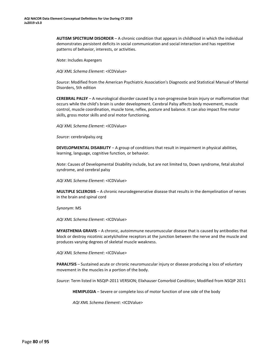**AUTISM SPECTRUM DISORDER** – A chronic condition that appears in childhood in which the individual demonstrates persistent deficits in social communication and social interaction and has repetitive patterns of behavior, interests, or activities.

*Note*: Includes Aspergers

*AQI XML Schema Element*: <ICDValue>

*Source*: Modified from the American Psychiatric Association's Diagnostic and Statistical Manual of Mental Disorders, 5th edition

**CEREBRAL PALSY** – A neurological disorder caused by a non-progressive brain injury or malformation that occurs while the child's brain is under development. Cerebral Palsy affects body movement, muscle control, muscle coordination, muscle tone, reflex, posture and balance. It can also impact fine motor skills, gross motor skills and oral motor functioning.

*AQI XML Schema Element*: <ICDValue>

*Source*: cerebralpalsy.org

**DEVELOPMENTAL DISABILITY** – A group of conditions that result in impairment in physical abilities, learning, language, cognitive function, or behavior.

*Note*: Causes of Developmental Disability include, but are not limited to, Down syndrome, fetal alcohol syndrome, and cerebral palsy

*AQI XML Schema Element*: <ICDValue>

**MULTIPLE SCLEROSIS** – A chronic neurodegenerative disease that results in the demyelination of nerves in the brain and spinal cord

*Synonym*: MS

*AQI XML Schema Element*: <ICDValue>

**MYASTHENIA GRAVIS** – A chronic, autoimmune neuromuscular disease that is caused by antibodies that block or destroy nicotinic acetylcholine receptors at the junction between the nerve and the muscle and produces varying degrees of skeletal muscle weakness.

*AQI XML Schema Element*: <ICDValue>

**PARALYSIS** – Sustained acute or chronic neuromuscular injury or disease producing a loss of voluntary movement in the muscles in a portion of the body.

*Source*: Term listed in NSQIP-2011 VERSION; Elixhauser Comorbid Condition; Modified from NSQIP 2011

**HEMIPLEGIA** – Severe or complete loss of motor function of one side of the body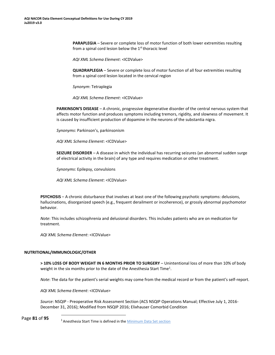<span id="page-79-0"></span>**PARAPLEGIA** – Severe or complete loss of motor function of both lower extremities resulting from a spinal cord lesion below the  $1<sup>st</sup>$  thoracic level

*AQI XML Schema Element*: <ICDValue>

**QUADRAPLEGIA** – Severe or complete loss of motor function of all four extremities resulting from a spinal cord lesion located in the cervical region

*Synonym*: Tetraplegia

*AQI XML Schema Element*: <ICDValue>

**PARKINSON'S DISEASE** – A chronic, progressive degenerative disorder of the central nervous system that affects motor function and produces symptoms including tremors, rigidity, and slowness of movement. It is caused by insufficient production of dopamine in the neurons of the substantia nigra.

*Synonyms*: Parkinson's, parkinsonism

*AQI XML Schema Element*: <ICDValue>

**SEIZURE DISORDER** – A disease in which the individual has recurring seizures (an abnormal sudden surge of electrical activity in the brain) of any type and requires medication or other treatment.

*Synonyms*: Epilepsy, convulsions

*AQI XML Schema Element*: <ICDValue>

**PSYCHOSIS** – A chronic disturbance that involves at least one of the following psychotic symptoms: delusions, hallucinations, disorganized speech (e.g., frequent derailment or incoherence), or grossly abnormal psychomotor behavior.

*Note*: This includes schizophrenia and delusional disorders. This includes patients who are on medication for treatment.

*AQI XML Schema Element*: <ICDValue>

## **NUTRITIONAL/IMMUNOLOGIC/OTHER**

**> 10% LOSS OF BODY WEIGHT IN 6 MONTHS PRIOR TO SURGERY** – Unintentional loss of more than 10% of body weight in the six months prior to the date of the Anesthesia Start Time<sup>1</sup>[.](#page-79-0)

*Note*: The data for the patient's serial weights may come from the medical record or from the patient's self-report.

*AQI XML Schema Element*: <ICDValue>

*Source*: NSQIP - Preoperative Risk Assessment Section (ACS NSQIP Operations Manual; Effective July 1, 2016- December 31, 2016); Modified from NSQIP 2016; Elixhauser Comorbid Condition

Page **81** of **95**

<sup>&</sup>lt;sup>1</sup> Anesthesia Start Time is defined in the [Minimum Data Set section](#page-10-0)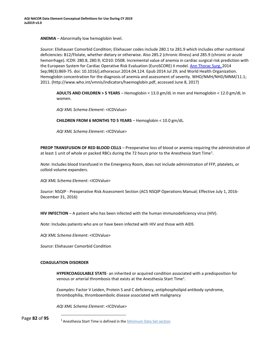<span id="page-80-0"></span>**ANEMIA** – Abnormally low hemoglobin level.

*Source*: Elixhauser Comorbid Condition; Elixhauser codes include 280.1 to 281.9 which includes other nutritional deficiencies: B12/Flolate, whether dietary or otherwise. Also 285.2 (chronic illness) and 285.9 (chronic or acute hemorrhage). ICD9: 280.8, 280.9; ICD10: D508. Incremental value of anemia in cardiac surgical risk prediction with the European System for Cardiac Operative Risk Evaluation (EuroSCORE) II model. [Ann Thorac Surg. 2](https://www.ncbi.nlm.nih.gov/pubmed/25085558)014 Sep;98(3):869-75. doi: 10.1016/j.athoracsur.2014.04.124. Epub 2014 Jul 29; and World Health Organization. Hemoglobin concentration for the diagnosis of anemia and assessment of severity. WHO/NMH/NHD/MNM/11.1; 2011. [\(http://www.who.int/vmnis/indicators/haemoglobin.pdf,](http://www.who.int/vmnis/indicators/haemoglobin.pdf) accessed June 8, 2017)

**ADULTS AND CHILDREN > 5 YEARS** – Hemoglobin < 13.0 gm/dL in men and Hemoglobin < 12.0 gm/dL in women.

*AQI XML Schema Element*: <ICDValue>

**CHILDREN FROM 6 MONTHS TO 5 YEARS** – Hemoglobin < 10.0 gm/dL.

*AQI XML Schema Element*: <ICDValue>

**PREOP TRANSFUSION OF RED BLOOD CELLS** – Preoperative loss of blood or anemia requiring the administration of at least [1](#page-80-0) unit of whole or packed RBCs during the 72 hours prior to the Anesthesia Start Time<sup>1</sup>.

*Note*: Includes blood transfused in the Emergency Room, does not include administration of FFP, platelets, or colloid volume expanders.

*AQI XML Schema Element*: <ICDValue>

*Source*: NSQIP - Preoperative Risk Assessment Section (ACS NSQIP Operations Manual; Effective July 1, 2016- December 31, 2016)

**HIV INFECTION** – A patient who has been infected with the human immunodeficiency virus (HIV).

*Note*: Includes patients who are or have been infected with HIV and those with AIDS

*AQI XML Schema Element*: <ICDValue>

*Source*: Elixhauser Comorbid Condition

## **COAGULATION DISORDER**

**HYPERCOAGULABLE STATE**- an inherited or acquired condition associated with a predisposition for venous or arterial thrombosis that exists at the Anesthesia Start Time $^1$ .

*Examples*: Factor V Leiden, Protein S and C deficiency, antiphospholipid antibody syndrome, thrombophilia, thromboembolic disease associated with malignancy

*AQI XML Schema Element*: <ICDValue>

<span id="page-80-1"></span>Page **82** of **95**

<sup>&</sup>lt;sup>1</sup> Anesthesia Start Time is defined in the **Minimum Data Set section**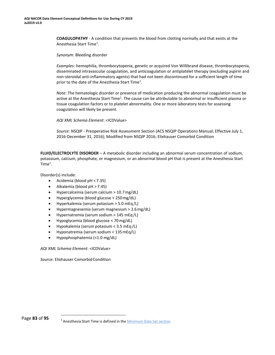**COAGULOPATHY** - A condition that prevents the blood from clotting normally and that exists at the An[e](#page-80-1)sthesia Start Time<sup>1</sup>.

*Synonym*: Bleeding disorder

*Examples*: hemophilia, thrombocytopenia, genetic or acquired Von Willibrand disease, thrombocytopenia, disseminated intravascular coagulation, and anticoagulation or antiplatelet therapy (excluding aspirin and non-steroidal anti-inflammatory agents) that had not been discontinued for a sufficient length of time prior to the date of the Anesthesia Start Time<sup>1</sup>.

*Note*: The hematologic disorder or presence of medication producing the abnormal coagulation must be active at the Anesthesia Start Time<sup>1</sup>. The cause can be attributable to abnormal or insufficient plasma or tissue coagulation factors or to platelet abnormality. One or more laboratory tests for assessing coagulation will likely be present.

*AQI XML Schema Element*: <ICDValue>

*Source*: NSQIP - Preoperative Risk Assessment Section (ACS NSQIP Operations Manual; Effective July 1, 2016-December 31, 2016); Modified from NSQIP 2016; Elixhauser Comorbid Condition

**FLUID/ELECTROLYTE DISORDER** – A metabolic disorder including an abnormal serum concentration of sodium, potassium, calcium, phosphate, or magnesium, or an abnormal blood pH that is present at the Anesthesia Start  $Time<sup>1</sup>$ .

Disorder(s) include:

- Acidemia (blood pH < 7.35)
- Alkalemia (blood pH > 7.45)
- Hypercalcemia (serum calcium > 10.7mg/dL)
- Hyperglycemia (blood glucose > 250mg/dL)
- Hyperkalemia (serum potasium > 5.0 mEq /L)
- Hypermagnesemia (serum magnesium > 2.6mg/dL)
- Hypernatremia (serum sodium > 145 mEq /L)
- Hypoglycemia (blood glucose < 70mg/dL)
- Hypokalemia (serum potasium < 3.5 mEq /L)
- Hyponatremia (serum sodium < 135mEq/L)
- Hypophosphatemia (<1.0 mg/dL)

*AQI XML Schema Element*: <ICDValue>

**Source: Elixhauser Comorbid Condition** 

<sup>&</sup>lt;sup>1</sup> Anesthesia Start Time is defined in the **Minimum Data Set section**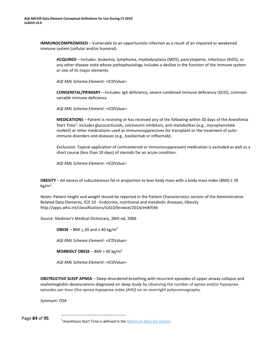<span id="page-82-0"></span>**IMMUNOCOMPROMISED** – Vulnerable to an opportunistic infection as a result of an impaired or weakened immune system (cellular and/or humoral).

**ACQUIRED** – Includes: leukemia, lymphoma, myelodysplasia (MDS), pancytopenia, infectious (AIDS), or any other disease state whose pathophysiology includes a decline in the function of the immune system or one of its major elements.

*AQI XML Schema Element*: <ICDValue>

**CONGENITAL/PRIMARY** – Includes: IgA deficiency, severe combined immune deficiency (SCID), common variable immune deficiency

*AQI XML Schema Element*: <ICDValue>

**MEDICATIONS** – Patient is receiving or has received any of the following within 30 days of the Anesthesia Start Time<sup>[1](#page-82-0)</sup>: includes glucocorticoids, calcineurin inhibitors, anti-metabolites (e.g., mycophenolate mofetil) or other medications used as immunosuppressives for transplant or the treatment of autoimmune disorders and diseases (e.g., basiliximab or infliximab).

*Exclusions*: Topical application of corticosteroid or immunosuppressant medication is excluded as well as a short course (less than 10 days) of steroids for an acute condition.

*AQI XML Schema Element*: <ICDValue>

**OBESITY** – An excess of subcutaneous fat in proportion to lean body mass with a body mass index (BMI) ≥ 30 kg/m<sup>2</sup> .

*Notes*: Patient height and weight should be reported in the Patient Characteristics section of the Administrative Related Data Elements, ICD 10 - Endocrine, nutritional and metabolic diseases; Obesity [http://apps.who.int/classifications/icd10/browse/2016/en#/E66](http://apps.who.int/classifications/icd10/browse/2016/en%23/E66)

*Source*: Stedman's Medical Dictionary, 28th ed, 2006

**OBESE** – BMI > 30 and  $\leq 40$  kg/m<sup>2</sup>

*AQI XML Schema Element*: <ICDValue>

**MORBIDLY OBESE** – BMI > 40 kg/m<sup>2</sup>

*AQI XML Schema Element*: <ICDValue>

**OBSTRUCTIVE SLEEP APNEA** – Sleep-disordered breathing with recurrent episodes of upper airway collapse and oxyhemoglobin desaturations diagnosed on sleep study by observing the number of apnea and/or hypopnea episodes per hour (the apnea-hypopnea index [AHI]) on an overnight polysomnography.

*Synonym*: OSA

Page **84** of **95**

<sup>&</sup>lt;sup>1</sup> Anesthesia Start Time is defined in the **Minimum Data Set section**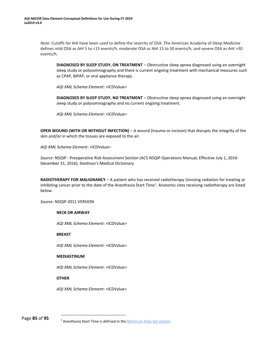<span id="page-83-0"></span>*Note*: Cutoffs for AHI have been used to define the severity of OSA. The American Academy of Sleep Medicine defines mild OSA as AHI 5 to <15 events/h, moderate OSA as AHI 15 to 30 events/h, and severe OSA as AHI >30 events/h.

**DIAGNOSED BY SLEEP STUDY, ON TREATMENT** – Obstructive sleep apnea diagnosed using an overnight sleep study or polysomnography and there is current ongoing treatment with mechanical measures such as CPAP, BiPAP, or oral appliance therapy.

*AQI XML Schema Element*: <ICDValue>

**DIAGNOSED BY SLEEP STUDY, NO TREATMENT** – Obstructive sleep apnea diagnosed using an overnight sleep study or polysomnography and no current ongoing treatment.

*AQI XML Schema Element*: <ICDValue>

**OPEN WOUND (WITH OR WITHOUT INFECTION)** – A wound (trauma or incision) that disrupts the integrity of the skin and/or in which the tissues are exposed to the air.

*AQI XML Schema Element*: <ICDValue>

*Source*: NSQIP - Preoperative Risk Assessment Section (ACS NSQIP Operations Manual; Effective July 1, 2016- December 31, 2016); Stedman's Medical Dictionary

**RADIOTHERAPY FOR MALIGNANCY** – A patient who has received radiotherapy (ionizing radiation for treating or inhibiting canc[e](#page-83-0)r prior to the date of the Anesthesia Start Time<sup>1</sup>. Anatomic sites receiving radiotherapy are listed below.

*Source*: NSQIP-2011 VERSION

## **NECK OR AIRWAY**

*AQI XML Schema Element*: <ICDValue>

**BREAST**

*AQI XML Schema Element*: <ICDValue>

## **MEDIASTINUM**

*AQI XML Schema Element*: <ICDValue>

## **OTHER**

*AQI XML Schema Element*: <ICDValue>

Page **85** of **95**

<sup>&</sup>lt;sup>1</sup> Anesthesia Start Time is defined in the **Minimum Data Set section**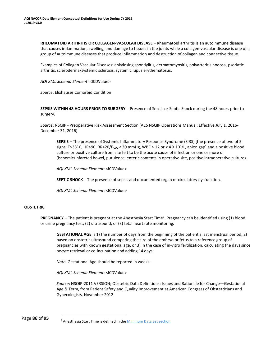<span id="page-84-0"></span>**RHEUMATOID ARTHRITIS OR COLLAGEN-VASCULAR DISEASE** – Rheumatoid arthritis is an autoimmune disease that causes inflammation, swelling, and damage to tissues in the joints while a collagen-vascular disease is one of a group of autoimmune diseases that produce inflammation and destruction of collagen and connective tissue.

Examples of Collagen Vascular Diseases: ankylosing spondylitis, dermatomyositis, polyarteritis nodosa, psoriatic arthritis, scleroderma/systemic sclerosis, systemic lupus erythematosus.

*AQI XML Schema Element*: <ICDValue>

*Source*: Elixhauser Comorbid Condition

**SEPSIS WITHIN 48 HOURS PRIOR TO SURGERY** – Presence of Sepsis or Septic Shock during the 48 hours prior to surgery.

*Source*: NSQIP - Preoperative Risk Assessment Section (ACS NSQIP Operations Manual; Effective July 1, 2016- December 31, 2016)

**SEPSIS** – The presence of Systemic Inflammatory Response Syndrome (SIRS) [the presence of two of 5 signs: T>38°C, HR>90, RR>20/P $_{CO2}$ < 30 mmHg, WBC > 12 or < 4 X 10<sup>9</sup>/L, anion gap] and a positive blood culture or positive culture from site felt to be the acute cause of infection or one or more of (ischemic/infarcted bowel, purulence, enteric contents in operative site, positive intraoperative cultures.

*AQI XML Schema Element*: <ICDValue>

**SEPTIC SHOCK** – The presence of sepsis and documented organ or circulatory dysfunction.

*AQI XML Schema Element*: <ICDValue>

## **OBSTETRIC**

**PREGNANCY** – The patient is pregnant at the Anesthesia Start Time<sup>1</sup>[.](#page-84-0) Pregnancy can be identified using (1) blood or urine pregnancy test; (2) ultrasound; or (3) fetal heart rate monitoring.

**GESTATIONAL AGE** is 1) the number of days from the beginning of the patient's last menstrual period, 2) based on obstetric ultrasound comparing the size of the embryo or fetus to a reference group of pregnancies with known gestational age, or 3) in the case of in-vitro fertilization, calculating the days since oocyte retrieval or co-incubation and adding 14 days.

*Note*: Gestational Age should be reported in weeks.

*AQI XML Schema Element*: <ICDValue>

*Source*: NSQIP-2011 VERSION; Obstetric Data Definitions: Issues and Rationale for Change—Gestational Age & Term, from Patient Safety and Quality Improvement at American Congress of Obstetricians and Gynecologists, November 2012

<sup>&</sup>lt;sup>1</sup> Anesthesia Start Time is defined in the **Minimum Data Set section**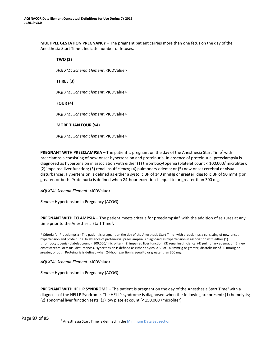<span id="page-85-0"></span>**MULTIPLE GESTATION PREGNANCY** – The pregnant patient carries more than one fetus on the day of the An[e](#page-85-0)sthesia Start Time<sup>1</sup>. Indicate number of fetuses.

**TWO (2)** *AQI XML Schema Element*: <ICDValue> **THREE (3)** *AQI XML Schema Element*: <ICDValue> **FOUR (4)**

*AQI XML Schema Element*: <ICDValue>

**MORE THAN FOUR (>4)**

*AQI XML Schema Element*: <ICDValue>

**PREGNANT WITH PREECLAMPSIA** – The patient is pregnant on the day of the Anesthesia Start Time<sup>1</sup> with preeclampsia consisting of new-onset hypertension and proteinuria. In absence of proteinuria, preeclampsia is diagnosed as hypertension in association with either (1) thrombocytopenia (platelet count < 100,000/ microliter); (2) impaired liver function; (3) renal insufficiency; (4) pulmonary edema; or (5) new onset cerebral or visual disturbances. Hypertension is defined as either a systolic BP of 140 mmHg or greater, diastolic BP of 90 mmHg or greater, or both. Proteinuria is defined when 24-hour excretion is equal to or greater than 300 mg.

*AQI XML Schema Element*: <ICDValue>

*Source*: Hypertension in Pregnancy (ACOG)

**PREGNANT WITH ECLAMPSIA** – The patient meets criteria for preeclampsia\* with the addition of seizures at any time prior to the Anesthesia Start Time<sup>1</sup>.

\* Criteria for Preeclampsia - The patient is pregnant on the day of the Anesthesia Start Time<sup>1</sup> with preeclampsia consisting of new-onset hypertension and proteinuria. In absence of proteinuria, preeclampsia is diagnosed as hypertension in association with either (1) thrombocytopenia (platelet count < 100,000/ microliter); (2) impaired liver function; (3) renal insufficiency; (4) pulmonary edema; or (5) new onset cerebral or visual disturbances. Hypertension is defined as either a systolic BP of 140 mmHg or greater, diastolic BP of 90 mmHg or greater, or both. Proteinuria is defined when 24-hour exertion is equal to or greater than 300 mg.

*AQI XML Schema Element*: <ICDValue>

*Source*: Hypertension in Pregnancy (ACOG)

**PREGNANT WITH HELLP SYNDROME** – The patient is pregnant on the day of the Anesthesia Start Time<sup>1</sup> with a diagnosis of the HELLP Syndrome. The HELLP syndrome is diagnosed when the following are present: (1) hemolysis; (2) abnormal liver function tests; (3) low platelet count (< 150,000 /microliter).

<sup>&</sup>lt;sup>1</sup> Anesthesia Start Time is defined in the **Minimum Data Set section**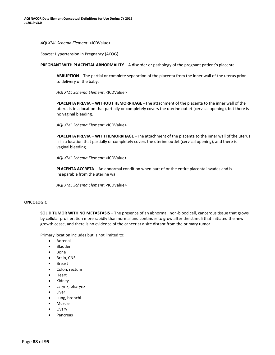*AQI XML Schema Element*: <ICDValue>

*Source*: Hypertension in Pregnancy (ACOG)

**PREGNANT WITH PLACENTAL ABNORMALITY** – A disorder or pathology of the pregnant patient's placenta.

**ABRUPTION** – The partial or complete separation of the placenta from the inner wall of the uterus prior to delivery of the baby.

*AQI XML Schema Element*: <ICDValue>

**PLACENTA PREVIA** – **WITHOUT HEMORRHAGE** –The attachment of the placenta to the inner wall of the uterus is in a location that partially or completely covers the uterine outlet (cervical opening), but there is no vaginal bleeding.

*AQI XML Schema Element*: <ICDValue>

**PLACENTA PREVIA** – **WITH HEMORRHAGE** –The attachment of the placenta to the inner wall of the uterus is in a location that partially or completely covers the uterine outlet (cervical opening), and there is vaginal bleeding.

*AQI XML Schema Element*: <ICDValue>

**PLACENTA ACCRETA** – An abnormal condition when part of or the entire placenta invades and is inseparable from the uterine wall.

*AQI XML Schema Element*: <ICDValue>

## **ONCOLOGIC**

**SOLID TUMOR WITH NO METASTASIS** – The presence of an abnormal, non-blood cell, cancerous tissue that grows by cellular proliferation more rapidly than normal and continues to grow after the stimuli that initiated the new growth cease, and there is no evidence of the cancer at a site distant from the primary tumor.

Primary location includes but is not limited to:

- Adrenal
- Bladder
- Bone
- Brain, CNS
- Breast
- Colon, rectum
- Heart
- Kidney
- Larynx, pharynx
- **Liver**
- Lung, bronchi
- Muscle
- **Ovary**
- Pancreas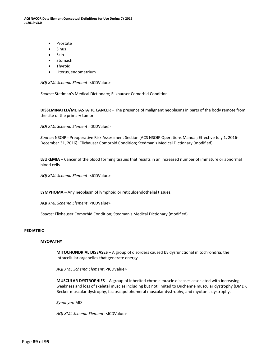**AQI NACOR Data Element Conceptual Definitions for Use During CY 2019 Ju2019 v3.0**

- Prostate
- Sinus
- Skin
- Stomach
- **Thyroid**
- Uterus, endometrium

*AQI XML Schema Element*: <ICDValue>

*Source*: Stedman's Medical Dictionary; Elixhauser Comorbid Condition

**DISSEMINATED/METASTATIC CANCER** – The presence of malignant neoplasms in parts of the body remote from the site of the primary tumor.

*AQI XML Schema Element*: <ICDValue>

*Source*: NSQIP - Preoperative Risk Assessment Section (ACS NSQIP Operations Manual; Effective July 1, 2016- December 31, 2016); Elixhauser Comorbid Condition; Stedman's Medical Dictionary (modified)

**LEUKEMIA** – Cancer of the blood forming tissues that results in an increased number of immature or abnormal blood cells.

*AQI XML Schema Element*: <ICDValue>

**LYMPHOMA** – Any neoplasm of lymphoid or reticuloendothelial tissues.

*AQI XML Schema Element*: <ICDValue>

*Source*: Elixhauser Comorbid Condition; Stedman's Medical Dictionary (modified)

## **PEDIATRIC**

#### **MYOPATHY**

**MITOCHONDRIAL DISEASES** – A group of disorders caused by dysfunctional mitochrondria, the intracellular organelles that generate energy.

*AQI XML Schema Element*: <ICDValue>

**MUSCULAR DYSTROPHIES** – A group of inherited chronic muscle diseases associated with increasing weakness and loss of skeletal muscles including but not limited to Duchenne muscular dystrophy (DMD), Becker muscular dystrophy, facioscapulohumeral muscular dystrophy, and myotonic dystrophy.

*Synonym*: MD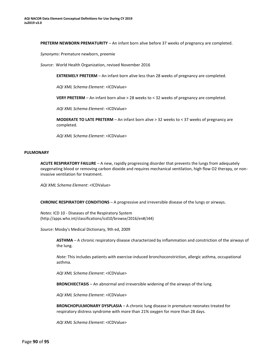**PRETERM NEWBORN PREMATURITY** – An infant born alive before 37 weeks of pregnancy are completed.

*Synonyms*: Premature newborn, preemie

*Source*: World Health Organization, revised November 2016

**EXTREMELY PRETERM** – An infant born alive less than 28 weeks of pregnancy are completed.

*AQI XML Schema Element*: <ICDValue>

**VERY PRETERM** – An infant born alive > 28 weeks to < 32 weeks of pregnancy are completed.

*AQI XML Schema Element*: <ICDValue>

**MODERATE TO LATE PRETERM** – An infant born alive > 32 weeks to < 37 weeks of pregnancy are completed.

*AQI XML Schema Element*: <ICDValue>

#### **PULMONARY**

**ACUTE RESPIRATORY FAILURE** – A new, rapidly progressing disorder that prevents the lungs from adequately oxygenating blood or removing carbon dioxide and requires mechanical ventilation, high flow O2 therapy, or noninvasive ventilation for treatment.

*AQI XML Schema Element*: <ICDValue>

**CHRONIC RESPIRATORY CONDITIONS** – A progressive and irreversible disease of the lungs or airways.

*Notes*: ICD 10 - Diseases of the Respiratory System [\(http://apps.who.int/classifications/icd10/browse/2016/en#/J44\)](http://apps.who.int/classifications/icd10/browse/2016/en%23/J44))

*Source*: Mosby's Medical Dictionary, 9th ed, 2009

**ASTHMA** – A chronic respiratory disease characterized by inflammation and constriction of the airways of the lung.

*Note*: This includes patients with exercise-induced bronchoconstriction, allergic asthma, occupational asthma.

*AQI XML Schema Element*: <ICDValue>

**BRONCHIECTASIS** – An abnormal and irreversible widening of the airways of the lung.

*AQI XML Schema Element*: <ICDValue>

**BRONCHOPULMONARY DYSPLASIA** – A chronic lung disease in premature neonates treated for respiratory distress syndrome with more than 21% oxygen for more than 28 days.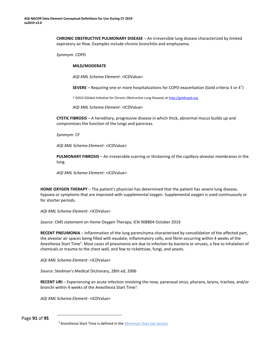<span id="page-89-0"></span>**CHRONIC OBSTRUCTIVE PULMONARY DISEASE** – An irreversible lung disease characterized by limited expiratory air flow. Examples include chronic bronchitis and emphysema.

*Synonym*: COPD

### **MILD/MODERATE**

*AQI XML Schema Element*: <ICDValue>

**SEVERE** – Requiring one or more hospitalizations for COPD exacerbation (Gold criteria 3 or 4† )

† GOLD (Global Initiative for Chronic Obstructive Lung Disease) at [http://goldcopd.org](http://goldcopd.org/)

*AQI XML Schema Element*: <ICDValue>

**CYSTIC FIBROSIS** – A hereditary, progressive disease in which thick, abnormal mucus builds up and compromises the function of the lungs and pancreas.

*Synonym*: CF

*AQI XML Schema Element*: <ICDValue>

**PULMONARY FIBROSIS** – An irreversible scarring or thickening of the capillary-alveolar membranes in the lung.

*AQI XML Schema Element*: <ICDValue>

**HOME OXYGEN THERAPY** – The patient's physician has determined that the patient has severe lung disease, hypoxia or symptoms that are improved with supplemental oxygen. Supplemental oxygen is used continuously or for shorter periods.

*AQI XML Schema Element*: <ICDValue>

*Source*: CMS statement on Home Oxygen Therapy; ICN 908804 October 2016

**RECENT PNEUMONIA** – Inflammation of the lung parenchyma characterized by consolidation of the affected part, the alveolar air spaces being filled with exudate, inflammatory cells, and fibrin occurring within 4 weeks of the An[e](#page-89-0)sthesia Start Time<sup>1</sup>. Most cases of pneumonia are due to infection by bacteria or viruses, a few to inhalation of chemicals or trauma to the chest wall, and few to rickettsiae, fungi, and yeasts.

*AQI XML Schema Element*: <ICDValue>

*Source*: Stedman's Medical Dictionary, 28th ed, 2006

**RECENT URI** – Experiencing an acute infection involving the nose, paranasal sinus, phyranx, larynx, trachea, and/or bronchi within 4 weeks of the Anesthesia Start Time<sup>1</sup>.

*AQI XML Schema Element*: <ICDValue>

Page **91** of **95**

<sup>1</sup> Anesthesia Start Time is defined in th[e Minimum Data Set section](#page-10-0)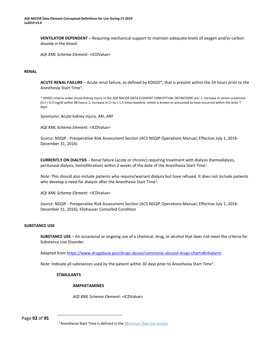<span id="page-90-0"></span>**VENTILATOR DEPENDENT** – Requiring mechanical support to maintain adequate levels of oxygen and/or carbon dioxide in the blood.

*AQI XML Schema Element*: <ICDValue>

## **RENAL**

**ACUTE RENAL FAILURE** – Acute renal failure, as defined by KDIGO\*, that is present within the 24 hours prior to the An[e](#page-90-0)sthesia Start Time<sup>1</sup>.

\* KDIGO criteria under Acute Kidney Injury in the AQI NACOR DATA ELEMENT CONCEPTUAL DEFINITIONS are: 1. Increase in serum creatinine (Cr) > 0.3 mg/dl within 48 hours; 2. Increase in Cr to > 1.5 times baseline, which is known or presumed to have occurred within the prior 7 days.

*Synonyms*: Acute kidney injury, AKI, ARF

*AQI XML Schema Element*: <ICDValue>

*Source*: NSQIP - Preoperative Risk Assessment Section (ACS NSQIP Operations Manual; Effective July 1, 2016- December 31, 2016)

**CURRENTLY ON DIALYSIS** – Renal failure (acute or chronic) requiring treatment with dialysis (hemodialysis, peritoneal dialysis, hemofiltration) within 2 weeks of the date of the Anesthesia Start Time<sup>1</sup>.

*Note*: This should also include patients who require/warrant dialysis but have refused. It does not include patients who develop a need for dialysis after the Anesthesia Start Time<sup>1</sup>.

*AQI XML Schema Element*: <ICDValue>

*Source*: NSQIP - Preoperative Risk Assessment Section (ACS NSQIP Operations Manual; Effective July 1, 2016- December 31, 2016); Elixhauser Comorbid Condition

## **SUBSTANCE USE**

**SUBSTANCE USE** – An occasional or ongoing use of a chemical, drug, or alcohol that does not meet the criteria for Substance Use Disorder.

Adapted from<https://www.drugabuse.gov/drugs-abuse/commonly-abused-drugs-charts#inhalants>

Note: Indicate all substances used by the patient within 30 days prior to Anesthesia Start Time<sup>1</sup>.

## **STIMULANTS**

## **AMPHETAMINES**

*AQI XML Schema Element*: <ICDValue>

Page **92** of **95**

<sup>1</sup> Anesthesia Start Time is defined in th[e Minimum Data Set section](#page-10-0)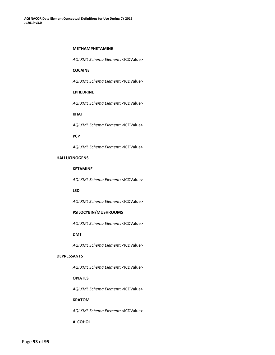#### **METHAMPHETAMINE**

*AQI XML Schema Element*: <ICDValue>

## **COCAINE**

*AQI XML Schema Element*: <ICDValue>

### **EPHEDRINE**

*AQI XML Schema Element*: <ICDValue>

## **KHAT**

*AQI XML Schema Element*: <ICDValue>

#### **PCP**

*AQI XML Schema Element*: <ICDValue>

# **HALLUCINOGENS**

## **KETAMINE**

*AQI XML Schema Element*: <ICDValue>

#### **LSD**

*AQI XML Schema Element*: <ICDValue>

## **PSILOCYBIN/MUSHROOMS**

*AQI XML Schema Element*: <ICDValue>

## **DMT**

*AQI XML Schema Element*: <ICDValue>

### **DEPRESSANTS**

*AQI XML Schema Element*: <ICDValue>

## **OPIATES**

*AQI XML Schema Element*: <ICDValue>

### **KRATOM**

*AQI XML Schema Element*: <ICDValue>

#### **ALCOHOL**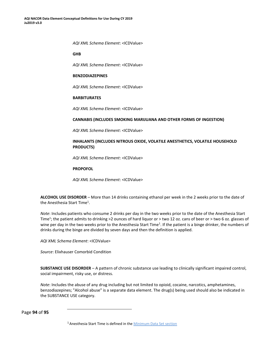<span id="page-92-0"></span>*AQI XML Schema Element*: <ICDValue>

## **GHB**

*AQI XML Schema Element*: <ICDValue>

#### **BENZODIAZEPINES**

*AQI XML Schema Element*: <ICDValue>

### **BARBITURATES**

*AQI XML Schema Element*: <ICDValue>

## **CANNABIS (INCLUDES SMOKING MARIJUANA AND OTHER FORMS OF INGESTION)**

*AQI XML Schema Element*: <ICDValue>

## **INHALANTS (INCLUDES NITROUS OXIDE, VOLATILE ANESTHETICS, VOLATILE HOUSEHOLD PRODUCTS)**

*AQI XML Schema Element*: <ICDValue>

### **PROPOFOL**

*AQI XML Schema Element*: <ICDValue>

**ALCOHOL USE DISORDER** – More than 14 drinks containing ethanol per week in the 2 weeks prior to the date of th[e](#page-92-0) Anesthesia Start Time<sup>1</sup>.

*Note*: Includes patients who consume 2 drinks per day in the two weeks prior to the date of the Anesthesia Start Time<sup>1</sup>; the patient admits to drinking >2 ounces of hard liquor or > two 12 oz. cans of beer or > two 6 oz. glasses of wine per day in the two weeks prior to the Anesthesia Start Time<sup>1</sup>. If the patient is a binge drinker, the numbers of drinks during the binge are divided by seven days and then the definition is applied.

*AQI XML Schema Element*: <ICDValue>

*Source*: Elixhauser Comorbid Condition

**SUBSTANCE USE DISORDER** – A pattern of chronic substance use leading to clinically significant impaired control, social impairment, risky use, or distress.

*Note*: Includes the abuse of any drug including but not limited to opioid, cocaine, narcotics, amphetamines, benzodiazepines; "Alcohol abuse" is a separate data element. The drug(s) being used should also be indicated in the SUBSTANCE USE category.

Page **94** of **95**

<sup>1</sup>Anesthesia Start Time is defined in th[e Minimum Data Set section](#page-10-0)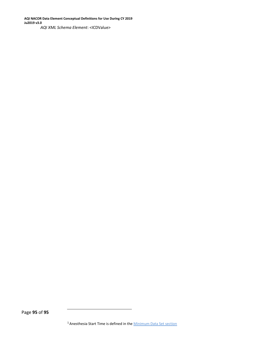**AQI NACOR Data Element Conceptual Definitions for Use During CY 2019 Ju2019 v3.0** *AQI XML Schema Element*: <ICDValue>

Page **95** of **95**

<sup>1</sup> Anesthesia Start Time is defined in the **Minimum Data Set section**